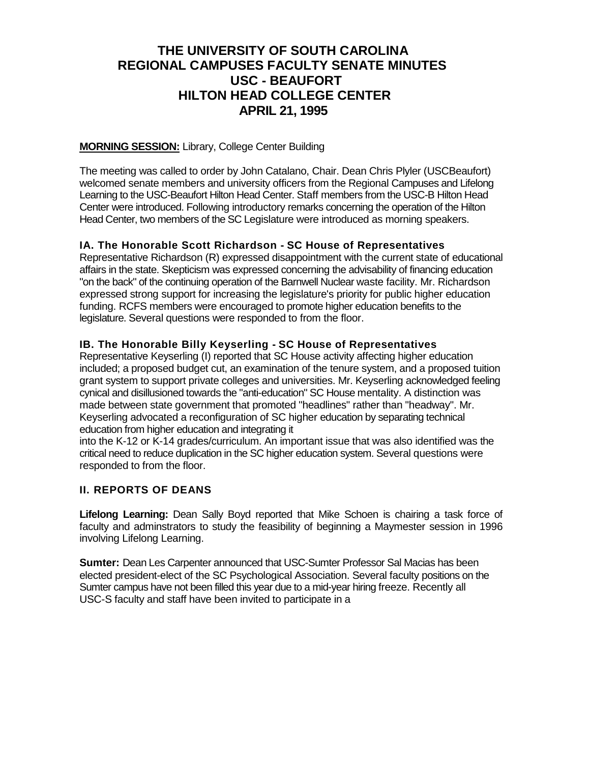# **THE UNIVERSITY OF SOUTH CAROLINA REGIONAL CAMPUSES FACULTY SENATE MINUTES USC - BEAUFORT HILTON HEAD COLLEGE CENTER APRIL 21, 1995**

## **MORNING SESSION:** Library, College Center Building

The meeting was called to order by John Catalano, Chair. Dean Chris Plyler (USCBeaufort) welcomed senate members and university officers from the Regional Campuses and Lifelong Learning to the USC-Beaufort Hilton Head Center. Staff members from the USC-B Hilton Head Center were introduced. Following introductory remarks concerning the operation of the Hilton Head Center, two members of the SC Legislature were introduced as morning speakers.

## **IA. The Honorable Scott Richardson - SC House of Representatives**

Representative Richardson (R) expressed disappointment with the current state of educational affairs in the state. Skepticism was expressed concerning the advisability of financing education "on the back" of the continuing operation of the Barnwell Nuclear waste facility. Mr. Richardson expressed strong support for increasing the legislature's priority for public higher education funding. RCFS members were encouraged to promote higher education benefits to the legislature. Several questions were responded to from the floor.

## **IB. The Honorable Billy Keyserling - SC House of Representatives**

Representative Keyserling (I) reported that SC House activity affecting higher education included; a proposed budget cut, an examination of the tenure system, and a proposed tuition grant system to support private colleges and universities. Mr. Keyserling acknowledged feeling cynical and disillusioned towards the "anti-education" SC House mentality. A distinction was made between state government that promoted "headlines" rather than "headway". Mr. Keyserling advocated a reconfiguration of SC higher education by separating technical education from higher education and integrating it

into the K-12 or K-14 grades/curriculum. An important issue that was also identified was the critical need to reduce duplication in the SC higher education system. Several questions were responded to from the floor.

## **II. REPORTS OF DEANS**

**Lifelong Learning:** Dean Sally Boyd reported that Mike Schoen is chairing a task force of faculty and adminstrators to study the feasibility of beginning a Maymester session in 1996 involving Lifelong Learning.

**Sumter:** Dean Les Carpenter announced that USC-Sumter Professor Sal Macias has been elected president-elect of the SC Psychological Association. Several faculty positions on the Sumter campus have not been filled this year due to a mid-year hiring freeze. Recently all USC-S faculty and staff have been invited to participate in a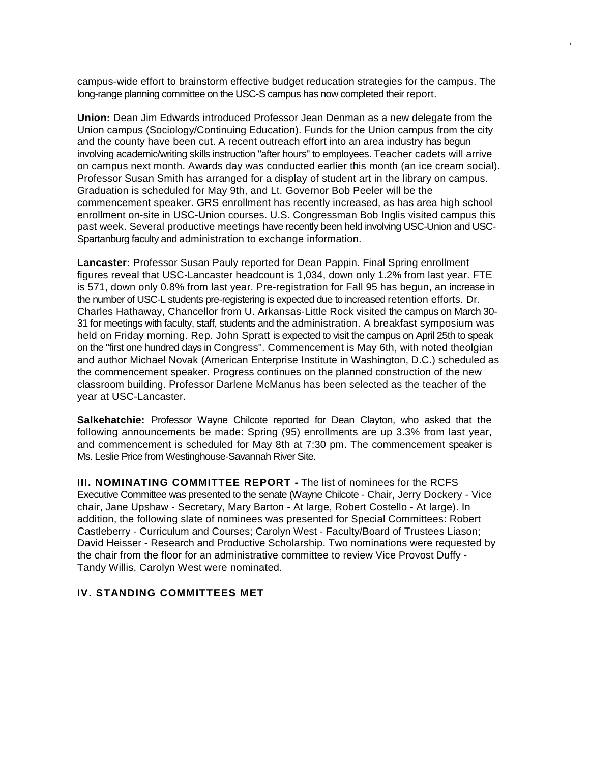campus-wide effort to brainstorm effective budget reducation strategies for the campus. The long-range planning committee on the USC-S campus has now completed their report.

**I**

**Union:** Dean Jim Edwards introduced Professor Jean Denman as a new delegate from the Union campus (Sociology/Continuing Education). Funds for the Union campus from the city and the county have been cut. A recent outreach effort into an area industry has begun involving academic/writing skills instruction "after hours" to employees. Teacher cadets will arrive on campus next month. Awards day was conducted earlier this month (an ice cream social). Professor Susan Smith has arranged for a display of student art in the library on campus. Graduation is scheduled for May 9th, and Lt. Governor Bob Peeler will be the commencement speaker. GRS enrollment has recently increased, as has area high school enrollment on-site in USC-Union courses. U.S. Congressman Bob Inglis visited campus this past week. Several productive meetings have recently been held involving USC-Union and USC-Spartanburg faculty and administration to exchange information.

**Lancaster:** Professor Susan Pauly reported for Dean Pappin. Final Spring enrollment figures reveal that USC-Lancaster headcount is 1,034, down only 1.2% from last year. FTE is 571, down only 0.8% from last year. Pre-registration for Fall 95 has begun, an increase in the number of USC-L students pre-registering is expected due to increased retention efforts. Dr. Charles Hathaway, Chancellor from U. Arkansas-Little Rock visited the campus on March 30- 31 for meetings with faculty, staff, students and the administration. A breakfast symposium was held on Friday morning. Rep. John Spratt is expected to visit the campus on April 25th to speak on the "first one hundred days in Congress". Commencement is May 6th, with noted theolgian and author Michael Novak (American Enterprise Institute in Washington, D.C.) scheduled as the commencement speaker. Progress continues on the planned construction of the new classroom building. Professor Darlene McManus has been selected as the teacher of the year at USC-Lancaster.

**Salkehatchie:** Professor Wayne Chilcote reported for Dean Clayton, who asked that the following announcements be made: Spring (95) enrollments are up 3.3% from last year, and commencement is scheduled for May 8th at 7:30 pm. The commencement speaker is Ms. Leslie Price from Westinghouse-Savannah River Site.

**III. NOMINATING COMMITTEE REPORT -** The list of nominees for the RCFS Executive Committee was presented to the senate (Wayne Chilcote - Chair, Jerry Dockery - Vice chair, Jane Upshaw - Secretary, Mary Barton - At large, Robert Costello - At large). In addition, the following slate of nominees was presented for Special Committees: Robert Castleberry - Curriculum and Courses; Carolyn West - Faculty/Board of Trustees Liason; David Heisser - Research and Productive Scholarship. Two nominations were requested by the chair from the floor for an administrative committee to review Vice Provost Duffy - Tandy Willis, Carolyn West were nominated.

## **IV. STANDING COMMITTEES MET**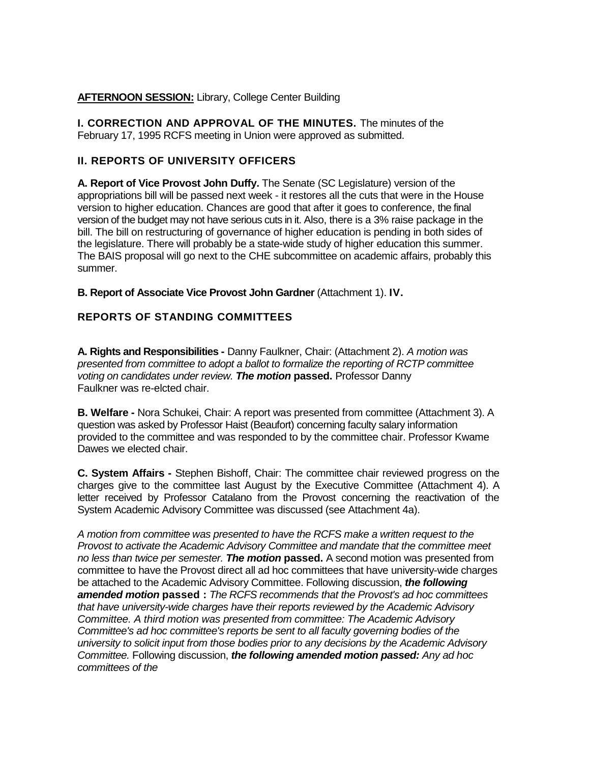## **AFTERNOON SESSION:** Library, College Center Building

**I. CORRECTION AND APPROVAL OF THE MINUTES.** The minutes of the February 17, 1995 RCFS meeting in Union were approved as submitted.

## **II. REPORTS OF UNIVERSITY OFFICERS**

**A. Report of Vice Provost John Duffy.** The Senate (SC Legislature) version of the appropriations bill will be passed next week - it restores all the cuts that were in the House version to higher education. Chances are good that after it goes to conference, the final version of the budget may not have serious cuts in it. Also, there is a 3% raise package in the bill. The bill on restructuring of governance of higher education is pending in both sides of the legislature. There will probably be a state-wide study of higher education this summer. The BAIS proposal will go next to the CHE subcommittee on academic affairs, probably this summer.

**B. Report of Associate Vice Provost John Gardner** (Attachment 1). **IV.** 

## **REPORTS OF STANDING COMMITTEES**

**A. Rights and Responsibilities -** Danny Faulkner, Chair: (Attachment 2). *A motion was presented from committee to adopt a ballot to formalize the reporting of RCTP committee voting on candidates under review. The motion* **passed.** Professor Danny Faulkner was re-elcted chair.

**B. Welfare -** Nora Schukei, Chair: A report was presented from committee (Attachment 3). A question was asked by Professor Haist (Beaufort) concerning faculty salary information provided to the committee and was responded to by the committee chair. Professor Kwame Dawes we elected chair.

**C. System Affairs -** Stephen Bishoff, Chair: The committee chair reviewed progress on the charges give to the committee last August by the Executive Committee (Attachment 4). A letter received by Professor Catalano from the Provost concerning the reactivation of the System Academic Advisory Committee was discussed (see Attachment 4a).

*A motion from committee was presented to have the RCFS make a written request to the Provost to activate the Academic Advisory Committee and mandate that the committee meet no less than twice per semester. The motion* **passed.** A second motion was presented from committee to have the Provost direct all ad hoc committees that have university-wide charges be attached to the Academic Advisory Committee. Following discussion, *the following amended motion* **passed :** *The RCFS recommends that the Provost's ad hoc committees that have university-wide charges have their reports reviewed by the Academic Advisory Committee. A third motion was presented from committee: The Academic Advisory Committee's ad hoc committee's reports be sent to all faculty governing bodies of the university to solicit input from those bodies prior to any decisions by the Academic Advisory Committee.* Following discussion, *the following amended motion passed: Any ad hoc committees of the*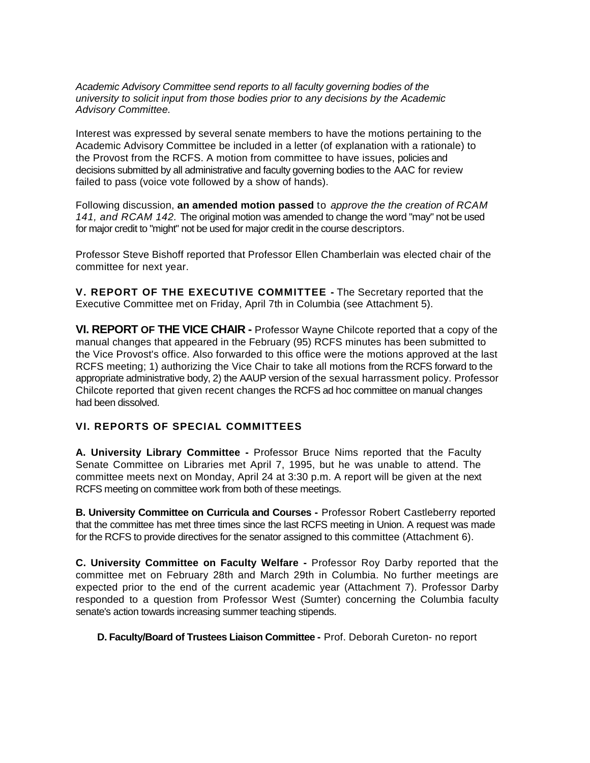*Academic Advisory Committee send reports to all faculty governing bodies of the university to solicit input from those bodies prior to any decisions by the Academic Advisory Committee.*

Interest was expressed by several senate members to have the motions pertaining to the Academic Advisory Committee be included in a letter (of explanation with a rationale) to the Provost from the RCFS. A motion from committee to have issues, policies and decisions submitted by all administrative and faculty governing bodies to the AAC for review failed to pass (voice vote followed by a show of hands).

Following discussion, **an amended motion passed** to *approve the the creation of RCAM 141, and RCAM 142.* The original motion was amended to change the word "may" not be used for major credit to "might" not be used for major credit in the course descriptors.

Professor Steve Bishoff reported that Professor Ellen Chamberlain was elected chair of the committee for next year.

**V. REPORT OF THE EXECUTIVE COMMITTEE -** The Secretary reported that the Executive Committee met on Friday, April 7th in Columbia (see Attachment 5).

**VI. REPORT OF THE VICE CHAIR -** Professor Wayne Chilcote reported that a copy of the manual changes that appeared in the February (95) RCFS minutes has been submitted to the Vice Provost's office. Also forwarded to this office were the motions approved at the last RCFS meeting; 1) authorizing the Vice Chair to take all motions from the RCFS forward to the appropriate administrative body, 2) the AAUP version of the sexual harrassment policy. Professor Chilcote reported that given recent changes the RCFS ad hoc committee on manual changes had been dissolved.

## **VI. REPORTS OF SPECIAL COMMITTEES**

**A. University Library Committee -** Professor Bruce Nims reported that the Faculty Senate Committee on Libraries met April 7, 1995, but he was unable to attend. The committee meets next on Monday, April 24 at 3:30 p.m. A report will be given at the next RCFS meeting on committee work from both of these meetings.

**B. University Committee on Curricula and Courses -** Professor Robert Castleberry reported that the committee has met three times since the last RCFS meeting in Union. A request was made for the RCFS to provide directives for the senator assigned to this committee (Attachment 6).

**C. University Committee on Faculty Welfare -** Professor Roy Darby reported that the committee met on February 28th and March 29th in Columbia. No further meetings are expected prior to the end of the current academic year (Attachment 7). Professor Darby responded to a question from Professor West (Sumter) concerning the Columbia faculty senate's action towards increasing summer teaching stipends.

**D. Faculty/Board of Trustees Liaison Committee -** Prof. Deborah Cureton- no report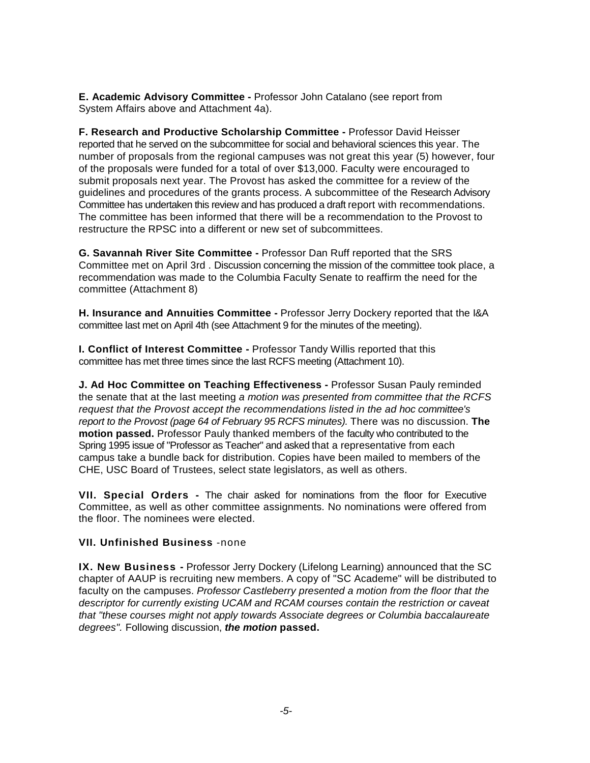**E. Academic Advisory Committee -** Professor John Catalano (see report from System Affairs above and Attachment 4a).

**F. Research and Productive Scholarship Committee -** Professor David Heisser reported that he served on the subcommittee for social and behavioral sciences this year. The number of proposals from the regional campuses was not great this year (5) however, four of the proposals were funded for a total of over \$13,000. Faculty were encouraged to submit proposals next year. The Provost has asked the committee for a review of the guidelines and procedures of the grants process. A subcommittee of the Research Advisory Committee has undertaken this review and has produced a draft report with recommendations. The committee has been informed that there will be a recommendation to the Provost to restructure the RPSC into a different or new set of subcommittees.

**G. Savannah River Site Committee -** Professor Dan Ruff reported that the SRS Committee met on April 3rd . Discussion concerning the mission of the committee took place, a recommendation was made to the Columbia Faculty Senate to reaffirm the need for the committee (Attachment 8)

**H. Insurance and Annuities Committee -** Professor Jerry Dockery reported that the I&A committee last met on April 4th (see Attachment 9 for the minutes of the meeting).

**I. Conflict of Interest Committee -** Professor Tandy Willis reported that this committee has met three times since the last RCFS meeting (Attachment 10).

**J. Ad Hoc Committee on Teaching Effectiveness -** Professor Susan Pauly reminded the senate that at the last meeting *a motion was presented from committee that the RCFS request that the Provost accept the recommendations listed in the ad hoc committee's report to the Provost (page 64 of February 95 RCFS minutes).* There was no discussion. **The motion passed.** Professor Pauly thanked members of the faculty who contributed to the Spring 1995 issue of "Professor as Teacher" and asked that a representative from each campus take a bundle back for distribution. Copies have been mailed to members of the CHE, USC Board of Trustees, select state legislators, as well as others.

**VII. Special Orders -** The chair asked for nominations from the floor for Executive Committee, as well as other committee assignments. No nominations were offered from the floor. The nominees were elected.

## **VII. Unfinished Business** -none

**IX. New Business -** Professor Jerry Dockery (Lifelong Learning) announced that the SC chapter of AAUP is recruiting new members. A copy of "SC Academe" will be distributed to faculty on the campuses. *Professor Castleberry presented a motion from the floor that the descriptor for currently existing UCAM and RCAM courses contain the restriction or caveat that "these courses might not apply towards Associate degrees or Columbia baccalaureate degrees".* Following discussion, *the motion* **passed.**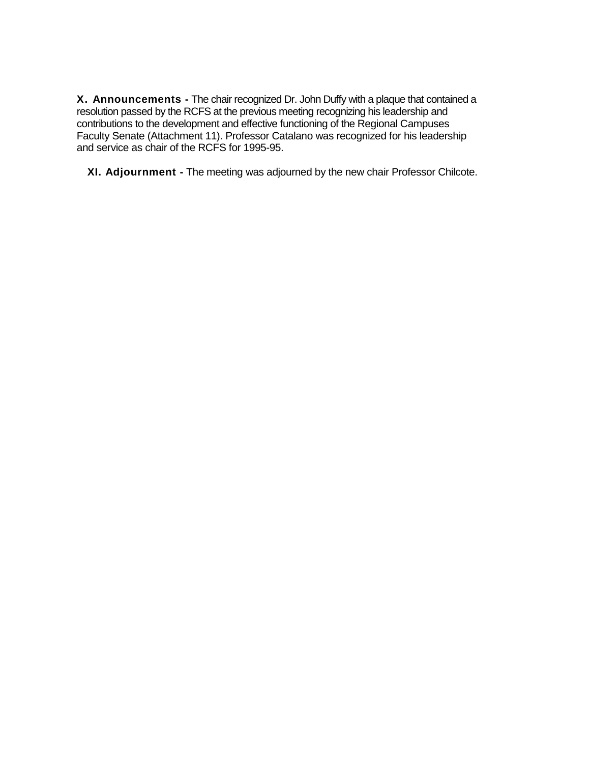**X. Announcements -** The chair recognized Dr. John Duffy with a plaque that contained a resolution passed by the RCFS at the previous meeting recognizing his leadership and contributions to the development and effective functioning of the Regional Campuses Faculty Senate (Attachment 11). Professor Catalano was recognized for his leadership and service as chair of the RCFS for 1995-95.

**XI. Adjournment -** The meeting was adjourned by the new chair Professor Chilcote.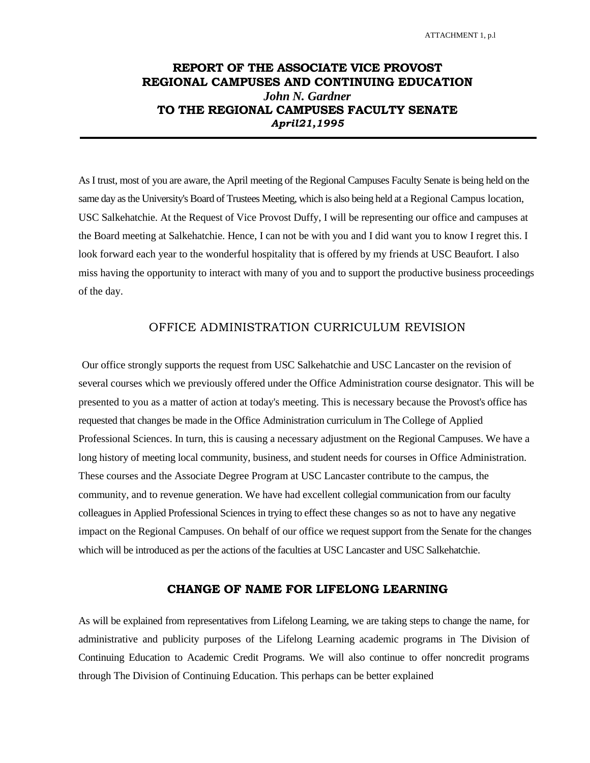## **REPORT OF THE ASSOCIATE VICE PROVOST REGIONAL CAMPUSES AND CONTINUING EDUCATION** *John N. Gardner* **TO THE REGIONAL CAMPUSES FACULTY SENATE** *April21,1995*

As I trust, most of you are aware, the April meeting of the Regional Campuses Faculty Senate is being held on the same day as the University's Board of Trustees Meeting, which is also being held at a Regional Campus location, USC Salkehatchie. At the Request of Vice Provost Duffy, I will be representing our office and campuses at the Board meeting at Salkehatchie. Hence, I can not be with you and I did want you to know I regret this. I look forward each year to the wonderful hospitality that is offered by my friends at USC Beaufort. I also miss having the opportunity to interact with many of you and to support the productive business proceedings of the day.

## OFFICE ADMINISTRATION CURRICULUM REVISION

Our office strongly supports the request from USC Salkehatchie and USC Lancaster on the revision of several courses which we previously offered under the Office Administration course designator. This will be presented to you as a matter of action at today's meeting. This is necessary because the Provost's office has requested that changes be made in the Office Administration curriculum in The College of Applied Professional Sciences. In turn, this is causing a necessary adjustment on the Regional Campuses. We have a long history of meeting local community, business, and student needs for courses in Office Administration. These courses and the Associate Degree Program at USC Lancaster contribute to the campus, the community, and to revenue generation. We have had excellent collegial communication from our faculty colleagues in Applied Professional Sciences in trying to effect these changes so as not to have any negative impact on the Regional Campuses. On behalf of our office we request support from the Senate for the changes which will be introduced as per the actions of the faculties at USC Lancaster and USC Salkehatchie.

## **CHANGE OF NAME FOR LIFELONG LEARNING**

As will be explained from representatives from Lifelong Learning, we are taking steps to change the name, for administrative and publicity purposes of the Lifelong Learning academic programs in The Division of Continuing Education to Academic Credit Programs. We will also continue to offer noncredit programs through The Division of Continuing Education. This perhaps can be better explained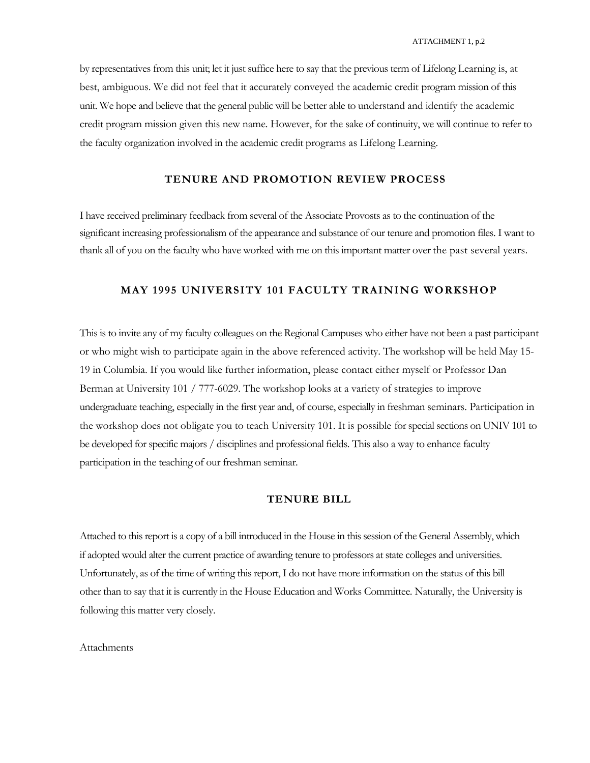by representatives from this unit; let it just suffice here to say that the previous term of Lifelong Learning is, at best, ambiguous. We did not feel that it accurately conveyed the academic credit program mission of this unit. We hope and believe that the general public will be better able to understand and identify the academic credit program mission given this new name. However, for the sake of continuity, we will continue to refer to the faculty organization involved in the academic credit programs as Lifelong Learning.

#### **TENURE AND PROMOTION REVIEW PROCESS**

I have received preliminary feedback from several of the Associate Provosts as to the continuation of the significant increasing professionalism of the appearance and substance of our tenure and promotion files. I want to thank all of you on the faculty who have worked with me on this important matter over the past several years.

### **MAY 1995 UNIVERSITY 101 FACULTY TRAINING WORKSHOP**

This is to invite any of my faculty colleagues on the Regional Campuses who either have not been a past participant or who might wish to participate again in the above referenced activity. The workshop will be held May 15- 19 in Columbia. If you would like further information, please contact either myself or Professor Dan Berman at University 101 / 777-6029. The workshop looks at a variety of strategies to improve undergraduate teaching, especially in the first year and, of course, especially in freshman seminars. Participation in the workshop does not obligate you to teach University 101. It is possible for special sections on UNIV 101 to be developed for specific majors / disciplines and professional fields. This also a way to enhance faculty participation in the teaching of our freshman seminar.

## **TENURE BILL**

Attached to this report is a copy of a bill introduced in the House in this session of the General Assembly, which if adopted would alter the current practice of awarding tenure to professors at state colleges and universities. Unfortunately, as of the time of writing this report, I do not have more information on the status of this bill other than to say that it is currently in the House Education and Works Committee. Naturally, the University is following this matter very closely.

#### Attachments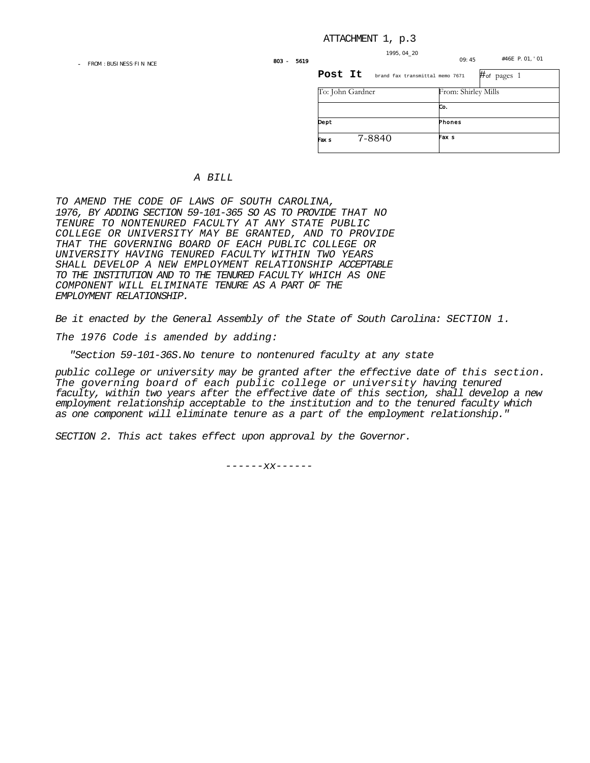#### ATTACHMENT 1, p.3

1995,04\_20

- FROM : BUSINESS-FIN NCE 803 - 5619

Ξ

| Post It          | brand fax transmittal memo 7671 | #of pages 1         |
|------------------|---------------------------------|---------------------|
| To: John Gardner |                                 | From: Shirley Mills |
|                  |                                 | Co.                 |
| Dept             |                                 | Phones              |
| Fax s            | 7-8840                          | Fax s               |

09:45 #46E P.01,'01

#### *A BILL*

*TO AMEND THE CODE OF LAWS OF SOUTH CAROLINA, 1976, BY ADDING SECTION 59-101-365 SO AS TO PROVIDE THAT NO TENURE TO NONTENURED FACULTY AT ANY STATE PUBLIC COLLEGE OR UNIVERSITY MAY BE GRANTED, AND TO PROVIDE THAT THE GOVERNING BOARD OF EACH PUBLIC COLLEGE OR UNIVERSITY HAVING TENURED FACULTY WITHIN TWO YEARS SHALL DEVELOP A NEW EMPLOYMENT RELATIONSHIP ACCEPTABLE TO THE INSTITUTION AND TO THE TENURED FACULTY WHICH AS ONE COMPONENT WILL ELIMINATE TENURE AS A PART OF THE EMPLOYMENT RELATIONSHIP.*

*Be it enacted by the General Assembly of the State of South Carolina: SECTION 1.* 

*The 1976 Code is amended by adding:*

*"Section 59-101-36S.No tenure to nontenured faculty at any state*

*public college or university may be granted after the effective date of this section. The governing board of each public college or university having tenured faculty, within two years after the effective date of this section, shall develop a new employment relationship acceptable to the institution and to the tenured faculty which as one component will eliminate tenure as a part of the employment relationship."*

*SECTION 2. This act takes effect upon approval by the Governor.* 

*------xx------*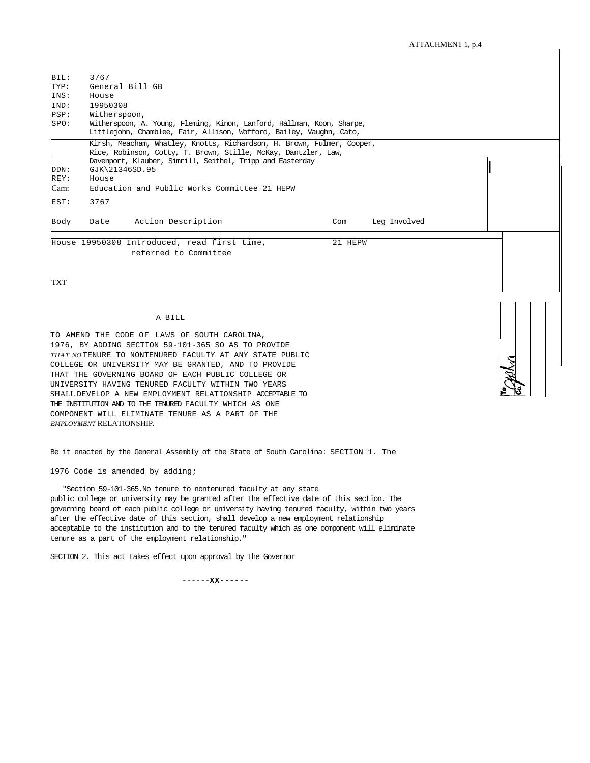| BIL:<br>TYP:<br>INS:<br>IND:<br>PSP:<br>SPO: | 3767<br>House<br>19950308<br>Witherspoon, | General Bill GB<br>Witherspoon, A. Young, Fleming, Kinon, Lanford, Hallman, Koon, Sharpe,<br>Littlejohn, Chamblee, Fair, Allison, Wofford, Bailey, Vaughn, Cato, |         |              |  |  |
|----------------------------------------------|-------------------------------------------|------------------------------------------------------------------------------------------------------------------------------------------------------------------|---------|--------------|--|--|
|                                              |                                           |                                                                                                                                                                  |         |              |  |  |
|                                              |                                           | Kirsh, Meacham, Whatley, Knotts, Richardson, H. Brown, Fulmer, Cooper,<br>Rice, Robinson, Cotty, T. Brown, Stille, McKay, Dantzler, Law,                         |         |              |  |  |
|                                              |                                           | Davenport, Klauber, Simrill, Seithel, Tripp and Easterday                                                                                                        |         |              |  |  |
| DDN:                                         | GJK\21346SD.95                            |                                                                                                                                                                  |         |              |  |  |
| REY:                                         | House                                     |                                                                                                                                                                  |         |              |  |  |
| Cam:                                         |                                           | Education and Public Works Committee 21 HEPW                                                                                                                     |         |              |  |  |
| EST:                                         | 3767                                      |                                                                                                                                                                  |         |              |  |  |
| Body                                         | Date                                      | Action Description                                                                                                                                               | Com     | Leg Involved |  |  |
|                                              |                                           | House 19950308 Introduced, read first time,                                                                                                                      | 21 HEPW |              |  |  |
|                                              |                                           |                                                                                                                                                                  |         |              |  |  |
|                                              |                                           | referred to Committee                                                                                                                                            |         |              |  |  |

TXT

#### A BILL

TO AMEND THE CODE OF LAWS OF SOUTH CAROLINA, 1976, BY ADDING SECTION 59-101-365 SO AS TO PROVIDE *THAT NO* TENURE TO NONTENURED FACULTY AT ANY STATE PUBLIC COLLEGE OR UNIVERSITY MAY BE GRANTED, AND TO PROVIDE THAT THE GOVERNING BOARD OF EACH PUBLIC COLLEGE OR UNIVERSITY HAVING TENURED FACULTY WITHIN TWO YEARS SHALL DEVELOP A NEW EMPLOYMENT RELATIONSHIP ACCEPTABLE TO THE INSTITUTION AND TO THE TENURED FACULTY WHICH AS ONE COMPONENT WILL ELIMINATE TENURE AS A PART OF THE *EMPLOYMENT* RELATIONSHIP.

Be it enacted by the General Assembly of the State of South Carolina: SECTION 1. The

1976 Code is amended by adding;

"Section 59-101-365.No tenure to nontenured faculty at any state public college or university may be granted after the effective date of this section. The governing board of each public college or university having tenured faculty, within two years after the effective date of this section, shall develop a new employment relationship acceptable to the institution and to the tenured faculty which as one component will eliminate tenure as a part of the employment relationship."

SECTION 2. This act takes effect upon approval by the Governor

------**XX------**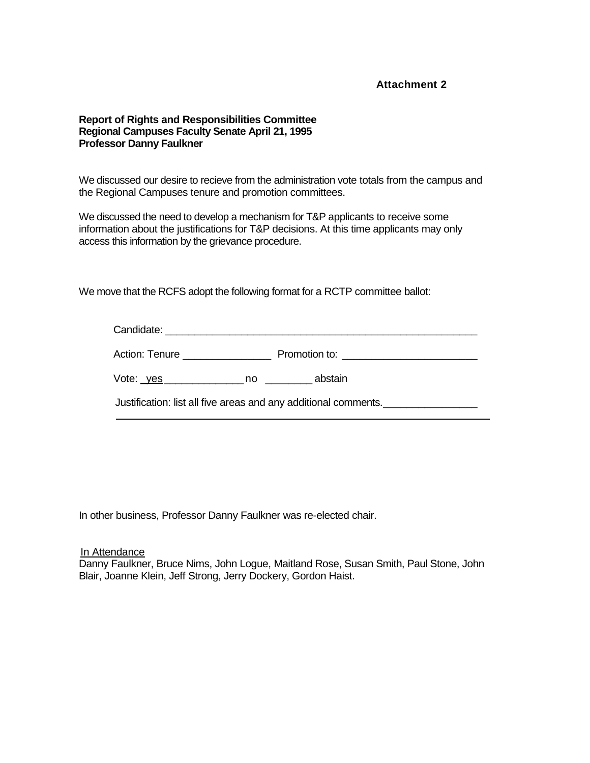## **Attachment 2**

## **Report of Rights and Responsibilities Committee Regional Campuses Faculty Senate April 21, 1995 Professor Danny Faulkner**

We discussed our desire to recieve from the administration vote totals from the campus and the Regional Campuses tenure and promotion committees.

We discussed the need to develop a mechanism for T&P applicants to receive some information about the justifications for T&P decisions. At this time applicants may only access this information by the grievance procedure.

We move that the RCFS adopt the following format for a RCTP committee ballot:

| Candidate:                                                      |         |  |
|-----------------------------------------------------------------|---------|--|
| Action: Tenure <b>Action</b>                                    |         |  |
| Vote: <u>yes</u> _________________no                            | abstain |  |
| Justification: list all five areas and any additional comments. |         |  |

In other business, Professor Danny Faulkner was re-elected chair.

### In Attendance

Danny Faulkner, Bruce Nims, John Logue, Maitland Rose, Susan Smith, Paul Stone, John Blair, Joanne Klein, Jeff Strong, Jerry Dockery, Gordon Haist.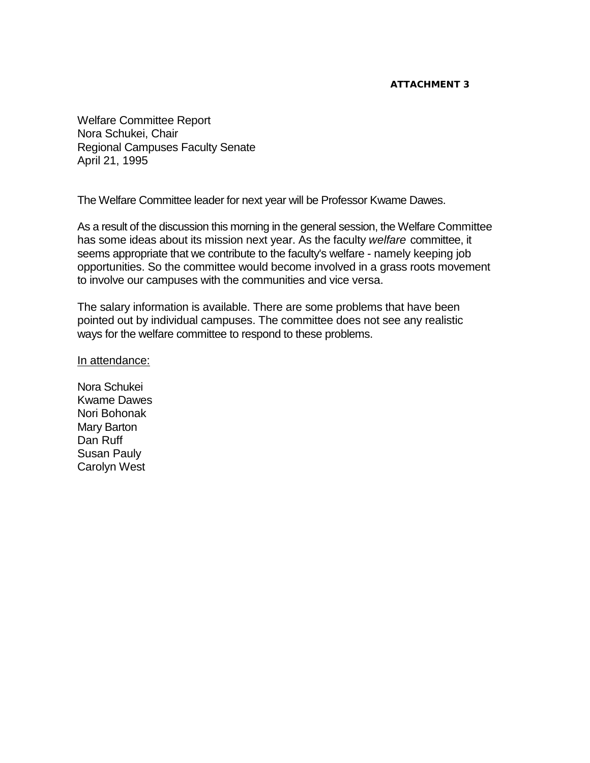## **ATTACHMENT 3**

Welfare Committee Report Nora Schukei, Chair Regional Campuses Faculty Senate April 21, 1995

The Welfare Committee leader for next year will be Professor Kwame Dawes.

As a result of the discussion this morning in the general session, the Welfare Committee has some ideas about its mission next year. As the faculty *welfare* committee, it seems appropriate that we contribute to the faculty's welfare - namely keeping job opportunities. So the committee would become involved in a grass roots movement to involve our campuses with the communities and vice versa.

The salary information is available. There are some problems that have been pointed out by individual campuses. The committee does not see any realistic ways for the welfare committee to respond to these problems.

In attendance:

Nora Schukei Kwame Dawes Nori Bohonak Mary Barton Dan Ruff Susan Pauly Carolyn West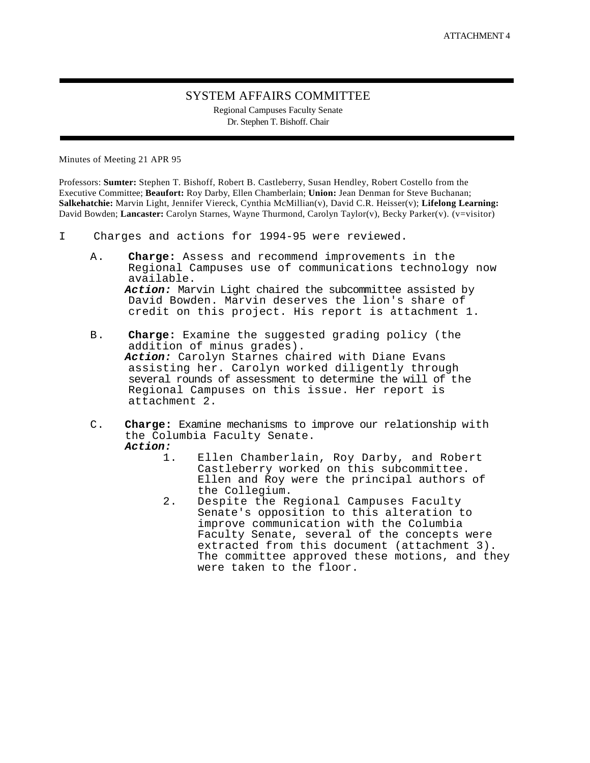## SYSTEM AFFAIRS COMMITTEE

Regional Campuses Faculty Senate Dr. Stephen T. Bishoff. Chair

Minutes of Meeting 21 APR 95

Professors: **Sumter:** Stephen T. Bishoff, Robert B. Castleberry, Susan Hendley, Robert Costello from the Executive Committee; **Beaufort:** Roy Darby, Ellen Chamberlain; **Union:** Jean Denman for Steve Buchanan; **Salkehatchie:** Marvin Light, Jennifer Viereck, Cynthia McMillian(v), David C.R. Heisser(v); **Lifelong Learning:**  David Bowden; **Lancaster:** Carolyn Starnes, Wayne Thurmond, Carolyn Taylor(v), Becky Parker(v). (v=visitor)

I Charges and actions for 1994-95 were reviewed.

- A. **Charge:** Assess and recommend improvements in the Regional Campuses use of communications technology now available. *Action:* Marvin Light chaired the subcommittee assisted by David Bowden. Marvin deserves the lion's share of credit on this project. His report is attachment 1.
- B. **Charge:** Examine the suggested grading policy (the addition of minus grades). *Action:* Carolyn Starnes chaired with Diane Evans assisting her. Carolyn worked diligently through several rounds of assessment to determine the will of the Regional Campuses on this issue. Her report is attachment 2.
- C. **Charge:** Examine mechanisms to improve our relationship with the Columbia Faculty Senate. *Action:*
	- Ellen Chamberlain, Roy Darby, and Robert Castleberry worked on this subcommittee. Ellen and Roy were the principal authors of the Collegium.
	- 2. Despite the Regional Campuses Faculty Senate's opposition to this alteration to improve communication with the Columbia Faculty Senate, several of the concepts were extracted from this document (attachment 3). The committee approved these motions, and they were taken to the floor.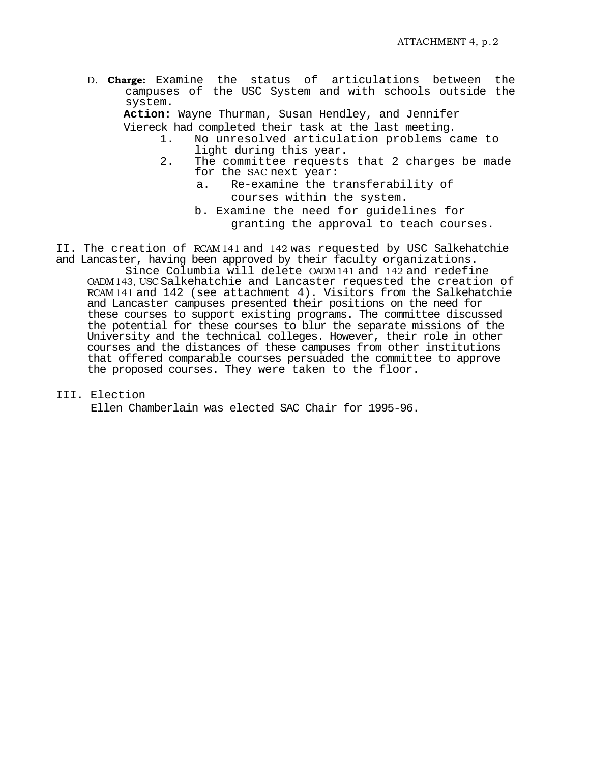D. **Charge:** Examine the status of articulations between the campuses of the USC System and with schools outside the system.

**Action:** Wayne Thurman, Susan Hendley, and Jennifer

- Viereck had completed their task at the last meeting.<br>1. No unresolved articulation problems c 1. No unresolved articulation problems came to light during this year.
	- 2. The committee requests that 2 charges be made for the SAC next year:<br>a. Re-examine the t
		- Re-examine the transferability of courses within the system.
		- b. Examine the need for guidelines for granting the approval to teach courses.

II. The creation of RCAM 141 and 142 was requested by USC Salkehatchie and Lancaster, having been approved by their faculty organizations.

Since Columbia will delete OADM 141 and 142 and redefine OADM 143, USC Salkehatchie and Lancaster requested the creation of RCAM 141 and 142 (see attachment 4). Visitors from the Salkehatchie and Lancaster campuses presented their positions on the need for these courses to support existing programs. The committee discussed the potential for these courses to blur the separate missions of the University and the technical colleges. However, their role in other courses and the distances of these campuses from other institutions that offered comparable courses persuaded the committee to approve the proposed courses. They were taken to the floor.

### III. Election

Ellen Chamberlain was elected SAC Chair for 1995-96.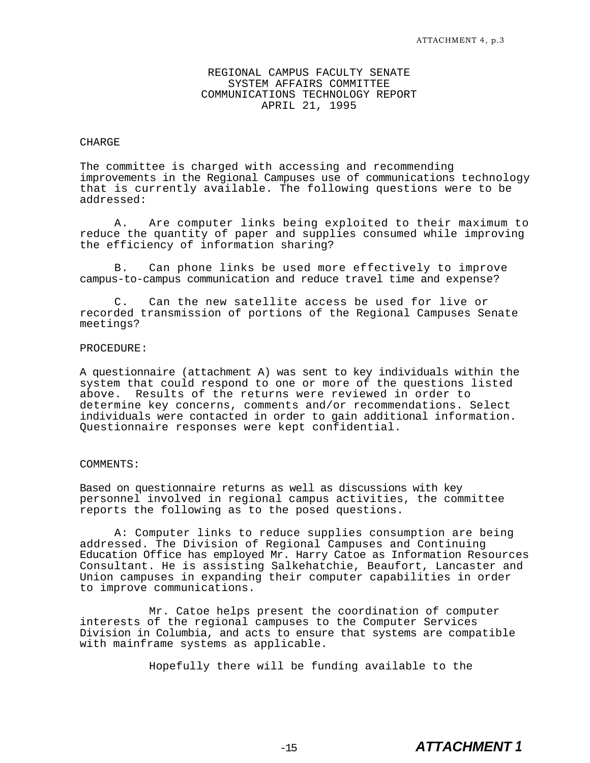#### REGIONAL CAMPUS FACULTY SENATE SYSTEM AFFAIRS COMMITTEE COMMUNICATIONS TECHNOLOGY REPORT APRIL 21, 1995

#### CHARGE

The committee is charged with accessing and recommending improvements in the Regional Campuses use of communications technology that is currently available. The following questions were to be addressed:

A. Are computer links being exploited to their maximum to reduce the quantity of paper and supplies consumed while improving the efficiency of information sharing?

B. Can phone links be used more effectively to improve campus-to-campus communication and reduce travel time and expense?

Can the new satellite access be used for live or recorded transmission of portions of the Regional Campuses Senate meetings?

#### PROCEDURE:

A questionnaire (attachment A) was sent to key individuals within the system that could respond to one or more of the questions listed above. Results of the returns were reviewed in order to determine key concerns, comments and/or recommendations. Select individuals were contacted in order to gain additional information. Questionnaire responses were kept confidential.

#### COMMENTS:

Based on questionnaire returns as well as discussions with key personnel involved in regional campus activities, the committee reports the following as to the posed questions.

A: Computer links to reduce supplies consumption are being addressed. The Division of Regional Campuses and Continuing Education Office has employed Mr. Harry Catoe as Information Resources Consultant. He is assisting Salkehatchie, Beaufort, Lancaster and Union campuses in expanding their computer capabilities in order to improve communications.

Mr. Catoe helps present the coordination of computer interests of the regional campuses to the Computer Services Division in Columbia, and acts to ensure that systems are compatible with mainframe systems as applicable.

Hopefully there will be funding available to the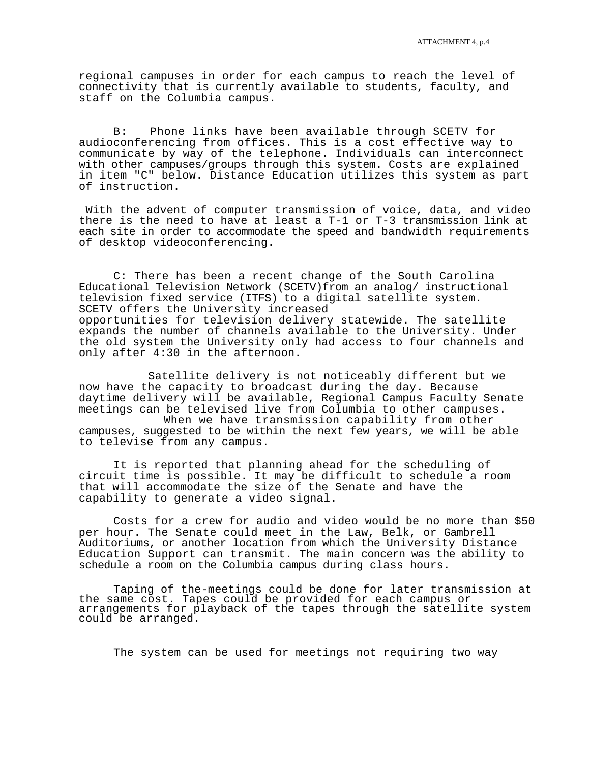regional campuses in order for each campus to reach the level of connectivity that is currently available to students, faculty, and staff on the Columbia campus.

B: Phone links have been available through SCETV for audioconferencing from offices. This is a cost effective way to communicate by way of the telephone. Individuals can interconnect with other campuses/groups through this system. Costs are explained in item "C" below. Distance Education utilizes this system as part of instruction.

With the advent of computer transmission of voice, data, and video there is the need to have at least a T-1 or T-3 transmission link at each site in order to accommodate the speed and bandwidth requirements of desktop videoconferencing.

C: There has been a recent change of the South Carolina Educational Television Network (SCETV)from an analog/ instructional television fixed service (ITFS) to a digital satellite system. SCETV offers the University increased opportunities for television delivery statewide. The satellite expands the number of channels available to the University. Under the old system the University only had access to four channels and only after 4:30 in the afternoon.

Satellite delivery is not noticeably different but we now have the capacity to broadcast during the day. Because daytime delivery will be available, Regional Campus Faculty Senate meetings can be televised live from Columbia to other campuses. When we have transmission capability from other

campuses, suggested to be within the next few years, we will be able to televise from any campus.

It is reported that planning ahead for the scheduling of circuit time is possible. It may be difficult to schedule a room that will accommodate the size of the Senate and have the capability to generate a video signal.

Costs for a crew for audio and video would be no more than \$50 per hour. The Senate could meet in the Law, Belk, or Gambrell Auditoriums, or another location from which the University Distance Education Support can transmit. The main concern was the ability to schedule a room on the Columbia campus during class hours.

Taping of the-meetings could be done for later transmission at the same cost. Tapes could be provided for each campus or arrangements for playback of the tapes through the satellite system could be arranged.

The system can be used for meetings not requiring two way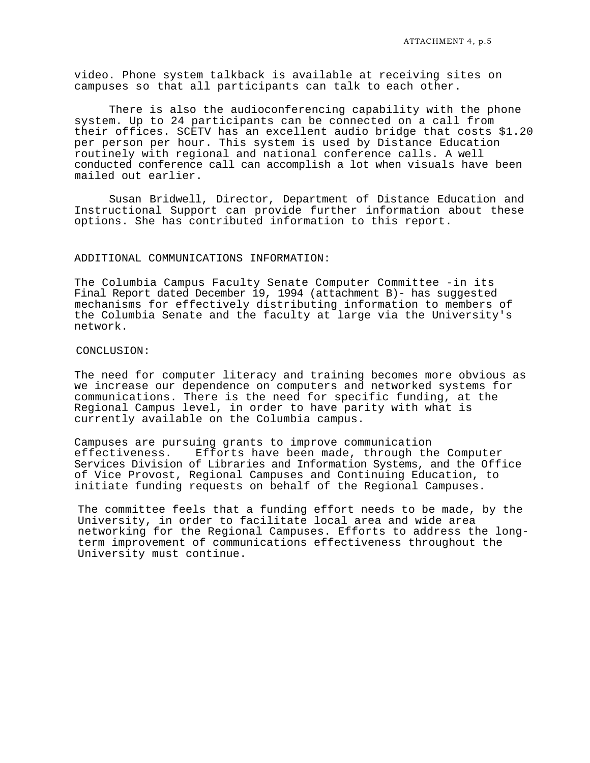video. Phone system talkback is available at receiving sites on campuses so that all participants can talk to each other.

There is also the audioconferencing capability with the phone system. Up to 24 participants can be connected on a call from their offices. SCETV has an excellent audio bridge that costs \$1.20 per person per hour. This system is used by Distance Education routinely with regional and national conference calls. A well conducted conference call can accomplish a lot when visuals have been mailed out earlier.

Susan Bridwell, Director, Department of Distance Education and Instructional Support can provide further information about these options. She has contributed information to this report.

#### ADDITIONAL COMMUNICATIONS INFORMATION:

The Columbia Campus Faculty Senate Computer Committee -in its Final Report dated December 19, 1994 (attachment B)- has suggested mechanisms for effectively distributing information to members of the Columbia Senate and the faculty at large via the University's network.

#### CONCLUSION:

The need for computer literacy and training becomes more obvious as we increase our dependence on computers and networked systems for communications. There is the need for specific funding, at the Regional Campus level, in order to have parity with what is currently available on the Columbia campus.

Campuses are pursuing grants to improve communication<br>effectiveness. Efforts have been made, through the Efforts have been made, through the Computer Services Division of Libraries and Information Systems, and the Office of Vice Provost, Regional Campuses and Continuing Education, to initiate funding requests on behalf of the Regional Campuses.

The committee feels that a funding effort needs to be made, by the University, in order to facilitate local area and wide area<br>networking for the Regional Campuses. Efforts to address the longterm improvement of communications effectiveness throughout the University must continue.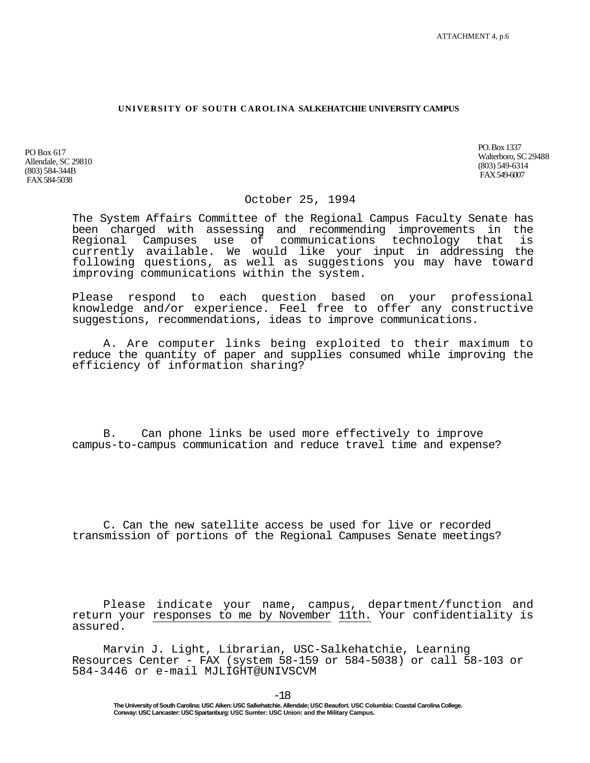#### **UNIVERSITY OF SOUTH CAROLINA SALKEHATCHIE UNIVERSITY CAMPUS**

PO Box 617 Allendale, SC 29810 (803) 584-344B FAX 584-5038

PO. Box 1337 Walterboro, SC 29488 (803) 549-6314 FAX 549-6007

#### October 25, 1994

The System Affairs Committee of the Regional Campus Faculty Senate has been charged with assessing and recommending improvements in the<br>Regional Campuses use of communications technology that is Regional Campuses use of communications technology that currently available. We would like your input in addressing the following questions, as well as suggestions you may have toward improving communications within the system.

Please respond to each question based on your professional knowledge and/or experience. Feel free to offer any constructive suggestions, recommendations, ideas to improve communications.

A. Are computer links being exploited to their maximum to reduce the quantity of paper and supplies consumed while improving the efficiency of information sharing?

B. Can phone links be used more effectively to improve campus-to-campus communication and reduce travel time and expense?

C. Can the new satellite access be used for live or recorded transmission of portions of the Regional Campuses Senate meetings?

Please indicate your name, campus, department/function and return your <u>responses to me by November</u> <u>11th.</u> Your confidentiality is assured.

Marvin J. Light, Librarian, USC-Salkehatchie, Learning Resources Center - FAX (system 58-159 or 584-5038) or call 58-103 or 584-3446 or e-mail MJLIGHT@UNIVSCVM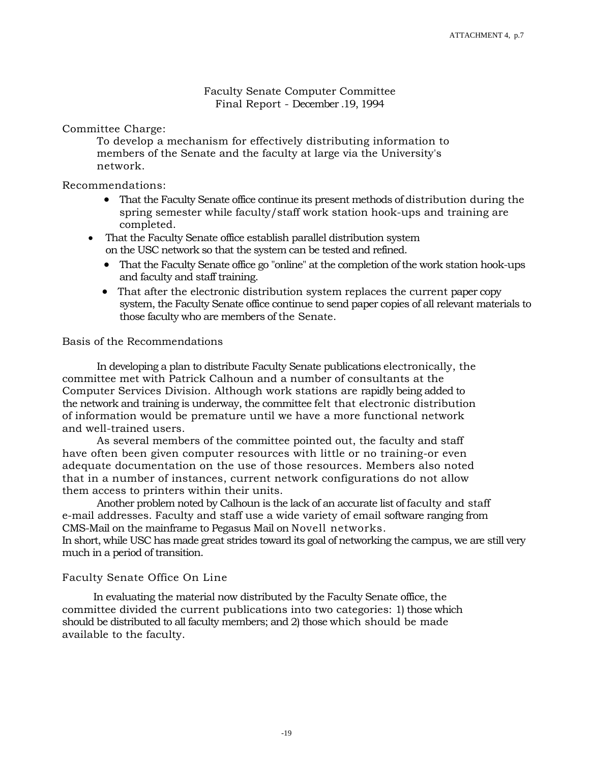Faculty Senate Computer Committee Final Report - December .19, 1994

Committee Charge:

To develop a mechanism for effectively distributing information to members of the Senate and the faculty at large via the University's network.

Recommendations:

- That the Faculty Senate office continue its present methods of distribution during the spring semester while faculty/staff work station hook-ups and training are completed.
- That the Faculty Senate office establish parallel distribution system on the USC network so that the system can be tested and refined.
	- That the Faculty Senate office go "online" at the completion of the work station hook-ups and faculty and staff training.
	- That after the electronic distribution system replaces the current paper copy system, the Faculty Senate office continue to send paper copies of all relevant materials to those faculty who are members of the Senate.

Basis of the Recommendations

In developing a plan to distribute Faculty Senate publications electronically, the committee met with Patrick Calhoun and a number of consultants at the Computer Services Division. Although work stations are rapidly being added to the network and training is underway, the committee felt that electronic distribution of information would be premature until we have a more functional network and well-trained users.

As several members of the committee pointed out, the faculty and staff have often been given computer resources with little or no training-or even adequate documentation on the use of those resources. Members also noted that in a number of instances, current network configurations do not allow them access to printers within their units.

Another problem noted by Calhoun is the lack of an accurate list of faculty and staff e-mail addresses. Faculty and staff use a wide variety of email software ranging from CMS-Mail on the mainframe to Pegasus Mail on Novell networks.

In short, while USC has made great strides toward its goal of networking the campus, we are still very much in a period of transition.

## Faculty Senate Office On Line

In evaluating the material now distributed by the Faculty Senate office, the committee divided the current publications into two categories: 1) those which should be distributed to all faculty members; and 2) those which should be made available to the faculty.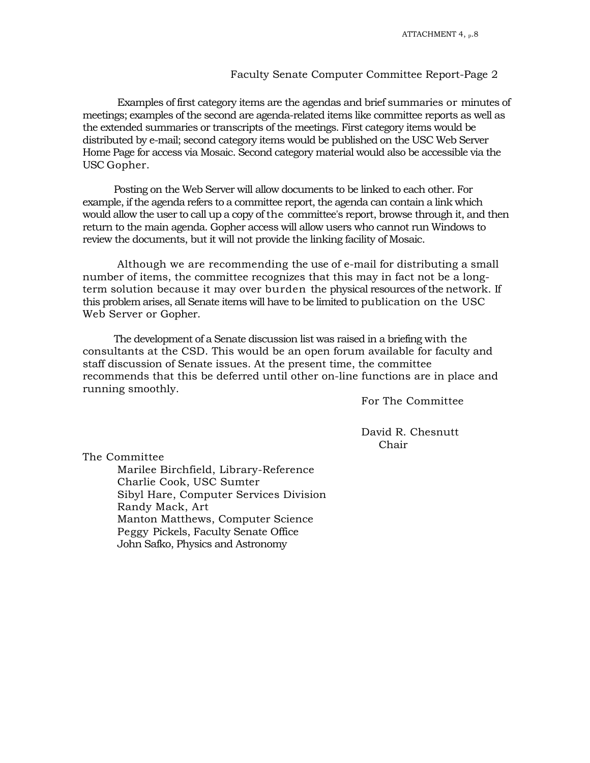## Faculty Senate Computer Committee Report-Page 2

Examples of first category items are the agendas and brief summaries or minutes of meetings; examples of the second are agenda-related items like committee reports as well as the extended summaries or transcripts of the meetings. First category items would be distributed by e-mail; second category items would be published on the USC Web Server Home Page for access via Mosaic. Second category material would also be accessible via the USC Gopher.

Posting on the Web Server will allow documents to be linked to each other. For example, if the agenda refers to a committee report, the agenda can contain a link which would allow the user to call up a copy of the committee's report, browse through it, and then return to the main agenda. Gopher access will allow users who cannot run Windows to review the documents, but it will not provide the linking facility of Mosaic.

Although we are recommending the use of e-mail for distributing a small number of items, the committee recognizes that this may in fact not be a longterm solution because it may over burden the physical resources of the network. If this problem arises, all Senate items will have to be limited to publication on the USC Web Server or Gopher.

The development of a Senate discussion list was raised in a briefing with the consultants at the CSD. This would be an open forum available for faculty and staff discussion of Senate issues. At the present time, the committee recommends that this be deferred until other on-line functions are in place and running smoothly.

For The Committee

David R. Chesnutt Chair

The Committee

Marilee Birchfield, Library-Reference Charlie Cook, USC Sumter Sibyl Hare, Computer Services Division Randy Mack, Art Manton Matthews, Computer Science Peggy Pickels, Faculty Senate Office John Safko, Physics and Astronomy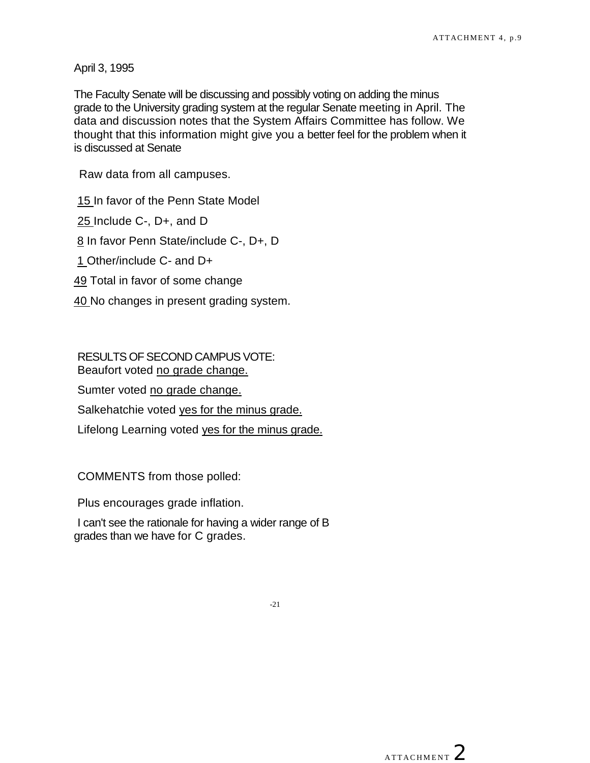April 3, 1995

The Faculty Senate will be discussing and possibly voting on adding the minus grade to the University grading system at the regular Senate meeting in April. The data and discussion notes that the System Affairs Committee has follow. We thought that this information might give you a better feel for the problem when it is discussed at Senate

Raw data from all campuses.

15 In favor of the Penn State Model

25 Include C-, D+, and D

8 In favor Penn State/include C-, D+, D

1 Other/include C- and D+

49 Total in favor of some change

40 No changes in present grading system.

RESULTS OF SECOND CAMPUS VOTE:

Beaufort voted no grade change.

Sumter voted no grade change.

Salkehatchie voted yes for the minus grade.

Lifelong Learning voted yes for the minus grade.

COMMENTS from those polled:

Plus encourages grade inflation.

I can't see the rationale for having a wider range of B grades than we have for C grades.

-21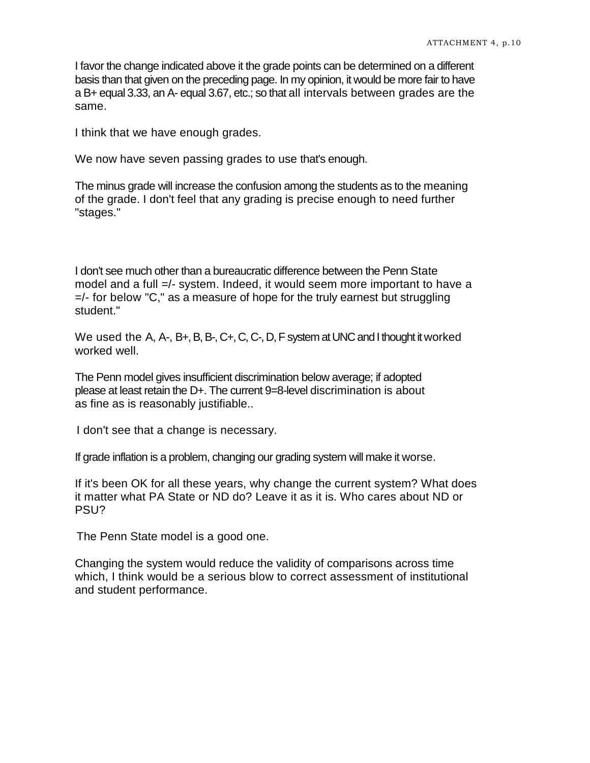I favor the change indicated above it the grade points can be determined on a different basis than that given on the preceding page. In my opinion, it would be more fair to have a B+ equal 3.33, an A- equal 3.67, etc.; so that all intervals between grades are the same.

I think that we have enough grades.

We now have seven passing grades to use that's enough.

The minus grade will increase the confusion among the students as to the meaning of the grade. I don't feel that any grading is precise enough to need further "stages."

I don't see much other than a bureaucratic difference between the Penn State model and a full =/- system. Indeed, it would seem more important to have a  $=$ /- for below "C," as a measure of hope for the truly earnest but struggling student."

We used the A, A-, B+, B, B-, C+, C, C-, D, F system at UNC and I thought it worked worked well.

The Penn model gives insufficient discrimination below average; if adopted please at least retain the D+. The current 9=8-level discrimination is about as fine as is reasonably justifiable..

I don't see that a change is necessary.

If grade inflation is a problem, changing our grading system will make it worse.

If it's been OK for all these years, why change the current system? What does it matter what PA State or ND do? Leave it as it is. Who cares about ND or PSU?

The Penn State model is a good one.

Changing the system would reduce the validity of comparisons across time which, I think would be a serious blow to correct assessment of institutional and student performance.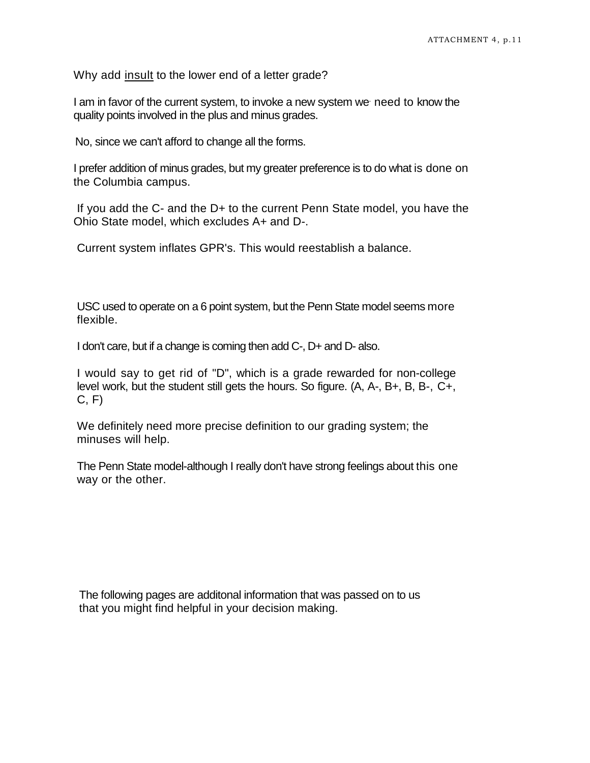Why add insult to the lower end of a letter grade?

I am in favor of the current system, to invoke a new system we. need to know the quality points involved in the plus and minus grades.

No, since we can't afford to change all the forms.

I prefer addition of minus grades, but my greater preference is to do what is done on the Columbia campus.

If you add the C- and the D+ to the current Penn State model, you have the Ohio State model, which excludes A+ and D-.

Current system inflates GPR's. This would reestablish a balance.

USC used to operate on a 6 point system, but the Penn State model seems more flexible.

I don't care, but if a change is coming then add C-, D+ and D- also.

I would say to get rid of "D", which is a grade rewarded for non-college level work, but the student still gets the hours. So figure. (A, A-, B+, B, B-, C+, C, F)

We definitely need more precise definition to our grading system; the minuses will help.

The Penn State model-although I really don't have strong feelings about this one way or the other.

The following pages are additonal information that was passed on to us that you might find helpful in your decision making.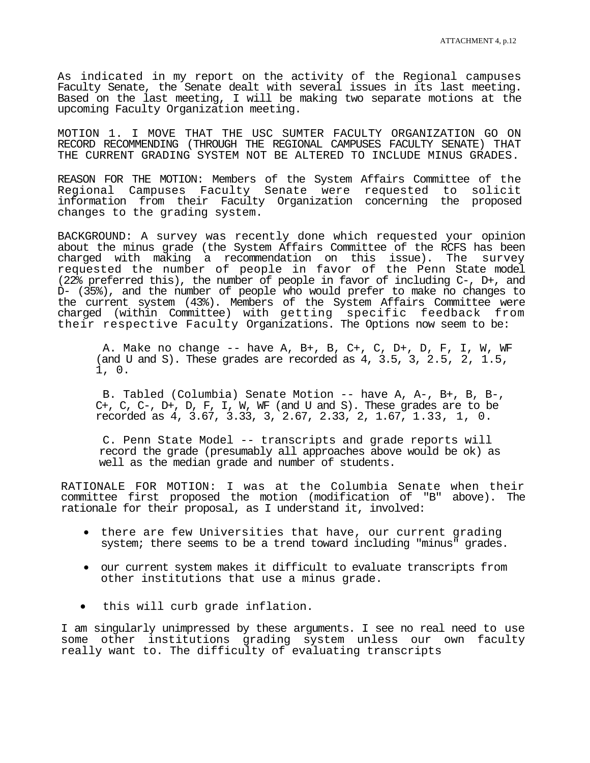As indicated in my report on the activity of the Regional campuses Faculty Senate, the Senate dealt with several issues in its last meeting. Based on the last meeting, I will be making two separate motions at the upcoming Faculty Organization meeting.

MOTION 1. I MOVE THAT THE USC SUMTER FACULTY ORGANIZATION GO ON RECORD RECOMMENDING (THROUGH THE REGIONAL CAMPUSES FACULTY SENATE) THAT THE CURRENT GRADING SYSTEM NOT BE ALTERED TO INCLUDE MINUS GRADES.

REASON FOR THE MOTION: Members of the System Affairs Committee of the Regional Campuses Faculty Senate were requested to solicit information from their Faculty Organization concerning the proposed changes to the grading system.

BACKGROUND: A survey was recently done which requested your opinion about the minus grade (the System Affairs Committee of the RCFS has been charged with making a recommendation on this issue). The survey requested the number of people in favor of the Penn State model (22% preferred this), the number of people in favor of including C-, D+, and D- (35%), and the number of people who would prefer to make no changes to the current system (43%). Members of the System Affairs Committee were charged (within Committee) with getting specific feedback from their respective Faculty Organizations. The Options now seem to be:

A. Make no change -- have A, B+, B, C+, C, D+, D, F, I, W, WF (and U and S). These grades are recorded as  $4, 3.5, 3, 2.5, 2, 1.5,$ 1, 0.

B. Tabled (Columbia) Senate Motion -- have A, A-, B+, B, B-, C+, C, C-, D+, D, F, I, W, WF (and U and S). These grades are to be recorded as 4, 3.67, 3.33, 3, 2.67, 2.33, 2, 1.67, 1.33, 1, 0.

C. Penn State Model -- transcripts and grade reports will record the grade (presumably all approaches above would be ok) as well as the median grade and number of students.

RATIONALE FOR MOTION: I was at the Columbia Senate when their committee first proposed the motion (modification of "B" above). The rationale for their proposal, as I understand it, involved:

- there are few Universities that have, our current grading system; there seems to be a trend toward including "minus" grades.
- our current system makes it difficult to evaluate transcripts from other institutions that use a minus grade.
- this will curb grade inflation.

I am singularly unimpressed by these arguments. I see no real need to use some other institutions grading system unless our own faculty really want to. The difficulty of evaluating transcripts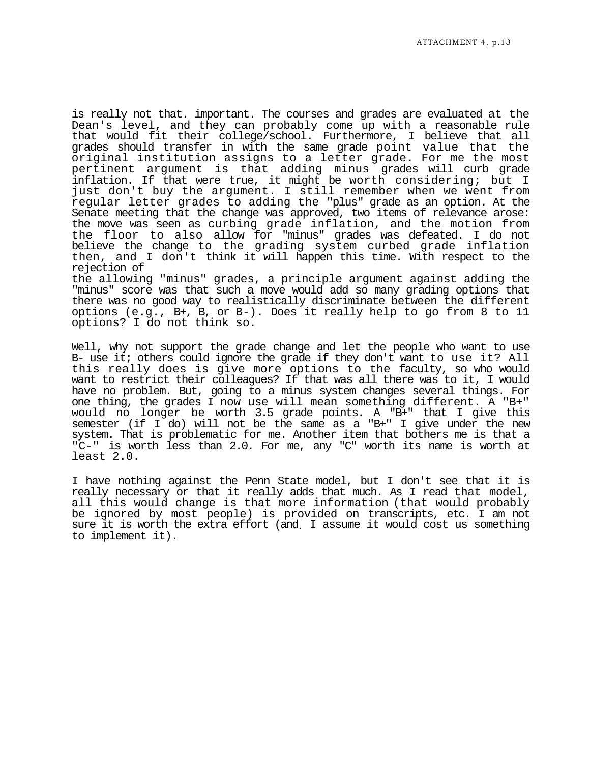is really not that. important. The courses and grades are evaluated at the Dean's level, and they can probably come up with a reasonable rule that would fit their college/school. Furthermore, I believe that all grades should transfer in with the same grade point value that the original institution assigns to a letter grade. For me the most pertinent argument is that adding minus grades will curb grade inflation. If that were true, it might be worth considering; but I just don't buy the argument. I still remember when we went from regular letter grades to adding the "plus" grade as an option. At the Senate meeting that the change was approved, two items of relevance arose: the move was seen as curbing grade inflation, and the motion from the floor to also allow for "minus" grades was defeated. I do not believe the change to the grading system curbed grade inflation then, and I don't think it will happen this time. With respect to the rejection of the allowing "minus" grades, a principle argument against adding the

"minus" score was that such a move would add so many grading options that there was no good way to realistically discriminate between the different options (e.g., B+, B, or B-). Does it really help to go from 8 to 11 options? I do not think so.

Well, why not support the grade change and let the people who want to use B- use it; others could ignore the grade if they don't want to use it? All this really does is give more options to the faculty, so who would want to restrict their colleagues? If that was all there was to it, I would have no problem. But, going to a minus system changes several things. For one thing, the grades I now use will mean something different. A "B+" would no longer be worth 3.5 grade points. A "B+" that I give this semester (if I do) will not be the same as a "B+" I give under the new system. That is problematic for me. Another item that bothers me is that a "C-" is worth less than 2.0. For me, any "C" worth its name is worth at least 2.0.

I have nothing against the Penn State model, but I don't see that it is really necessary or that it really adds that much. As I read that model, all this would change is that more information (that would probably be ignored by most people) is provided on transcripts, etc. I am not sure it is worth the extra effort (and. I assume it would cost us something to implement it).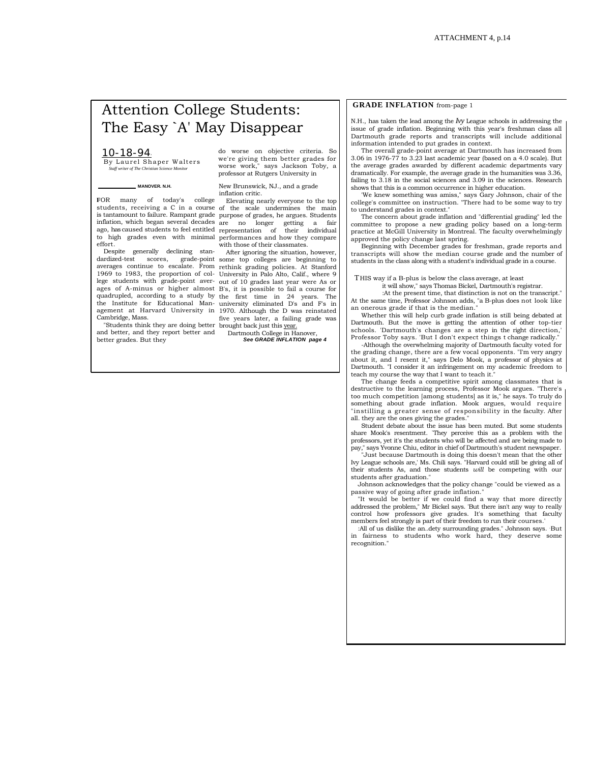# Attention College Students: The Easy `A' May Disappear

#### *10-18-94*,

By Laurel Shaper Walters *Staff writer of The Christian Science Monitor*

**MANOVER. N.H.**

**F**OR many of today's college students, receiving a C in a course of the scale undermines the main is tantamount to failure. Rampant grade purpose of grades, he argues. Students inflation, which began several decades are no inflation, which began several decades are no longer getting a fair<br>ago, hascaused students to feel entitled representation of their individual to high grades even with minimal performances and how they compare

effort. Despite generally declining stan-<br>dardized-test scores, grade-point dardized-test scores, grade-point some top colleges are beginning to averages continue to escalate. From rethink grading policies. At Stanford 1969 to 1983, the proportion of col-University in Palo Alto, Calif., where 9 lege students with grade-point aver-out of 10 grades last year were As or ages of A-minus or higher almost B's, it is possible to fail a course for quadrupled, according to a study by the first time in 24 years. The<br>the Institute for Educational Man- university eliminated D's and F's in agement at Harvard University in 1970. Although the D was reinstated Cambridge, Mass.

"Students think they are doing better brought back just this year. and better, and they report better and better grades. But they

do worse on objective criteria. So we're giving them better grades for worse work," says Jackson Toby, a professor at Rutgers University in

New Brunswick, NJ., and a grade inflation critic.

Elevating nearly everyone to the top with those of their classmates.

After ignoring the situation, however, five years later, a failing grade was

Dartmouth College in Hanover, *See GRADE INFLATION page 4*

#### **GRADE INFLATION** from-page 1

N.H., has taken the lead among the *Ivy* League schools in addressing the issue of grade inflation. Beginning with this year's freshman class all Dartmouth grade reports and transcripts will include additional information intended to put grades in context.

The overall grade-point average at Dartmouth has increased from 3.06 in 1976-77 to 3.23 last academic year (based on a 4.0 scale). But the average grades awarded by different academic departments vary dramatically. For example, the average grade in the humanities was 3.36, failing to 3.18 in the social sciences and 3.09 in the sciences. Research shows that this is a common occurrence in higher education.

'We knew something was amiss," says Gary Johnson, chair of the college's committee on instruction. "There had to be some way to try to understand grades in context.

The concern about grade inflation and "differential grading" led the committee to propose a new grading policy based on a long-term practice at McGill University in Montreal. The faculty overwhelmingly approved the policy change last spring.

Beginning with December grades for freshman, grade reports and transcripts will show the median course grade and the number of students in the class along with a student's individual grade in a course.

THIS way if a B-plus is below the class average, at least

it will show," says Thomas Bickel, Dartmouth's registrar.

:At the present time, that distinction is not on the transcript." At the same time, Professor Johnson adds, "a B-plus does not look like an onerous grade if that is the median."

Whether this will help curb grade inflation is still being debated at Dartmouth. But the move is getting the attention of other top-tier schools. 'Dartmouth's changes are a step in the right direction,' Professor Toby says. 'But I don't expect things t change radically."

-Although the overwhelming majority of Dartmouth faculty voted for the grading change, there are a few vocal opponents. "I'm very angry about it, and I resent it," says Delo Mook, a professor of physics at Dartmouth. "I consider it an infringement on my academic freedom to teach my course the way that I want to teach it."

The change feeds a competitive spirit among classmates that is destructive to the learning process, Professor Mook argues. "There's too much competition [among students] as it is," he says. To truly do something about grade inflation. Mook argues, would require "instilling a greater sense of responsibility in the faculty. After all. they are the ones giving the grades.'

Student debate about the issue has been muted. But some students share Mook's resentment. `They perceive this as a problem with the professors, yet it's the students who will be affected and are being made to pay," says Yvonne Chiu, editor in chief of Dartmouth's student newspaper.

"Just because Dartmouth is doing this doesn't mean that the other Ivy League schools are,' Ms. Chili says. "Harvard could still be giving all of their students As, and those students *will* be competing with our students after graduation."

Johnson acknowledges that the policy change "could be viewed as a passive way of going after grade inflation."

"It would be better if we could find a way that more directly addressed the problem," Mr Bickel says. 'But there isn't any way to really control how professors give grades. It's something that faculty members feel strongly is part of their freedom to run their courses.

:All of us dislike the an..dety surrounding grades." Johnson says. - But in fairness to students who work hard, they deserve some recognition."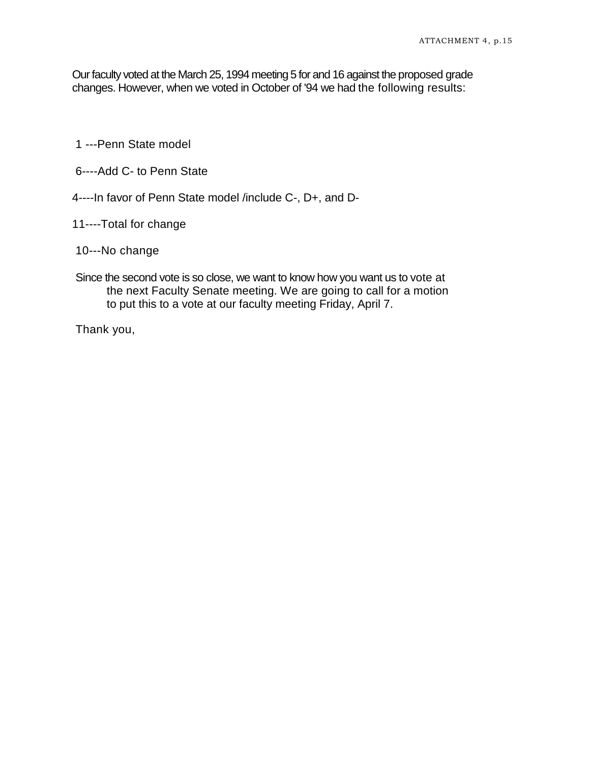Our faculty voted at the March 25, 1994 meeting 5 for and 16 against the proposed grade changes. However, when we voted in October of '94 we had the following results:

1 ---Penn State model

- 6----Add C- to Penn State
- 4----In favor of Penn State model /include C-, D+, and D-

11----Total for change

10---No change

Since the second vote is so close, we want to know how you want us to vote at the next Faculty Senate meeting. We are going to call for a motion to put this to a vote at our faculty meeting Friday, April 7.

Thank you,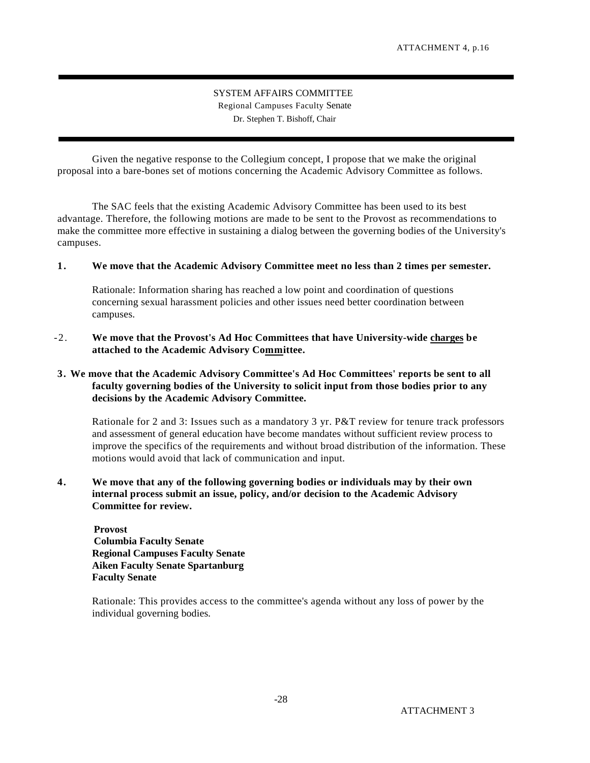## SYSTEM AFFAIRS COMMITTEE Regional Campuses Faculty Senate Dr. Stephen T. Bishoff, Chair

Given the negative response to the Collegium concept, I propose that we make the original proposal into a bare-bones set of motions concerning the Academic Advisory Committee as follows.

The SAC feels that the existing Academic Advisory Committee has been used to its best advantage. Therefore, the following motions are made to be sent to the Provost as recommendations to make the committee more effective in sustaining a dialog between the governing bodies of the University's campuses.

### **1. We move that the Academic Advisory Committee meet no less than 2 times per semester.**

Rationale: Information sharing has reached a low point and coordination of questions concerning sexual harassment policies and other issues need better coordination between campuses.

## -2. **We move that the Provost's Ad Hoc Committees that have University-wide charges be attached to the Academic Advisory Committee.**

## **3. We move that the Academic Advisory Committee's Ad Hoc Committees' reports be sent to all faculty governing bodies of the University to solicit input from those bodies prior to any decisions by the Academic Advisory Committee.**

Rationale for 2 and 3: Issues such as a mandatory 3 yr. P&T review for tenure track professors and assessment of general education have become mandates without sufficient review process to improve the specifics of the requirements and without broad distribution of the information. These motions would avoid that lack of communication and input.

## **4. We move that any of the following governing bodies or individuals may by their own internal process submit an issue, policy, and/or decision to the Academic Advisory Committee for review.**

**Provost Columbia Faculty Senate Regional Campuses Faculty Senate Aiken Faculty Senate Spartanburg Faculty Senate**

Rationale: This provides access to the committee's agenda without any loss of power by the individual governing bodies.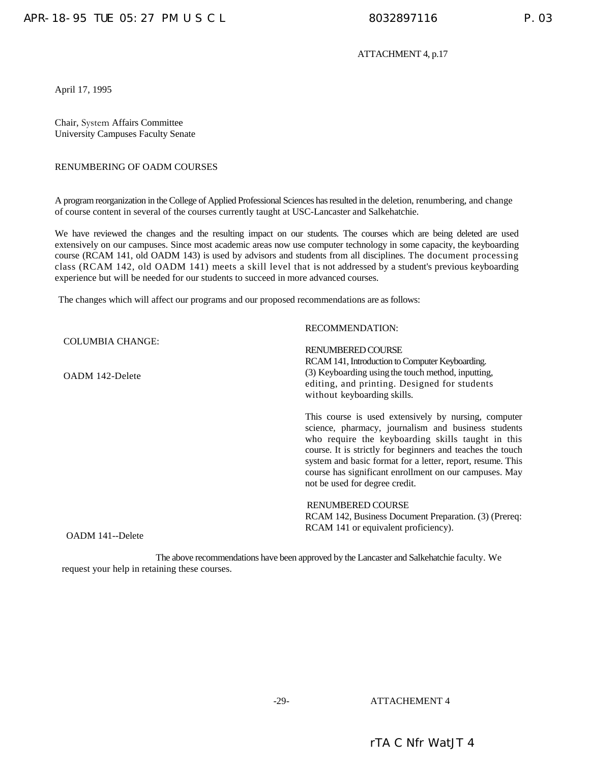ATTACHMENT 4, p.17

April 17, 1995

Chair, System Affairs Committee University Campuses Faculty Senate

#### RENUMBERING OF OADM COURSES

A program reorganization in the College of Applied Professional Sciences has resulted in the deletion, renumbering, and change of course content in several of the courses currently taught at USC-Lancaster and Salkehatchie.

We have reviewed the changes and the resulting impact on our students. The courses which are being deleted are used extensively on our campuses. Since most academic areas now use computer technology in some capacity, the keyboarding course (RCAM 141, old OADM 143) is used by advisors and students from all disciplines. The document processing class (RCAM 142, old OADM 141) meets a skill level that is not addressed by a student's previous keyboarding experience but will be needed for our students to succeed in more advanced courses.

The changes which will affect our programs and our proposed recommendations are as follows:

RECOMMENDATION: RENUMBERED COURSE RCAM 141, Introduction to Computer Keyboarding. (3) Keyboarding using the touch method, inputting, editing, and printing. Designed for students without keyboarding skills. This course is used extensively by nursing, computer science, pharmacy, journalism and business students who require the keyboarding skills taught in this course. It is strictly for beginners and teaches the touch system and basic format for a letter, report, resume. This course has significant enrollment on our campuses. May not be used for degree credit. RENUMBERED COURSE RCAM 142, Business Document Preparation. (3) (Prereq: RCAM 141 or equivalent proficiency). COLUMBIA CHANGE: OADM 142-Delete OADM 141--Delete

The above recommendations have been approved by the Lancaster and Salkehatchie faculty. We request your help in retaining these courses.

-29- ATTACHEMENT 4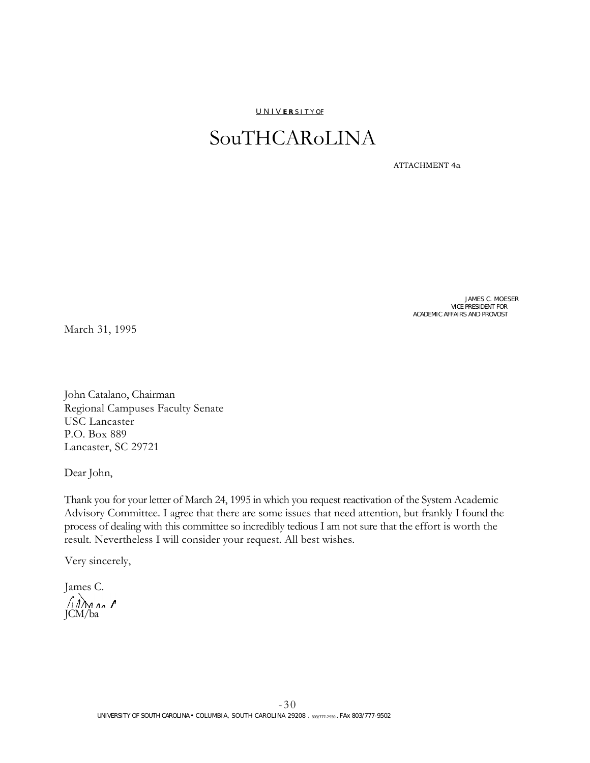#### U N I V **E R** S I T Y OF

# SouTHCARoLINA

ATTACHMENT 4a

JAMES C. MOESER VICE PRESIDENT FOR ACADEMIC AFFAIRS AND PROVOST

March 31, 1995

John Catalano, Chairman Regional Campuses Faculty Senate USC Lancaster P.O. Box 889 Lancaster, SC 29721

Dear John,

Thank you for your letter of March 24, 1995 in which you request reactivation of the System Academic Advisory Committee. I agree that there are some issues that need attention, but frankly I found the process of dealing with this committee so incredibly tedious I am not sure that the effort is worth the result. Nevertheless I will consider your request. All best wishes.

Very sincerely,

James C.  $\int$ i  $\int$ m an  $\int$ <br>JCM/ba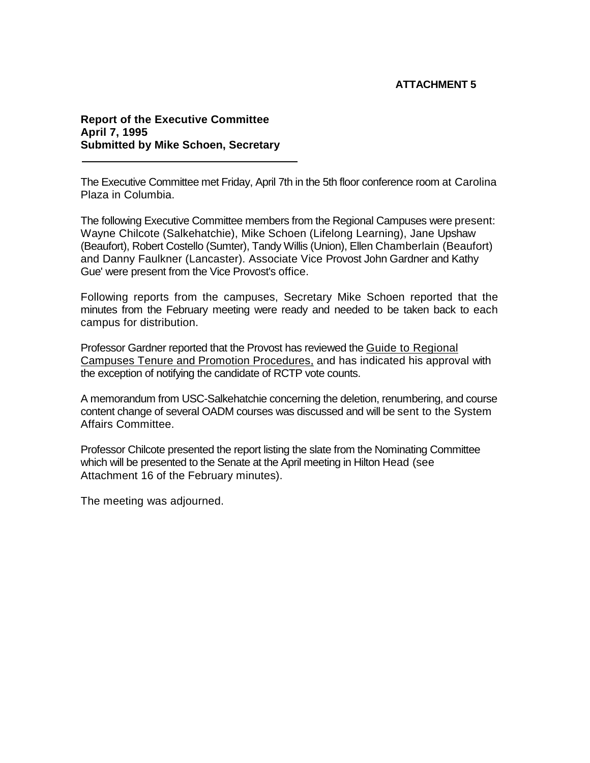## **ATTACHMENT 5**

## **Report of the Executive Committee April 7, 1995 Submitted by Mike Schoen, Secretary**

The Executive Committee met Friday, April 7th in the 5th floor conference room at Carolina Plaza in Columbia.

The following Executive Committee members from the Regional Campuses were present: Wayne Chilcote (Salkehatchie), Mike Schoen (Lifelong Learning), Jane Upshaw (Beaufort), Robert Costello (Sumter), Tandy Willis (Union), Ellen Chamberlain (Beaufort) and Danny Faulkner (Lancaster). Associate Vice Provost John Gardner and Kathy Gue' were present from the Vice Provost's office.

Following reports from the campuses, Secretary Mike Schoen reported that the minutes from the February meeting were ready and needed to be taken back to each campus for distribution.

Professor Gardner reported that the Provost has reviewed the Guide to Regional Campuses Tenure and Promotion Procedures, and has indicated his approval with the exception of notifying the candidate of RCTP vote counts.

A memorandum from USC-Salkehatchie concerning the deletion, renumbering, and course content change of several OADM courses was discussed and will be sent to the System Affairs Committee.

Professor Chilcote presented the report listing the slate from the Nominating Committee which will be presented to the Senate at the April meeting in Hilton Head (see Attachment 16 of the February minutes).

The meeting was adjourned.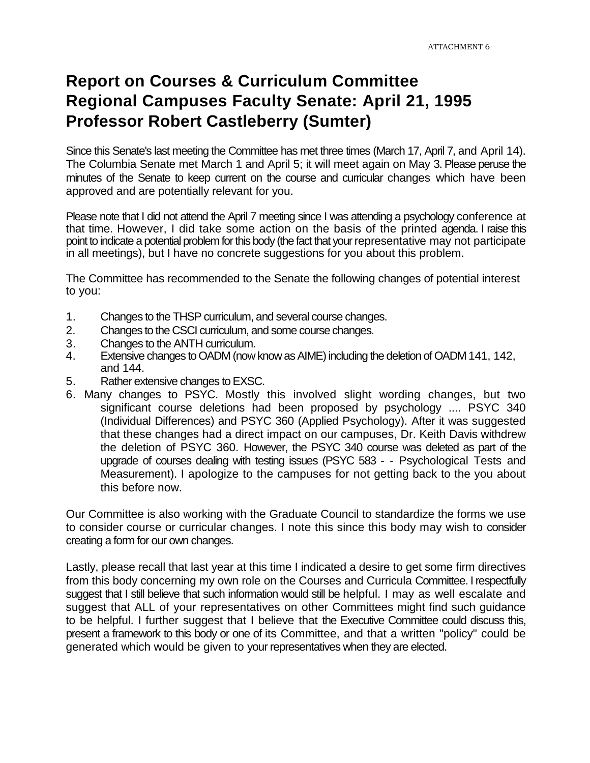# **Report on Courses & Curriculum Committee Regional Campuses Faculty Senate: April 21, 1995 Professor Robert Castleberry (Sumter)**

Since this Senate's last meeting the Committee has met three times (March 17, April 7, and April 14). The Columbia Senate met March 1 and April 5; it will meet again on May 3. Please peruse the minutes of the Senate to keep current on the course and curricular changes which have been approved and are potentially relevant for you.

Please note that I did not attend the April 7 meeting since I was attending a psychology conference at that time. However, I did take some action on the basis of the printed agenda. I raise this point to indicate a potential problem for this body (the fact that your representative may not participate in all meetings), but I have no concrete suggestions for you about this problem.

The Committee has recommended to the Senate the following changes of potential interest to you:

- 1. Changes to the THSP curriculum, and several course changes.
- 2. Changes to the CSCI curriculum, and some course changes.
- 3. Changes to the ANTH curriculum.
- 4. Extensive changes to OADM (now know as AIME) including the deletion of OADM 141, 142, and 144.
- 5. Rather extensive changes to EXSC.
- 6. Many changes to PSYC. Mostly this involved slight wording changes, but two significant course deletions had been proposed by psychology .... PSYC 340 (Individual Differences) and PSYC 360 (Applied Psychology). After it was suggested that these changes had a direct impact on our campuses, Dr. Keith Davis withdrew the deletion of PSYC 360. However, the PSYC 340 course was deleted as part of the upgrade of courses dealing with testing issues (PSYC 583 - - Psychological Tests and Measurement). I apologize to the campuses for not getting back to the you about this before now.

Our Committee is also working with the Graduate Council to standardize the forms we use to consider course or curricular changes. I note this since this body may wish to consider creating a form for our own changes.

Lastly, please recall that last year at this time I indicated a desire to get some firm directives from this body concerning my own role on the Courses and Curricula Committee. I respectfully suggest that I still believe that such information would still be helpful. I may as well escalate and suggest that ALL of your representatives on other Committees might find such guidance to be helpful. I further suggest that I believe that the Executive Committee could discuss this, present a framework to this body or one of its Committee, and that a written "policy" could be generated which would be given to your representatives when they are elected.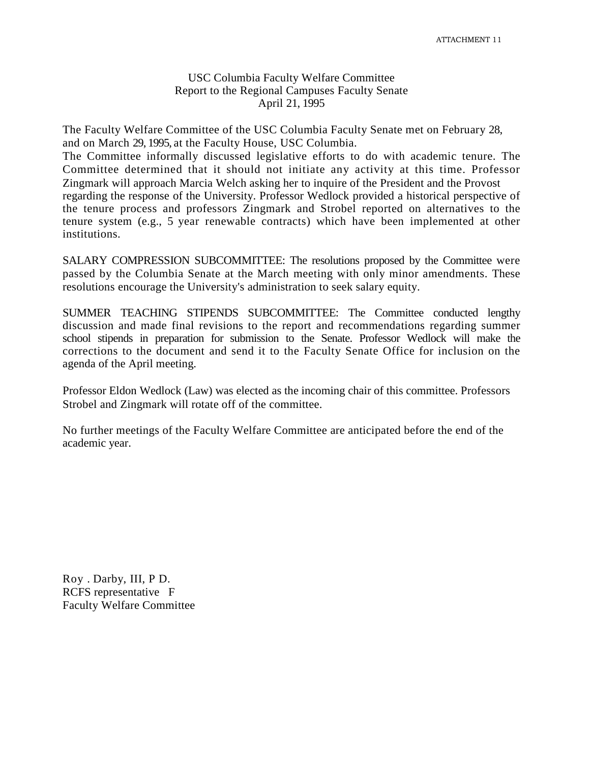USC Columbia Faculty Welfare Committee Report to the Regional Campuses Faculty Senate April 21, 1995

The Faculty Welfare Committee of the USC Columbia Faculty Senate met on February 28, and on March 29, 1995, at the Faculty House, USC Columbia.

The Committee informally discussed legislative efforts to do with academic tenure. The Committee determined that it should not initiate any activity at this time. Professor Zingmark will approach Marcia Welch asking her to inquire of the President and the Provost regarding the response of the University. Professor Wedlock provided a historical perspective of the tenure process and professors Zingmark and Strobel reported on alternatives to the tenure system (e.g., 5 year renewable contracts) which have been implemented at other institutions.

SALARY COMPRESSION SUBCOMMITTEE: The resolutions proposed by the Committee were passed by the Columbia Senate at the March meeting with only minor amendments. These resolutions encourage the University's administration to seek salary equity.

SUMMER TEACHING STIPENDS SUBCOMMITTEE: The Committee conducted lengthy discussion and made final revisions to the report and recommendations regarding summer school stipends in preparation for submission to the Senate. Professor Wedlock will make the corrections to the document and send it to the Faculty Senate Office for inclusion on the agenda of the April meeting.

Professor Eldon Wedlock (Law) was elected as the incoming chair of this committee. Professors Strobel and Zingmark will rotate off of the committee.

No further meetings of the Faculty Welfare Committee are anticipated before the end of the academic year.

Roy . Darby, III, P D. RCFS representative F Faculty Welfare Committee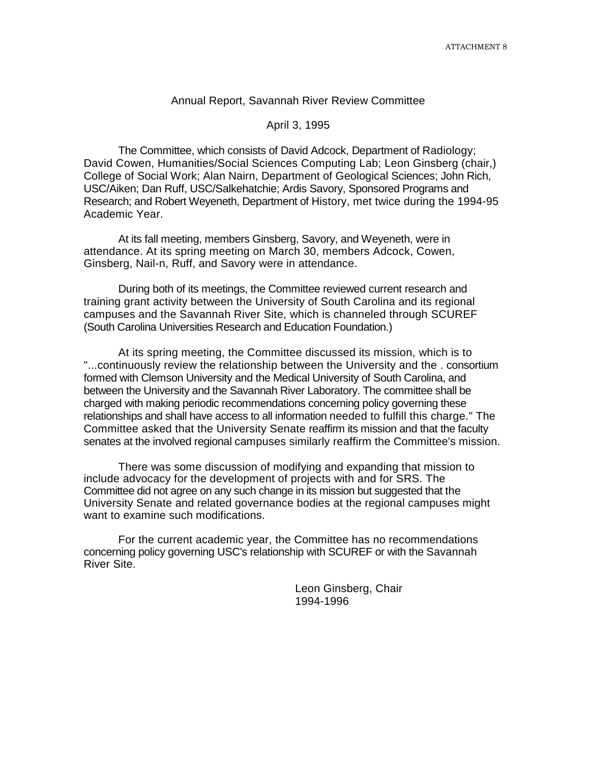## Annual Report, Savannah River Review Committee

#### April 3, 1995

The Committee, which consists of David Adcock, Department of Radiology; David Cowen, Humanities/Social Sciences Computing Lab; Leon Ginsberg (chair,) College of Social Work; Alan Nairn, Department of Geological Sciences; John Rich, USC/Aiken; Dan Ruff, USC/Salkehatchie; Ardis Savory, Sponsored Programs and Research; and Robert Weyeneth, Department of History, met twice during the 1994-95 Academic Year.

At its fall meeting, members Ginsberg, Savory, and Weyeneth, were in attendance. At its spring meeting on March 30, members Adcock, Cowen, Ginsberg, Nail-n, Ruff, and Savory were in attendance.

During both of its meetings, the Committee reviewed current research and training grant activity between the University of South Carolina and its regional campuses and the Savannah River Site, which is channeled through SCUREF (South Carolina Universities Research and Education Foundation.)

At its spring meeting, the Committee discussed its mission, which is to "...continuously review the relationship between the University and the . consortium formed with Clemson University and the Medical University of South Carolina, and between the University and the Savannah River Laboratory. The committee shall be charged with making periodic recommendations concerning policy governing these relationships and shall have access to all information needed to fulfill this charge." The Committee asked that the University Senate reaffirm its mission and that the faculty senates at the involved regional campuses similarly reaffirm the Committee's mission.

There was some discussion of modifying and expanding that mission to include advocacy for the development of projects with and for SRS. The Committee did not agree on any such change in its mission but suggested that the University Senate and related governance bodies at the regional campuses might want to examine such modifications.

For the current academic year, the Committee has no recommendations concerning policy governing USC's relationship with SCUREF or with the Savannah River Site.

> Leon Ginsberg, Chair 1994-1996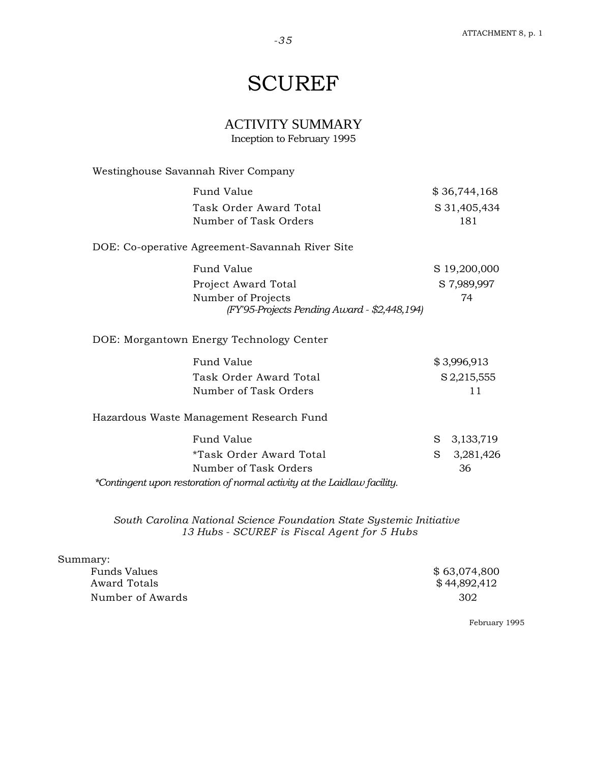# **SCUREF**

## ACTIVITY SUMMARY

Inception to February 1995

Westinghouse Savannah River Company

| Fund Value                                      |    | \$36,744,168  |
|-------------------------------------------------|----|---------------|
| Task Order Award Total                          |    | S 31,405,434  |
| Number of Task Orders                           |    | 181           |
| DOE: Co-operative Agreement-Savannah River Site |    |               |
| Fund Value                                      |    | S 19,200,000  |
| Project Award Total                             |    | S 7,989,997   |
| Number of Projects                              |    | 74            |
| (FY'95-Projects Pending Award - \$2,448,194)    |    |               |
| DOE: Morgantown Energy Technology Center        |    |               |
| Fund Value                                      |    | \$3,996,913   |
| Task Order Award Total                          |    | S 2, 215, 555 |
| Number of Task Orders                           |    | 11            |
| Hazardous Waste Management Research Fund        |    |               |
| <b>Fund Value</b>                               | S. | 3, 133, 719   |
| <i>*Task Order Award Total</i>                  | S. | 3,281,426     |
| Number of Task Orders                           |    | 36            |
|                                                 |    |               |

*\*Contingent upon restoration of normal activity at the Laidlaw facility.*

*South Carolina National Science Foundation State Systemic Initiative 13 Hubs - SCUREF is Fiscal Agent for 5 Hubs*

| Summary:         |              |
|------------------|--------------|
| Funds Values     | \$63,074,800 |
| Award Totals     | \$44,892,412 |
| Number of Awards | 302          |

February 1995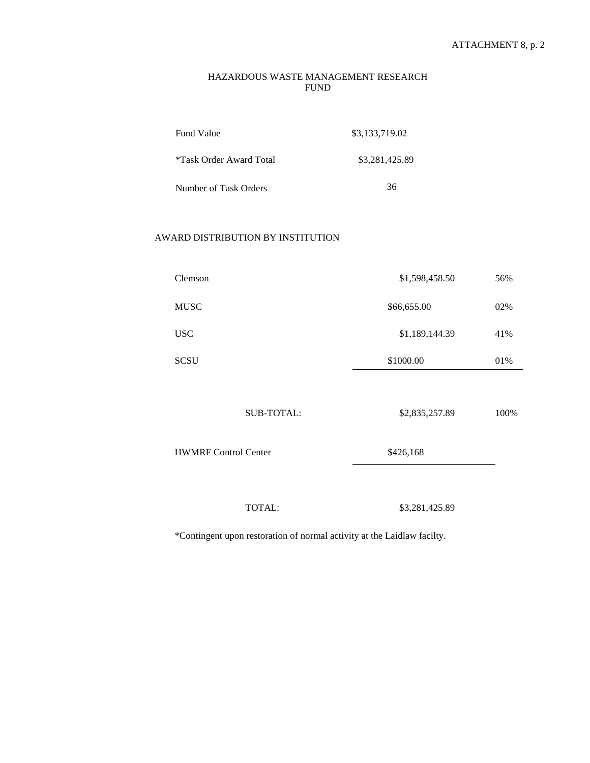### HAZARDOUS WASTE MANAGEMENT RESEARCH FUND

| <b>Fund Value</b>       | \$3,133,719.02 |
|-------------------------|----------------|
| *Task Order Award Total | \$3,281,425.89 |
| Number of Task Orders   | 36             |

#### AWARD DISTRIBUTION BY INSTITUTION

| Clemson                     | \$1,598,458.50 | 56%  |
|-----------------------------|----------------|------|
| <b>MUSC</b>                 | \$66,655.00    | 02%  |
| <b>USC</b>                  | \$1,189,144.39 | 41%  |
| <b>SCSU</b>                 | \$1000.00      | 01%  |
|                             |                |      |
| <b>SUB-TOTAL:</b>           | \$2,835,257.89 | 100% |
| <b>HWMRF Control Center</b> | \$426,168      |      |
|                             |                |      |

TOTAL: \$3,281,425.89

\*Contingent upon restoration of normal activity at the Laidlaw facilty.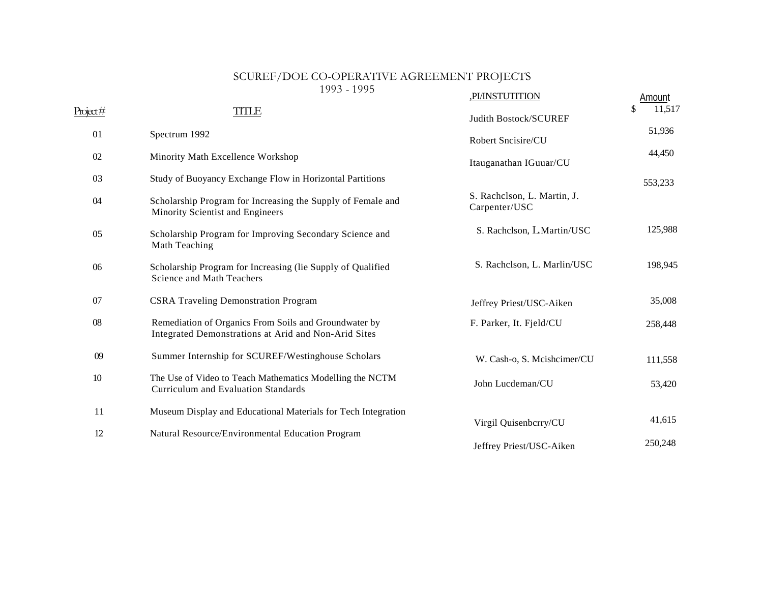# SCUREF/DOE CO-OPERATIVE AGREEMENT PROJECTS

1993 - 1995

|          | 1990 - 1990                                                                                                   | PI/INSTUTITION                               | Amount       |
|----------|---------------------------------------------------------------------------------------------------------------|----------------------------------------------|--------------|
| Project# | TITLE                                                                                                         | <b>Judith Bostock/SCUREF</b>                 | \$<br>11,517 |
| 01       | Spectrum 1992                                                                                                 | Robert Sncisire/CU                           | 51,936       |
| 02       | Minority Math Excellence Workshop                                                                             | Itauganathan IGuuar/CU                       | 44,450       |
| 03       | Study of Buoyancy Exchange Flow in Horizontal Partitions                                                      |                                              | 553,233      |
| 04       | Scholarship Program for Increasing the Supply of Female and<br>Minority Scientist and Engineers               | S. Rachelson, L. Martin, J.<br>Carpenter/USC |              |
| 05       | Scholarship Program for Improving Secondary Science and<br>Math Teaching                                      | S. Rachelson, L. Martin/USC                  | 125,988      |
| 06       | Scholarship Program for Increasing (lie Supply of Qualified<br>Science and Math Teachers                      | S. Rachelson, L. Marlin/USC                  | 198,945      |
| 07       | <b>CSRA Traveling Demonstration Program</b>                                                                   | Jeffrey Priest/USC-Aiken                     | 35,008       |
| 08       | Remediation of Organics From Soils and Groundwater by<br>Integrated Demonstrations at Arid and Non-Arid Sites | F. Parker, It. Fjeld/CU                      | 258,448      |
| 09       | Summer Internship for SCUREF/Westinghouse Scholars                                                            | W. Cash-o, S. Mcishcimer/CU                  | 111,558      |
| 10       | The Use of Video to Teach Mathematics Modelling the NCTM<br>Curriculum and Evaluation Standards               | John Lucdeman/CU                             | 53,420       |
| 11       | Museum Display and Educational Materials for Tech Integration                                                 |                                              | 41,615       |
| 12       | Natural Resource/Environmental Education Program                                                              | Virgil Quisenbcrry/CU                        |              |
|          |                                                                                                               | Jeffrey Priest/USC-Aiken                     | 250,248      |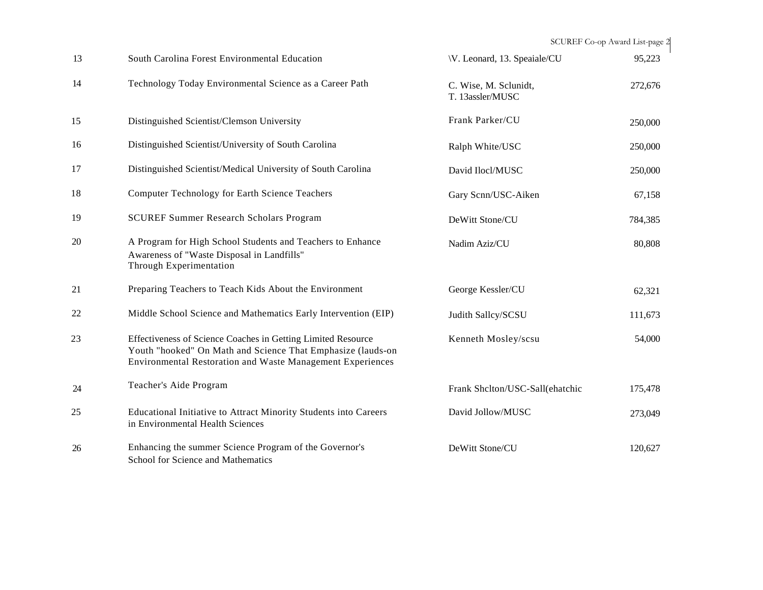|    |                                                                                                                                                                                                  |                                           | SCUREF Co-op Award List-page 2 |
|----|--------------------------------------------------------------------------------------------------------------------------------------------------------------------------------------------------|-------------------------------------------|--------------------------------|
| 13 | South Carolina Forest Environmental Education                                                                                                                                                    | \V. Leonard, 13. Speaiale/CU              | 95,223                         |
| 14 | Technology Today Environmental Science as a Career Path                                                                                                                                          | C. Wise, M. Sclunidt,<br>T. 13assler/MUSC | 272,676                        |
| 15 | Distinguished Scientist/Clemson University                                                                                                                                                       | Frank Parker/CU                           | 250,000                        |
| 16 | Distinguished Scientist/University of South Carolina                                                                                                                                             | Ralph White/USC                           | 250,000                        |
| 17 | Distinguished Scientist/Medical University of South Carolina                                                                                                                                     | David Ilocl/MUSC                          | 250,000                        |
| 18 | Computer Technology for Earth Science Teachers                                                                                                                                                   | Gary Scnn/USC-Aiken                       | 67,158                         |
| 19 | <b>SCUREF Summer Research Scholars Program</b>                                                                                                                                                   | DeWitt Stone/CU                           | 784,385                        |
| 20 | A Program for High School Students and Teachers to Enhance<br>Awareness of "Waste Disposal in Landfills"<br>Through Experimentation                                                              | Nadim Aziz/CU                             | 80,808                         |
| 21 | Preparing Teachers to Teach Kids About the Environment                                                                                                                                           | George Kessler/CU                         | 62,321                         |
| 22 | Middle School Science and Mathematics Early Intervention (EIP)                                                                                                                                   | Judith Sallcy/SCSU                        | 111,673                        |
| 23 | Effectiveness of Science Coaches in Getting Limited Resource<br>Youth "hooked" On Math and Science That Emphasize (lauds-on<br><b>Environmental Restoration and Waste Management Experiences</b> | Kenneth Mosley/scsu                       | 54,000                         |
| 24 | Teacher's Aide Program                                                                                                                                                                           | Frank Shclton/USC-Sall(ehatchic           | 175,478                        |
| 25 | Educational Initiative to Attract Minority Students into Careers<br>in Environmental Health Sciences                                                                                             | David Jollow/MUSC                         | 273,049                        |
| 26 | Enhancing the summer Science Program of the Governor's<br>School for Science and Mathematics                                                                                                     | DeWitt Stone/CU                           | 120,627                        |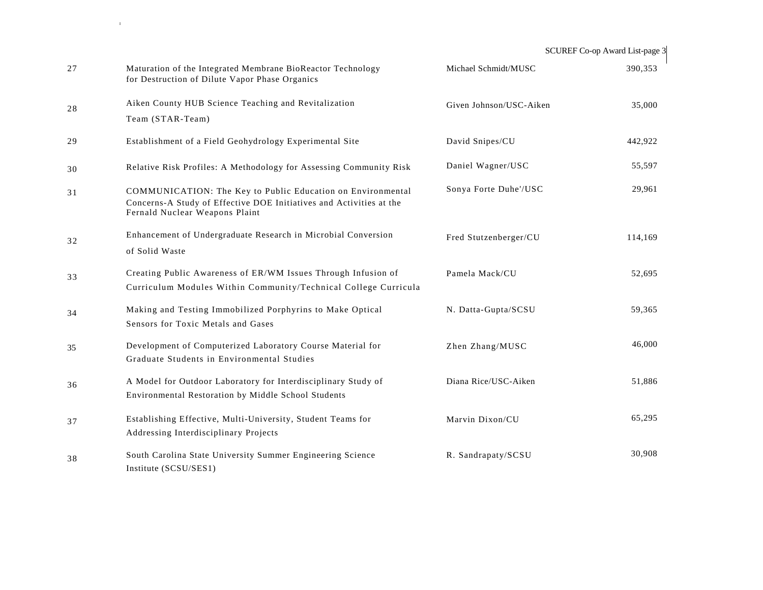| <b>SCUREF Co-op Award List-page</b> |  |  |
|-------------------------------------|--|--|
|                                     |  |  |

|    |                                                                                                                                                                      |                         | SCUREF Co-op Award List-page 3 |
|----|----------------------------------------------------------------------------------------------------------------------------------------------------------------------|-------------------------|--------------------------------|
| 27 | Maturation of the Integrated Membrane BioReactor Technology<br>for Destruction of Dilute Vapor Phase Organics                                                        | Michael Schmidt/MUSC    | 390,353                        |
| 28 | Aiken County HUB Science Teaching and Revitalization<br>Team (STAR-Team)                                                                                             | Given Johnson/USC-Aiken | 35,000                         |
| 29 | Establishment of a Field Geohydrology Experimental Site                                                                                                              | David Snipes/CU         | 442,922                        |
| 30 | Relative Risk Profiles: A Methodology for Assessing Community Risk                                                                                                   | Daniel Wagner/USC       | 55,597                         |
| 31 | COMMUNICATION: The Key to Public Education on Environmental<br>Concerns-A Study of Effective DOE Initiatives and Activities at the<br>Fernald Nuclear Weapons Plaint | Sonya Forte Duhe'/USC   | 29,961                         |
| 32 | Enhancement of Undergraduate Research in Microbial Conversion<br>of Solid Waste                                                                                      | Fred Stutzenberger/CU   | 114,169                        |
| 33 | Creating Public Awareness of ER/WM Issues Through Infusion of<br>Curriculum Modules Within Community/Technical College Curricula                                     | Pamela Mack/CU          | 52,695                         |
| 34 | Making and Testing Immobilized Porphyrins to Make Optical<br>Sensors for Toxic Metals and Gases                                                                      | N. Datta-Gupta/SCSU     | 59,365                         |
| 35 | Development of Computerized Laboratory Course Material for<br>Graduate Students in Environmental Studies                                                             | Zhen Zhang/MUSC         | 46,000                         |
| 36 | A Model for Outdoor Laboratory for Interdisciplinary Study of<br>Environmental Restoration by Middle School Students                                                 | Diana Rice/USC-Aiken    | 51,886                         |
| 37 | Establishing Effective, Multi-University, Student Teams for<br>Addressing Interdisciplinary Projects                                                                 | Marvin Dixon/CU         | 65,295                         |
| 38 | South Carolina State University Summer Engineering Science<br>Institute (SCSU/SES1)                                                                                  | R. Sandrapaty/SCSU      | 30,908                         |

 $\mathbf{I}$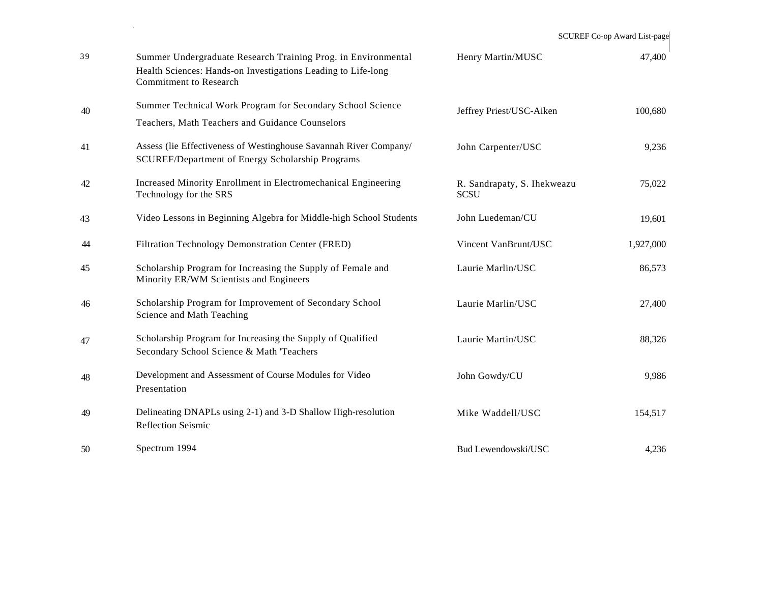SCUREF Co-op Award List-page

| 39 | Summer Undergraduate Research Training Prog. in Environmental<br>Health Sciences: Hands-on Investigations Leading to Life-long<br><b>Commitment</b> to Research | Henry Martin/MUSC                          | 47,400    |
|----|-----------------------------------------------------------------------------------------------------------------------------------------------------------------|--------------------------------------------|-----------|
| 40 | Summer Technical Work Program for Secondary School Science<br>Teachers, Math Teachers and Guidance Counselors                                                   | Jeffrey Priest/USC-Aiken                   | 100,680   |
| 41 | Assess (lie Effectiveness of Westinghouse Savannah River Company/<br>SCUREF/Department of Energy Scholarship Programs                                           | John Carpenter/USC                         | 9,236     |
| 42 | Increased Minority Enrollment in Electromechanical Engineering<br>Technology for the SRS                                                                        | R. Sandrapaty, S. Ihekweazu<br><b>SCSU</b> | 75,022    |
| 43 | Video Lessons in Beginning Algebra for Middle-high School Students                                                                                              | John Luedeman/CU                           | 19,601    |
| 44 | Filtration Technology Demonstration Center (FRED)                                                                                                               | Vincent VanBrunt/USC                       | 1,927,000 |
| 45 | Scholarship Program for Increasing the Supply of Female and<br>Minority ER/WM Scientists and Engineers                                                          | Laurie Marlin/USC                          | 86,573    |
| 46 | Scholarship Program for Improvement of Secondary School<br>Science and Math Teaching                                                                            | Laurie Marlin/USC                          | 27,400    |
| 47 | Scholarship Program for Increasing the Supply of Qualified<br>Secondary School Science & Math Teachers                                                          | Laurie Martin/USC                          | 88,326    |
| 48 | Development and Assessment of Course Modules for Video<br>Presentation                                                                                          | John Gowdy/CU                              | 9,986     |
| 49 | Delineating DNAPLs using 2-1) and 3-D Shallow High-resolution<br><b>Reflection Seismic</b>                                                                      | Mike Waddell/USC                           | 154,517   |
| 50 | Spectrum 1994                                                                                                                                                   | Bud Lewendowski/USC                        | 4,236     |

 $\mathbf{I}$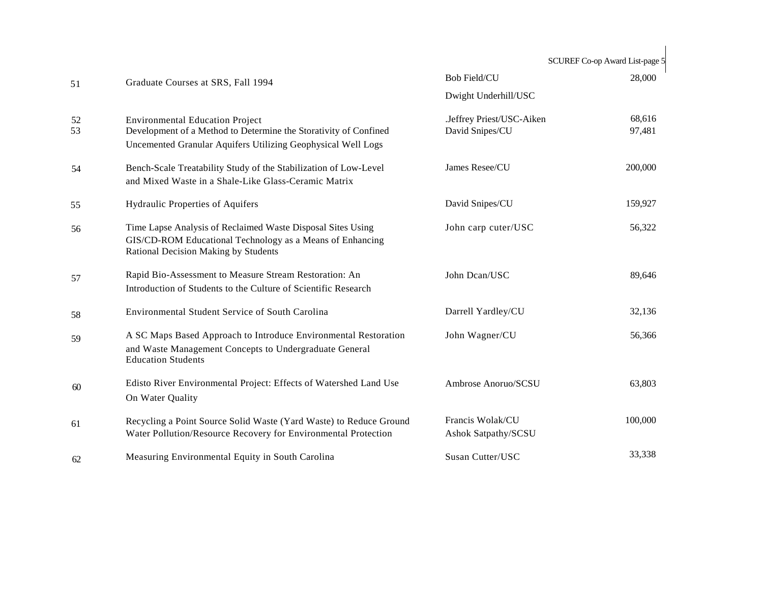|    |                                                                                                                                                                  |                                                | SCUREF Co-op Award List-page 5 |
|----|------------------------------------------------------------------------------------------------------------------------------------------------------------------|------------------------------------------------|--------------------------------|
| 51 | Graduate Courses at SRS, Fall 1994                                                                                                                               | <b>Bob Field/CU</b>                            | 28,000                         |
|    |                                                                                                                                                                  | Dwight Underhill/USC                           |                                |
| 52 | <b>Environmental Education Project</b>                                                                                                                           | .Jeffrey Priest/USC-Aiken                      | 68,616                         |
| 53 | Development of a Method to Determine the Storativity of Confined<br>Uncemented Granular Aquifers Utilizing Geophysical Well Logs                                 | David Snipes/CU                                | 97,481                         |
| 54 | Bench-Scale Treatability Study of the Stabilization of Low-Level<br>and Mixed Waste in a Shale-Like Glass-Ceramic Matrix                                         | James Resee/CU                                 | 200,000                        |
| 55 | Hydraulic Properties of Aquifers                                                                                                                                 | David Snipes/CU                                | 159,927                        |
| 56 | Time Lapse Analysis of Reclaimed Waste Disposal Sites Using<br>GIS/CD-ROM Educational Technology as a Means of Enhancing<br>Rational Decision Making by Students | John carp cuter/USC                            | 56,322                         |
| 57 | Rapid Bio-Assessment to Measure Stream Restoration: An<br>Introduction of Students to the Culture of Scientific Research                                         | John Dcan/USC                                  | 89,646                         |
| 58 | Environmental Student Service of South Carolina                                                                                                                  | Darrell Yardley/CU                             | 32,136                         |
| 59 | A SC Maps Based Approach to Introduce Environmental Restoration<br>and Waste Management Concepts to Undergraduate General<br><b>Education Students</b>           | John Wagner/CU                                 | 56,366                         |
| 60 | Edisto River Environmental Project: Effects of Watershed Land Use<br>On Water Quality                                                                            | Ambrose Anoruo/SCSU                            | 63,803                         |
| 61 | Recycling a Point Source Solid Waste (Yard Waste) to Reduce Ground<br>Water Pollution/Resource Recovery for Environmental Protection                             | Francis Wolak/CU<br><b>Ashok Satpathy/SCSU</b> | 100,000                        |
| 62 | Measuring Environmental Equity in South Carolina                                                                                                                 | Susan Cutter/USC                               | 33,338                         |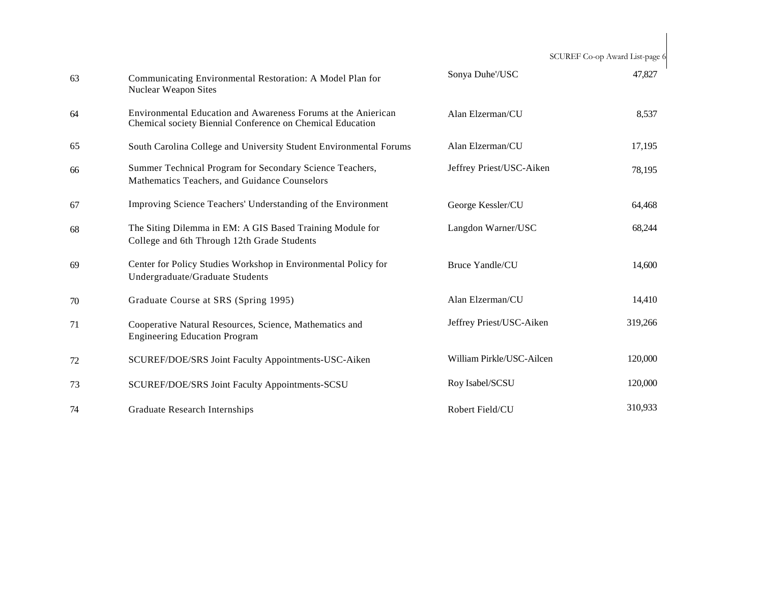SCUREF Co-op Award List-page 6

| 63 | Communicating Environmental Restoration: A Model Plan for<br>Nuclear Weapon Sites                                           | Sonya Duhe'/USC           | 47,827  |
|----|-----------------------------------------------------------------------------------------------------------------------------|---------------------------|---------|
| 64 | Environmental Education and Awareness Forums at the Anierican<br>Chemical society Biennial Conference on Chemical Education | Alan Elzerman/CU          | 8.537   |
| 65 | South Carolina College and University Student Environmental Forums                                                          | Alan Elzerman/CU          | 17,195  |
| 66 | Summer Technical Program for Secondary Science Teachers,<br>Mathematics Teachers, and Guidance Counselors                   | Jeffrey Priest/USC-Aiken  | 78,195  |
| 67 | Improving Science Teachers' Understanding of the Environment                                                                | George Kessler/CU         | 64,468  |
| 68 | The Siting Dilemma in EM: A GIS Based Training Module for<br>College and 6th Through 12th Grade Students                    | Langdon Warner/USC        | 68,244  |
| 69 | Center for Policy Studies Workshop in Environmental Policy for<br>Undergraduate/Graduate Students                           | <b>Bruce Yandle/CU</b>    | 14,600  |
| 70 | Graduate Course at SRS (Spring 1995)                                                                                        | Alan Elzerman/CU          | 14,410  |
| 71 | Cooperative Natural Resources, Science, Mathematics and<br><b>Engineering Education Program</b>                             | Jeffrey Priest/USC-Aiken  | 319,266 |
| 72 | SCUREF/DOE/SRS Joint Faculty Appointments-USC-Aiken                                                                         | William Pirkle/USC-Ailcen | 120,000 |
| 73 | SCUREF/DOE/SRS Joint Faculty Appointments-SCSU                                                                              | Roy Isabel/SCSU           | 120,000 |
| 74 | Graduate Research Internships                                                                                               | Robert Field/CU           | 310,933 |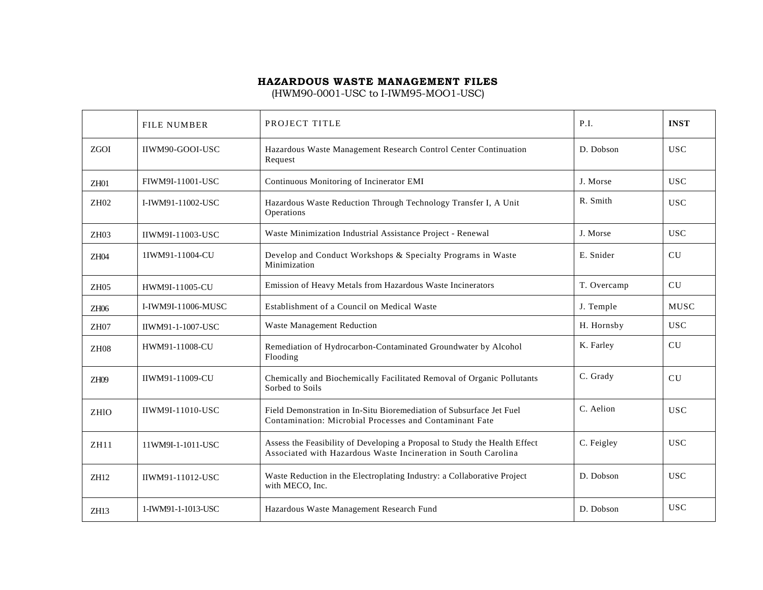#### **HAZARDOUS WASTE MANAGEMENT FILES**

(HWM90-0001-USC to I-IWM95-MOO1-USC)

|                  | <b>FILE NUMBER</b> | PROJECT TITLE                                                                                                                                | P.I.        | <b>INST</b> |
|------------------|--------------------|----------------------------------------------------------------------------------------------------------------------------------------------|-------------|-------------|
| <b>ZGOI</b>      | IIWM90-GOOI-USC    | Hazardous Waste Management Research Control Center Continuation<br>Request                                                                   | D. Dobson   | <b>USC</b>  |
| ZH01             | FIWM9I-11001-USC   | Continuous Monitoring of Incinerator EMI                                                                                                     | J. Morse    | <b>USC</b>  |
| ZH <sub>02</sub> | I-IWM91-11002-USC  | Hazardous Waste Reduction Through Technology Transfer I, A Unit<br>Operations                                                                | R. Smith    | <b>USC</b>  |
| ZH03             | IIWM9I-11003-USC   | Waste Minimization Industrial Assistance Project - Renewal                                                                                   | J. Morse    | <b>USC</b>  |
| ZH04             | 1IWM91-11004-CU    | Develop and Conduct Workshops & Specialty Programs in Waste<br>Minimization                                                                  | E. Snider   | CU          |
| ZH05             | HWM9I-11005-CU     | Emission of Heavy Metals from Hazardous Waste Incinerators                                                                                   | T. Overcamp | CU          |
| <b>ZH06</b>      | I-IWM9I-11006-MUSC | Establishment of a Council on Medical Waste                                                                                                  | J. Temple   | MUSC        |
| ZH07             | IIWM91-1-1007-USC  | Waste Management Reduction                                                                                                                   | H. Hornsby  | <b>USC</b>  |
| ZH <sub>08</sub> | HWM91-11008-CU     | Remediation of Hydrocarbon-Contaminated Groundwater by Alcohol<br>Flooding                                                                   | K. Farley   | CU          |
| ZH09             | IIWM91-11009-CU    | Chemically and Biochemically Facilitated Removal of Organic Pollutants<br>Sorbed to Soils                                                    | C. Grady    | CU          |
| ZHIO             | IIWM9I-11010-USC   | Field Demonstration in In-Situ Bioremediation of Subsurface Jet Fuel<br>Contamination: Microbial Processes and Contaminant Fate              | C. Aelion   | <b>USC</b>  |
| ZH11             | 11WM9I-1-1011-USC  | Assess the Feasibility of Developing a Proposal to Study the Health Effect<br>Associated with Hazardous Waste Incineration in South Carolina | C. Feigley  | <b>USC</b>  |
| ZH12             | IIWM91-11012-USC   | Waste Reduction in the Electroplating Industry: a Collaborative Project<br>with MECO, Inc.                                                   | D. Dobson   | <b>USC</b>  |
| ZH13             | 1-IWM91-1-1013-USC | Hazardous Waste Management Research Fund                                                                                                     | D. Dobson   | <b>USC</b>  |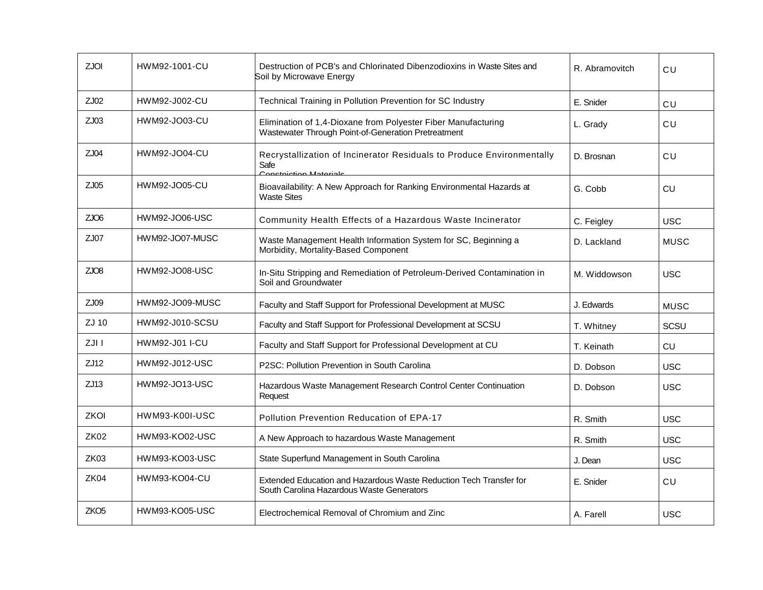| <b>ZJOI</b>      | HWM92-1001-CU          | Destruction of PCB's and Chlorinated Dibenzodioxins in Waste Sites and<br>Soil by Microwave Energy                   | R. Abramovitch | CU          |
|------------------|------------------------|----------------------------------------------------------------------------------------------------------------------|----------------|-------------|
| ZJ02             | HWM92-J002-CU          | Technical Training in Pollution Prevention for SC Industry                                                           | E. Snider      | CU          |
| ZJ03             | HWM92-JO03-CU          | Elimination of 1,4-Dioxane from Polyester Fiber Manufacturing<br>Wastewater Through Point-of-Generation Pretreatment | L. Grady       | CU          |
| $Z$ J $04$       | HWM92-JO04-CU          | Recrystallization of Incinerator Residuals to Produce Environmentally<br>Safe<br>Construction Materials              | D. Brosnan     | CU          |
| ZJ05             | <b>HWM92-JO05-CU</b>   | Bioavailability: A New Approach for Ranking Environmental Hazards at<br><b>Waste Sites</b>                           | G. Cobb        | CU          |
| ZJO6             | <b>HWM92-JO06-USC</b>  | Community Health Effects of a Hazardous Waste Incinerator                                                            | C. Feigley     | <b>USC</b>  |
| ZJ07             | HWM92-JO07-MUSC        | Waste Management Health Information System for SC, Beginning a<br>Morbidity, Mortality-Based Component               | D. Lackland    | <b>MUSC</b> |
| ZJO8             | HWM92-JO08-USC         | In-Situ Stripping and Remediation of Petroleum-Derived Contamination in<br>Soil and Groundwater                      | M. Widdowson   | <b>USC</b>  |
| ZJ09             | <b>HWM92-JO09-MUSC</b> | Faculty and Staff Support for Professional Development at MUSC                                                       | J. Edwards     | <b>MUSC</b> |
| ZJ 10            | <b>HWM92-J010-SCSU</b> | Faculty and Staff Support for Professional Development at SCSU                                                       | T. Whitney     | SCSU        |
| ZJI I            | HWM92-J01 I-CU         | Faculty and Staff Support for Professional Development at CU                                                         | T. Keinath     | <b>CU</b>   |
| ZJ12             | HWM92-J012-USC         | P2SC: Pollution Prevention in South Carolina                                                                         | D. Dobson      | <b>USC</b>  |
| ZJ13             | HWM92-JO13-USC         | Hazardous Waste Management Research Control Center Continuation<br>Request                                           | D. Dobson      | <b>USC</b>  |
| ZKOI             | HWM93-K00I-USC         | Pollution Prevention Reducation of EPA-17                                                                            | R. Smith       | <b>USC</b>  |
| <b>ZK02</b>      | HWM93-KO02-USC         | A New Approach to hazardous Waste Management                                                                         | R. Smith       | <b>USC</b>  |
| <b>ZK03</b>      | HWM93-KO03-USC         | State Superfund Management in South Carolina                                                                         | J. Dean        | <b>USC</b>  |
| <b>ZK04</b>      | HWM93-KO04-CU          | Extended Education and Hazardous Waste Reduction Tech Transfer for<br>South Carolina Hazardous Waste Generators      | E. Snider      | CU          |
| ZKO <sub>5</sub> | HWM93-KO05-USC         | Electrochemical Removal of Chromium and Zinc                                                                         | A. Farell      | <b>USC</b>  |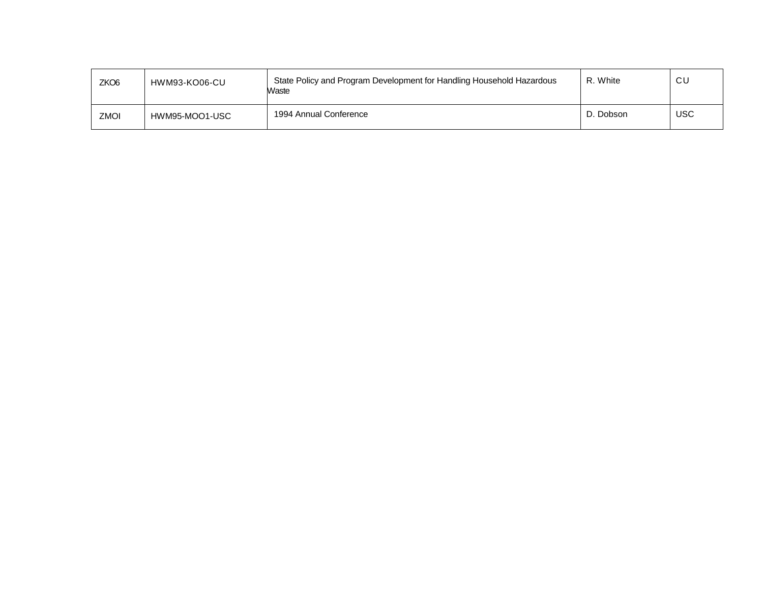| ZKO <sub>6</sub> | HWM93-KO06-CU  | State Policy and Program Development for Handling Household Hazardous<br>Waste | R. White  | CU         |
|------------------|----------------|--------------------------------------------------------------------------------|-----------|------------|
| <b>ZMOI</b>      | HWM95-MOO1-USC | 1994 Annual Conference                                                         | D. Dobson | <b>USC</b> |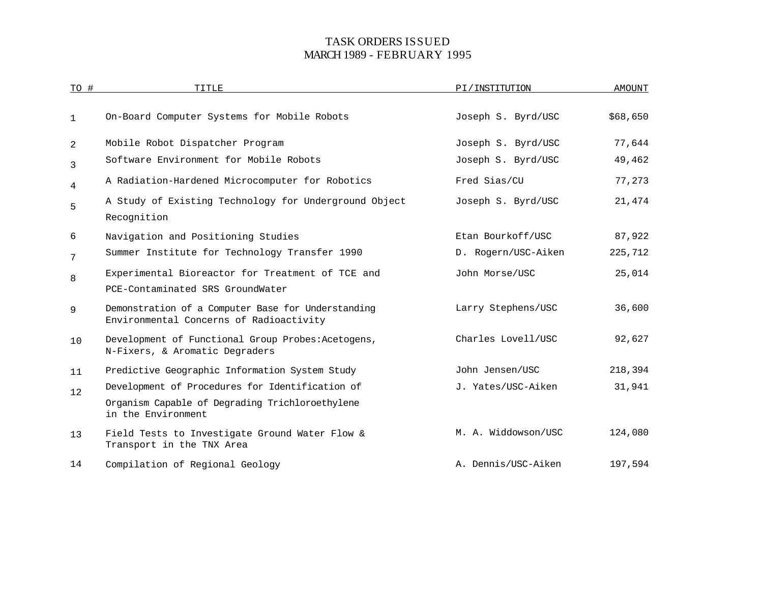### TASK ORDERS ISSUED MARCH 1989 - FEBRUARY 1995

| TO #        | TITLE                                                                                         | $\mathtt{PI}$ / <code>INSTITUTION</code> | <b>AMOUNT</b> |
|-------------|-----------------------------------------------------------------------------------------------|------------------------------------------|---------------|
| $\mathbf 1$ | On-Board Computer Systems for Mobile Robots                                                   | Joseph S. Byrd/USC                       | \$68,650      |
| 2           | Mobile Robot Dispatcher Program                                                               | Joseph S. Byrd/USC                       | 77,644        |
| 3           | Software Environment for Mobile Robots                                                        | Joseph S. Byrd/USC                       | 49,462        |
| 4           | A Radiation-Hardened Microcomputer for Robotics                                               | Fred Sias/CU                             | 77,273        |
| 5           | A Study of Existing Technology for Underground Object<br>Recognition                          | Joseph S. Byrd/USC                       | 21,474        |
| 6           | Navigation and Positioning Studies                                                            | Etan Bourkoff/USC                        | 87,922        |
| 7           | Summer Institute for Technology Transfer 1990                                                 | D. Rogern/USC-Aiken                      | 225,712       |
| 8           | Experimental Bioreactor for Treatment of TCE and<br>PCE-Contaminated SRS GroundWater          | John Morse/USC                           | 25,014        |
| 9           | Demonstration of a Computer Base for Understanding<br>Environmental Concerns of Radioactivity | Larry Stephens/USC                       | 36,600        |
| 10          | Development of Functional Group Probes: Acetogens,<br>N-Fixers, & Aromatic Degraders          | Charles Lovell/USC                       | 92,627        |
| 11          | Predictive Geographic Information System Study                                                | John Jensen/USC                          | 218,394       |
| 12          | Development of Procedures for Identification of                                               | J. Yates/USC-Aiken                       | 31,941        |
|             | Organism Capable of Degrading Trichloroethylene<br>in the Environment                         |                                          |               |
| 13          | Field Tests to Investigate Ground Water Flow &<br>Transport in the TNX Area                   | M. A. Widdowson/USC                      | 124,080       |
| 14          | Compilation of Regional Geology                                                               | A. Dennis/USC-Aiken                      | 197,594       |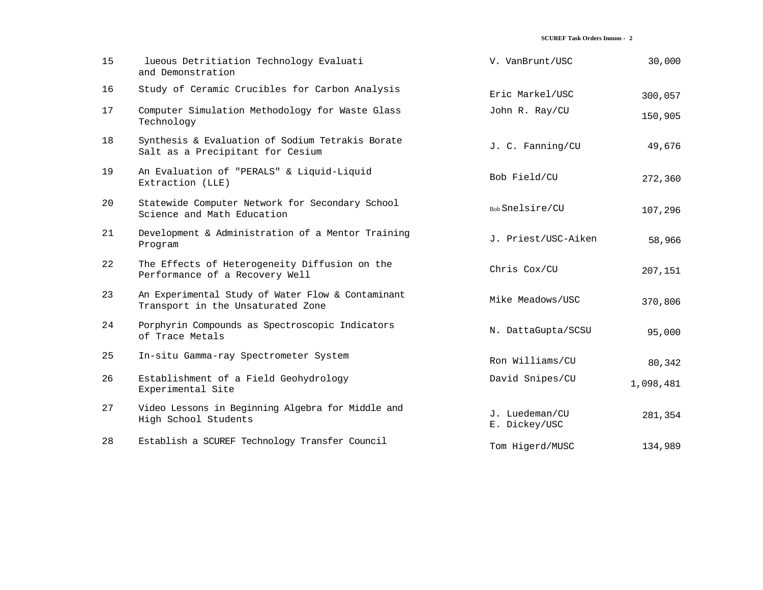| 15 | lueous Detritiation Technology Evaluati<br>and Demonstration                           | V. VanBrunt/USC                 | 30,000    |
|----|----------------------------------------------------------------------------------------|---------------------------------|-----------|
| 16 | Study of Ceramic Crucibles for Carbon Analysis                                         | Eric Markel/USC                 | 300,057   |
| 17 | Computer Simulation Methodology for Waste Glass<br>Technology                          | John R. Ray/CU                  | 150,905   |
| 18 | Synthesis & Evaluation of Sodium Tetrakis Borate<br>Salt as a Precipitant for Cesium   | J. C. Fanning/CU                | 49,676    |
| 19 | An Evaluation of "PERALS" & Liquid-Liquid<br>Extraction (LLE)                          | Bob Field/CU                    | 272,360   |
| 20 | Statewide Computer Network for Secondary School<br>Science and Math Education          | Bob Snelsire/CU                 | 107,296   |
| 21 | Development & Administration of a Mentor Training<br>Program                           | J. Priest/USC-Aiken             | 58,966    |
| 22 | The Effects of Heterogeneity Diffusion on the<br>Performance of a Recovery Well        | Chris Cox/CU                    | 207,151   |
| 23 | An Experimental Study of Water Flow & Contaminant<br>Transport in the Unsaturated Zone | Mike Meadows/USC                | 370,806   |
| 24 | Porphyrin Compounds as Spectroscopic Indicators<br>of Trace Metals                     | N. DattaGupta/SCSU              | 95,000    |
| 25 | In-situ Gamma-ray Spectrometer System                                                  | Ron Williams/CU                 | 80,342    |
| 26 | Establishment of a Field Geohydrology<br>Experimental Site                             | David Snipes/CU                 | 1,098,481 |
| 27 | Video Lessons in Beginning Algebra for Middle and<br>High School Students              | J. Luedeman/CU<br>E. Dickey/USC | 281,354   |
| 28 | Establish a SCUREF Technology Transfer Council                                         | Tom Higerd/MUSC                 | 134,989   |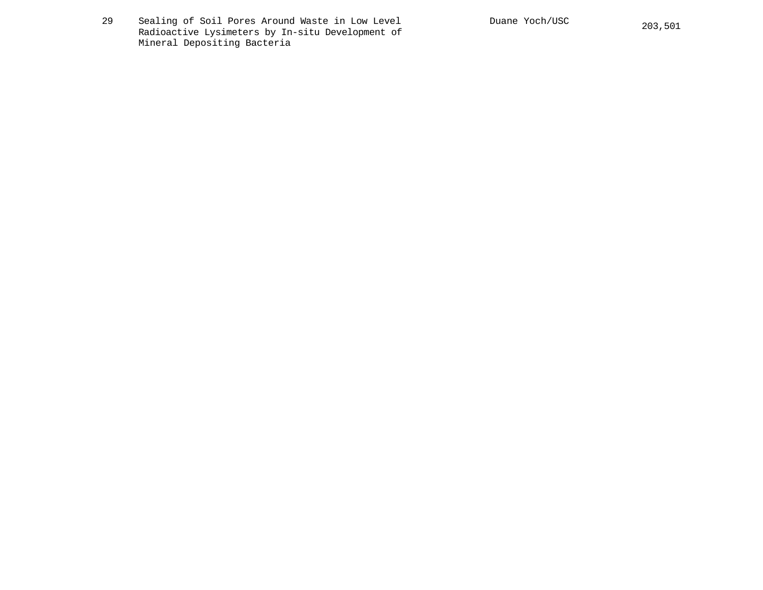29 Sealing of Soil Pores Around Waste in Low Level Radioactive Lysimeters by In -situ Development of Mineral Depositing Bacteria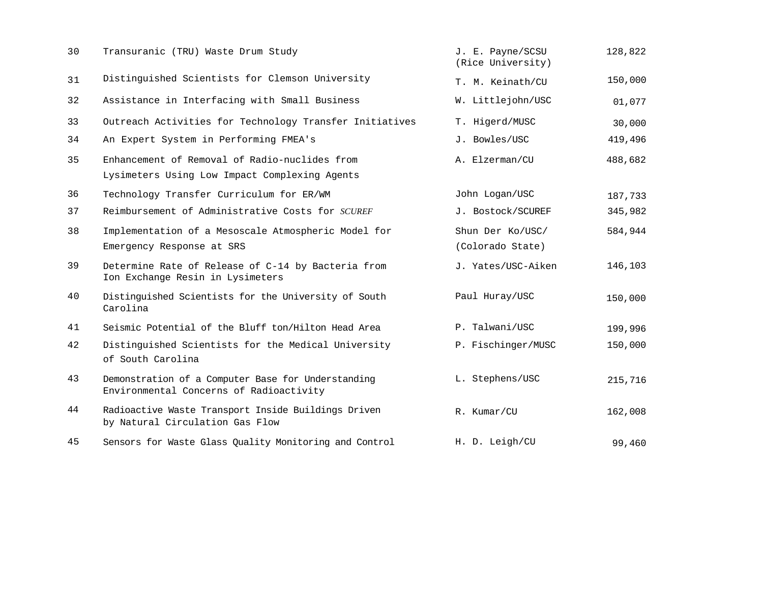| 30 | Transuranic (TRU) Waste Drum Study                                                             | J. E. Payne/SCSU<br>(Rice University) | 128,822 |
|----|------------------------------------------------------------------------------------------------|---------------------------------------|---------|
| 31 | Distinguished Scientists for Clemson University                                                | T. M. Keinath/CU                      | 150,000 |
| 32 | Assistance in Interfacing with Small Business                                                  | W. Littlejohn/USC                     | 01,077  |
| 33 | Outreach Activities for Technology Transfer Initiatives                                        | T. Higerd/MUSC                        | 30,000  |
| 34 | An Expert System in Performing FMEA's                                                          | J. Bowles/USC                         | 419,496 |
| 35 | Enhancement of Removal of Radio-nuclides from<br>Lysimeters Using Low Impact Complexing Agents | A. Elzerman/CU                        | 488,682 |
| 36 | Technology Transfer Curriculum for ER/WM                                                       | John Logan/USC                        | 187,733 |
| 37 | Reimbursement of Administrative Costs for SCUREF                                               | J. Bostock/SCUREF                     | 345,982 |
| 38 | Implementation of a Mesoscale Atmospheric Model for                                            | Shun Der Ko/USC/                      | 584,944 |
|    | Emergency Response at SRS                                                                      | (Colorado State)                      |         |
| 39 | Determine Rate of Release of C-14 by Bacteria from<br>Ion Exchange Resin in Lysimeters         | J. Yates/USC-Aiken                    | 146,103 |
| 40 | Distinguished Scientists for the University of South<br>Carolina                               | Paul Huray/USC                        | 150,000 |
| 41 | Seismic Potential of the Bluff ton/Hilton Head Area                                            | P. Talwani/USC                        | 199,996 |
| 42 | Distinguished Scientists for the Medical University<br>of South Carolina                       | P. Fischinger/MUSC                    | 150,000 |
| 43 | Demonstration of a Computer Base for Understanding<br>Environmental Concerns of Radioactivity  | L. Stephens/USC                       | 215,716 |
| 44 | Radioactive Waste Transport Inside Buildings Driven<br>by Natural Circulation Gas Flow         | R. Kumar/CU                           | 162,008 |
| 45 | Sensors for Waste Glass Quality Monitoring and Control                                         | H. D. Leigh/CU                        | 99,460  |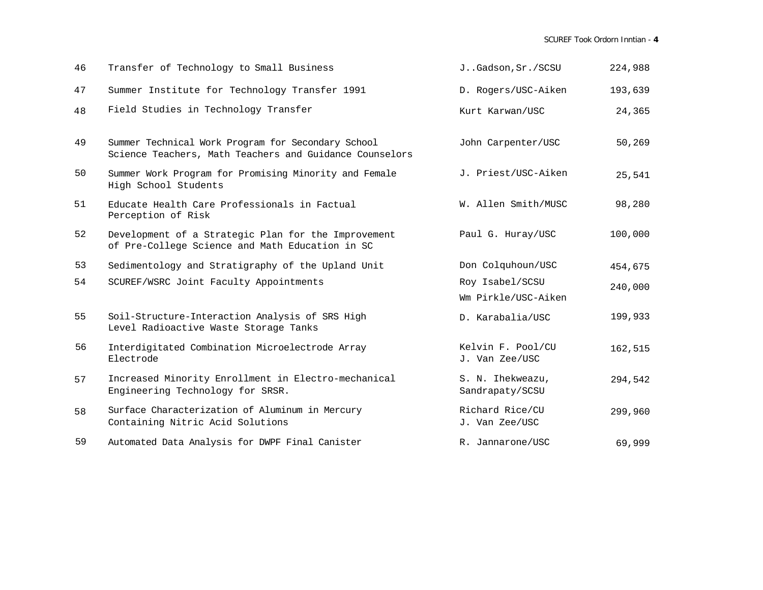| 46 | Transfer of Technology to Small Business                                                                      | JGadson, Sr./SCSU                      | 224,988 |
|----|---------------------------------------------------------------------------------------------------------------|----------------------------------------|---------|
| 47 | Summer Institute for Technology Transfer 1991                                                                 | D. Rogers/USC-Aiken                    | 193,639 |
| 48 | Field Studies in Technology Transfer                                                                          | Kurt Karwan/USC                        | 24,365  |
| 49 | Summer Technical Work Program for Secondary School<br>Science Teachers, Math Teachers and Guidance Counselors | John Carpenter/USC                     | 50,269  |
| 50 | Summer Work Program for Promising Minority and Female<br>High School Students                                 | J. Priest/USC-Aiken                    | 25,541  |
| 51 | Educate Health Care Professionals in Factual<br>Perception of Risk                                            | W. Allen Smith/MUSC                    | 98,280  |
| 52 | Development of a Strategic Plan for the Improvement<br>of Pre-College Science and Math Education in SC        | Paul G. Huray/USC                      | 100,000 |
| 53 | Sedimentology and Stratigraphy of the Upland Unit                                                             | Don Colquhoun/USC                      | 454,675 |
| 54 | SCUREF/WSRC Joint Faculty Appointments                                                                        | Roy Isabel/SCSU<br>Wm Pirkle/USC-Aiken | 240,000 |
| 55 | Soil-Structure-Interaction Analysis of SRS High<br>Level Radioactive Waste Storage Tanks                      | D. Karabalia/USC                       | 199,933 |
| 56 | Interdigitated Combination Microelectrode Array<br>Electrode                                                  | Kelvin F. Pool/CU<br>J. Van Zee/USC    | 162,515 |
| 57 | Increased Minority Enrollment in Electro-mechanical<br>Engineering Technology for SRSR.                       | S. N. Ihekweazu,<br>Sandrapaty/SCSU    | 294,542 |
| 58 | Surface Characterization of Aluminum in Mercury<br>Containing Nitric Acid Solutions                           | Richard Rice/CU<br>J. Van Zee/USC      | 299,960 |
| 59 | Automated Data Analysis for DWPF Final Canister                                                               | R. Jannarone/USC                       | 69,999  |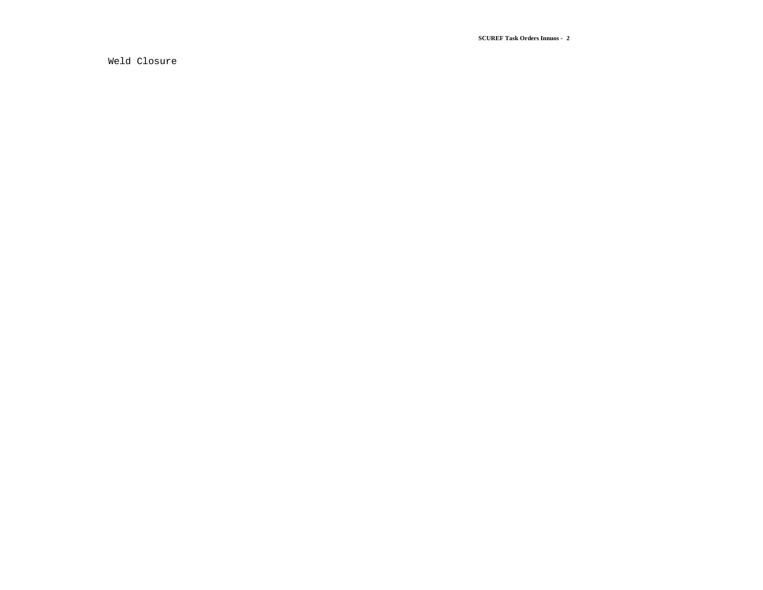Weld Closure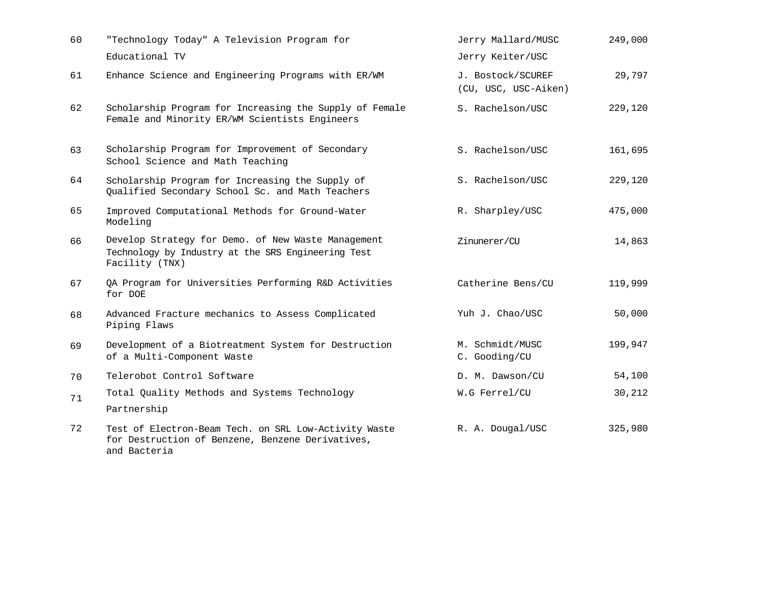| 60 | "Technology Today" A Television Program for                                                                                | Jerry Mallard/MUSC                        | 249,000 |
|----|----------------------------------------------------------------------------------------------------------------------------|-------------------------------------------|---------|
|    | Educational TV                                                                                                             | Jerry Keiter/USC                          |         |
| 61 | Enhance Science and Engineering Programs with ER/WM                                                                        | J. Bostock/SCUREF<br>(CU, USC, USC-Aiken) | 29,797  |
| 62 | Scholarship Program for Increasing the Supply of Female<br>Female and Minority ER/WM Scientists Engineers                  | S. Rachelson/USC                          | 229,120 |
| 63 | Scholarship Program for Improvement of Secondary<br>School Science and Math Teaching                                       | S. Rachelson/USC                          | 161,695 |
| 64 | Scholarship Program for Increasing the Supply of<br>Qualified Secondary School Sc. and Math Teachers                       | S. Rachelson/USC                          | 229,120 |
| 65 | Improved Computational Methods for Ground-Water<br>Modeling                                                                | R. Sharpley/USC                           | 475,000 |
| 66 | Develop Strategy for Demo. of New Waste Management<br>Technology by Industry at the SRS Engineering Test<br>Facility (TNX) | Zinunerer/CU                              | 14,863  |
| 67 | QA Program for Universities Performing R&D Activities<br>for DOE                                                           | Catherine Bens/CU                         | 119,999 |
| 68 | Advanced Fracture mechanics to Assess Complicated<br>Piping Flaws                                                          | Yuh J. Chao/USC                           | 50,000  |
| 69 | Development of a Biotreatment System for Destruction<br>of a Multi-Component Waste                                         | M. Schmidt/MUSC<br>C. Gooding/CU          | 199,947 |
| 70 | Telerobot Control Software                                                                                                 | D. M. Dawson/CU                           | 54,100  |
| 71 | Total Quality Methods and Systems Technology<br>Partnership                                                                | W.G Ferrel/CU                             | 30,212  |
| 72 | Test of Electron-Beam Tech. on SRL Low-Activity Waste<br>for Destruction of Benzene, Benzene Derivatives,<br>and Bacteria  | R. A. Dougal/USC                          | 325,980 |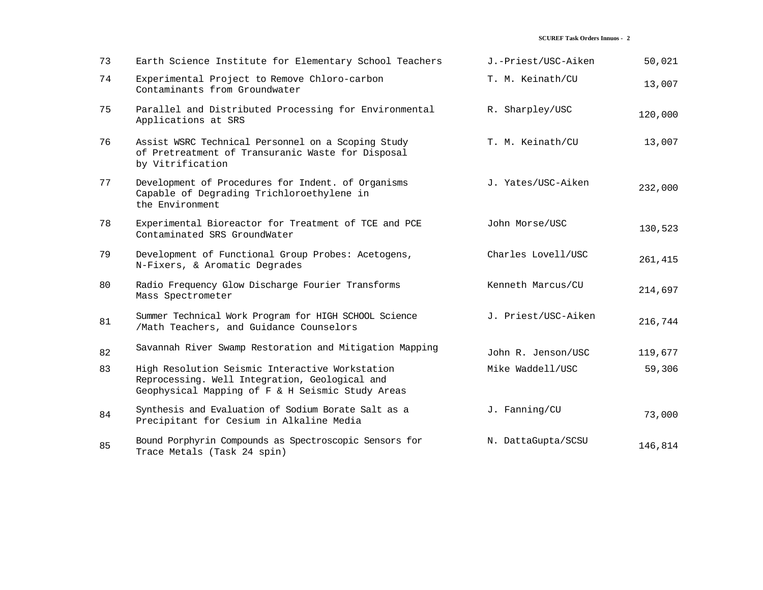| 73 | Earth Science Institute for Elementary School Teachers                                                                                                | J.-Priest/USC-Aiken | 50,021  |
|----|-------------------------------------------------------------------------------------------------------------------------------------------------------|---------------------|---------|
| 74 | Experimental Project to Remove Chloro-carbon<br>Contaminants from Groundwater                                                                         | T. M. Keinath/CU    | 13,007  |
| 75 | Parallel and Distributed Processing for Environmental<br>Applications at SRS                                                                          | R. Sharpley/USC     | 120,000 |
| 76 | Assist WSRC Technical Personnel on a Scoping Study<br>of Pretreatment of Transuranic Waste for Disposal<br>by Vitrification                           | T. M. Keinath/CU    | 13,007  |
| 77 | Development of Procedures for Indent. of Organisms<br>Capable of Degrading Trichloroethylene in<br>the Environment                                    | J. Yates/USC-Aiken  | 232,000 |
| 78 | Experimental Bioreactor for Treatment of TCE and PCE<br>Contaminated SRS GroundWater                                                                  | John Morse/USC      | 130,523 |
| 79 | Development of Functional Group Probes: Acetogens,<br>N-Fixers, & Aromatic Degrades                                                                   | Charles Lovell/USC  | 261,415 |
| 80 | Radio Frequency Glow Discharge Fourier Transforms<br>Mass Spectrometer                                                                                | Kenneth Marcus/CU   | 214,697 |
| 81 | Summer Technical Work Program for HIGH SCHOOL Science<br>/Math Teachers, and Guidance Counselors                                                      | J. Priest/USC-Aiken | 216,744 |
| 82 | Savannah River Swamp Restoration and Mitigation Mapping                                                                                               | John R. Jenson/USC  | 119,677 |
| 83 | High Resolution Seismic Interactive Workstation<br>Reprocessing. Well Integration, Geological and<br>Geophysical Mapping of F & H Seismic Study Areas | Mike Waddell/USC    | 59,306  |
| 84 | Synthesis and Evaluation of Sodium Borate Salt as a<br>Precipitant for Cesium in Alkaline Media                                                       | J. Fanning/CU       | 73,000  |
| 85 | Bound Porphyrin Compounds as Spectroscopic Sensors for<br>Trace Metals (Task 24 spin)                                                                 | N. DattaGupta/SCSU  | 146,814 |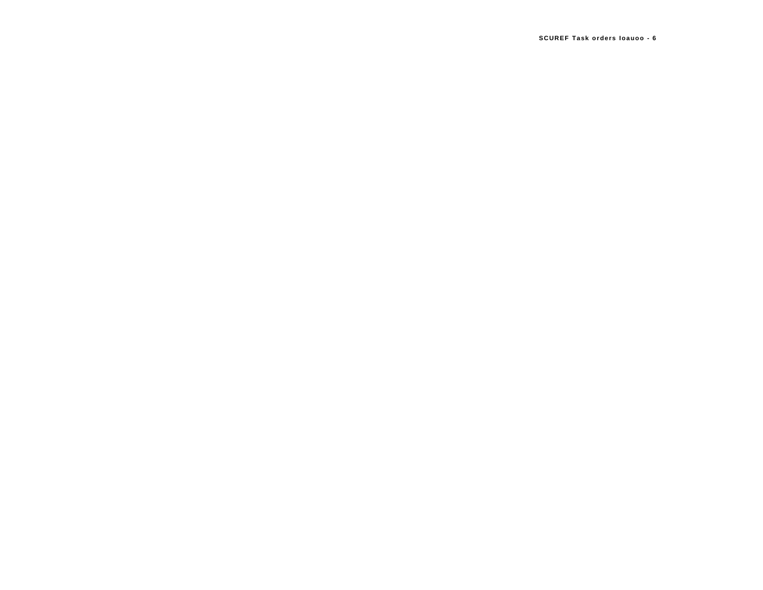**SCUREF Task orders Ioauoo - 6**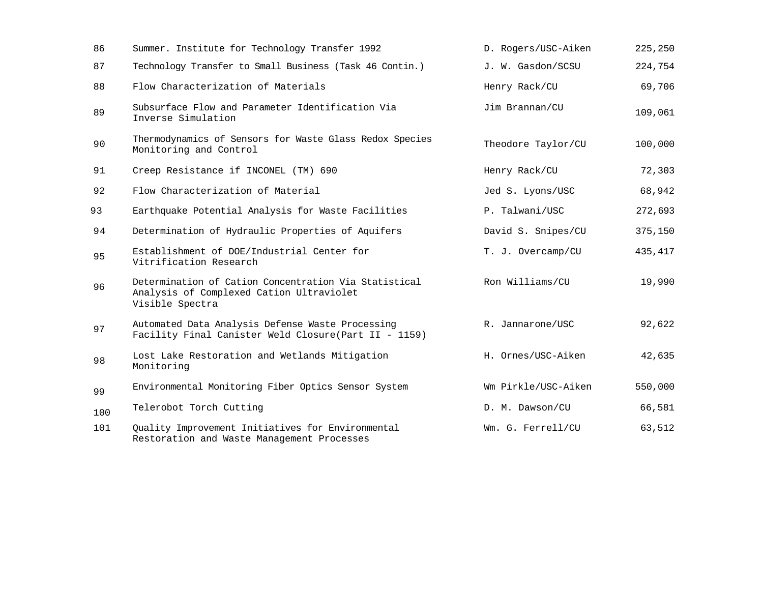| 86  | Summer. Institute for Technology Transfer 1992                                                                       | D. Rogers/USC-Aiken | 225,250  |
|-----|----------------------------------------------------------------------------------------------------------------------|---------------------|----------|
| 87  | Technology Transfer to Small Business (Task 46 Contin.)                                                              | J. W. Gasdon/SCSU   | 224,754  |
| 88  | Flow Characterization of Materials                                                                                   | Henry Rack/CU       | 69,706   |
| 89  | Subsurface Flow and Parameter Identification Via<br>Inverse Simulation                                               | Jim Brannan/CU      | 109,061  |
| 90  | Thermodynamics of Sensors for Waste Glass Redox Species<br>Monitoring and Control                                    | Theodore Taylor/CU  | 100,000  |
| 91  | Creep Resistance if INCONEL (TM) 690                                                                                 | Henry Rack/CU       | 72,303   |
| 92  | Flow Characterization of Material                                                                                    | Jed S. Lyons/USC    | 68,942   |
| 93  | Earthquake Potential Analysis for Waste Facilities                                                                   | P. Talwani/USC      | 272,693  |
| 94  | Determination of Hydraulic Properties of Aquifers                                                                    | David S. Snipes/CU  | 375,150  |
| 95  | Establishment of DOE/Industrial Center for<br>Vitrification Research                                                 | T. J. Overcamp/CU   | 435, 417 |
| 96  | Determination of Cation Concentration Via Statistical<br>Analysis of Complexed Cation Ultraviolet<br>Visible Spectra | Ron Williams/CU     | 19,990   |
| 97  | Automated Data Analysis Defense Waste Processing<br>Facility Final Canister Weld Closure(Part II - 1159)             | R. Jannarone/USC    | 92,622   |
| 98  | Lost Lake Restoration and Wetlands Mitigation<br>Monitoring                                                          | H. Ornes/USC-Aiken  | 42,635   |
| 99  | Environmental Monitoring Fiber Optics Sensor System                                                                  | Wm Pirkle/USC-Aiken | 550,000  |
| 100 | Telerobot Torch Cutting                                                                                              | D. M. Dawson/CU     | 66,581   |
| 101 | Quality Improvement Initiatives for Environmental<br>Restoration and Waste Management Processes                      | Wm. G. Ferrell/CU   | 63,512   |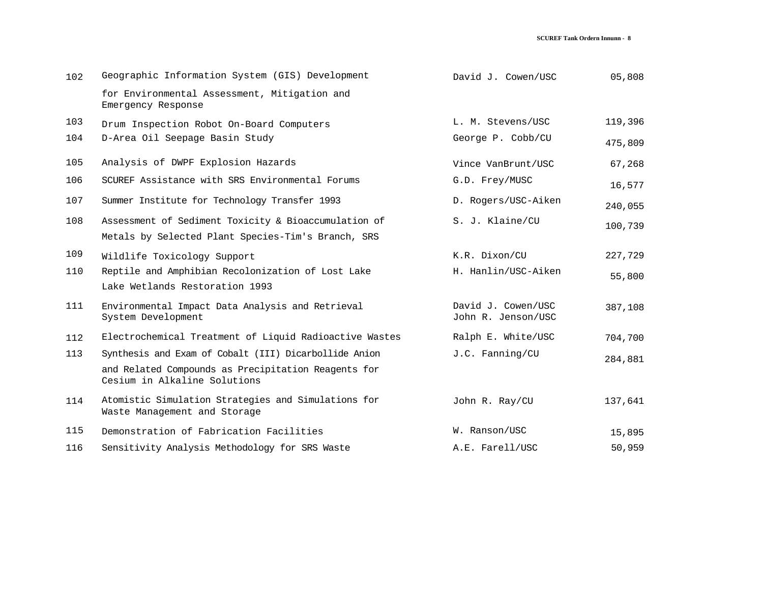**SCUREF Tank Ordern Innunn - 8**

| 102 | Geographic Information System (GIS) Development                                     | David J. Cowen/USC                       | 05,808  |
|-----|-------------------------------------------------------------------------------------|------------------------------------------|---------|
|     | for Environmental Assessment, Mitigation and<br>Emergency Response                  |                                          |         |
| 103 | Drum Inspection Robot On-Board Computers                                            | L. M. Stevens/USC                        | 119,396 |
| 104 | D-Area Oil Seepage Basin Study                                                      | George P. Cobb/CU                        | 475,809 |
| 105 | Analysis of DWPF Explosion Hazards                                                  | Vince VanBrunt/USC                       | 67,268  |
| 106 | SCUREF Assistance with SRS Environmental Forums                                     | G.D. Frey/MUSC                           | 16,577  |
| 107 | Summer Institute for Technology Transfer 1993                                       | D. Rogers/USC-Aiken                      | 240,055 |
| 108 | Assessment of Sediment Toxicity & Bioaccumulation of                                | S. J. Klaine/CU                          | 100,739 |
|     | Metals by Selected Plant Species-Tim's Branch, SRS                                  |                                          |         |
| 109 | Wildlife Toxicology Support                                                         | K.R. Dixon/CU                            | 227,729 |
| 110 | Reptile and Amphibian Recolonization of Lost Lake                                   | H. Hanlin/USC-Aiken                      | 55,800  |
|     | Lake Wetlands Restoration 1993                                                      |                                          |         |
| 111 | Environmental Impact Data Analysis and Retrieval<br>System Development              | David J. Cowen/USC<br>John R. Jenson/USC | 387,108 |
| 112 | Electrochemical Treatment of Liquid Radioactive Wastes                              | Ralph E. White/USC                       | 704,700 |
| 113 | Synthesis and Exam of Cobalt (III) Dicarbollide Anion                               | J.C. Fanning/CU                          | 284,881 |
|     | and Related Compounds as Precipitation Reagents for<br>Cesium in Alkaline Solutions |                                          |         |
| 114 | Atomistic Simulation Strategies and Simulations for<br>Waste Management and Storage | John R. Ray/CU                           | 137,641 |
| 115 | Demonstration of Fabrication Facilities                                             | W. Ranson/USC                            | 15,895  |
| 116 | Sensitivity Analysis Methodology for SRS Waste                                      | A.E. Farell/USC                          | 50,959  |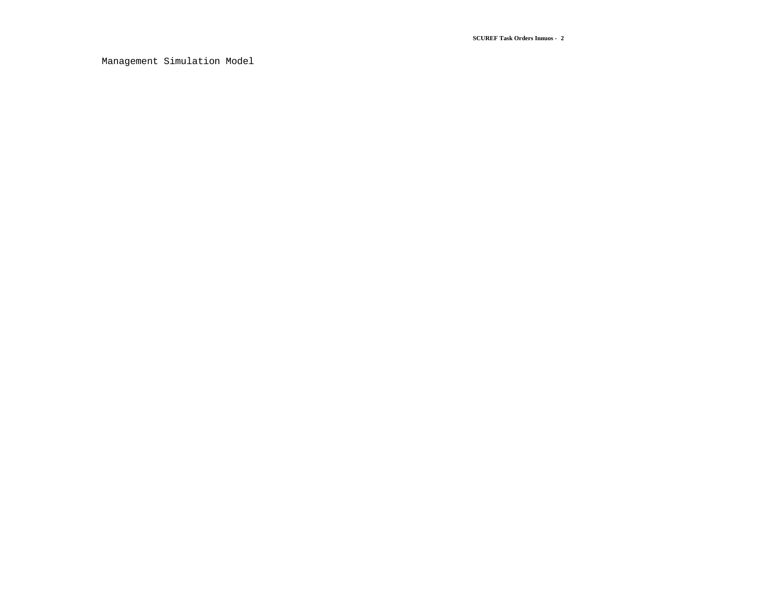Management Simulation Model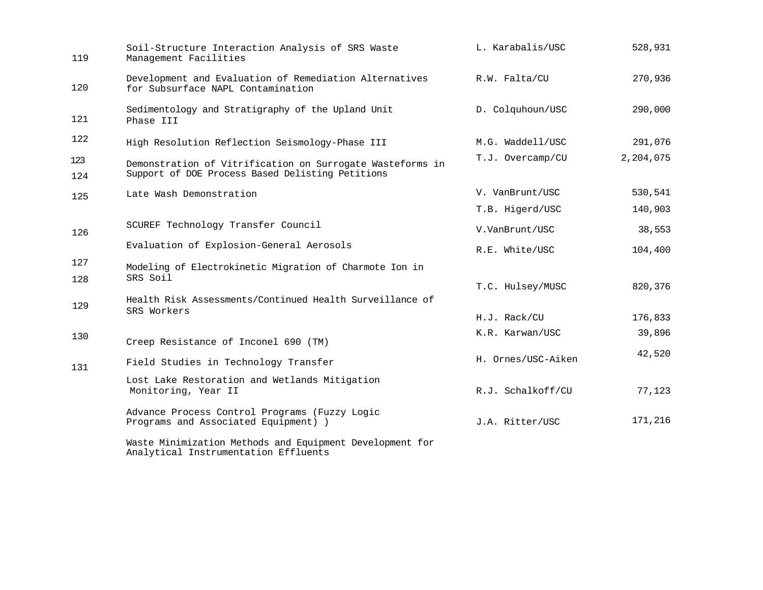| 119        | Soil-Structure Interaction Analysis of SRS Waste<br>Management Facilities                                     | L. Karabalis/USC   | 528,931   |
|------------|---------------------------------------------------------------------------------------------------------------|--------------------|-----------|
| 120        | Development and Evaluation of Remediation Alternatives<br>for Subsurface NAPL Contamination                   | R.W. Falta/CU      | 270,936   |
| 121        | Sedimentology and Stratigraphy of the Upland Unit<br>Phase III                                                | D. Colquhoun/USC   | 290,000   |
| 122        | High Resolution Reflection Seismology-Phase III                                                               | M.G. Waddell/USC   | 291,076   |
| 123<br>124 | Demonstration of Vitrification on Surrogate Wasteforms in<br>Support of DOE Process Based Delisting Petitions | T.J. Overcamp/CU   | 2,204,075 |
| 125        | Late Wash Demonstration                                                                                       | V. VanBrunt/USC    | 530,541   |
|            |                                                                                                               | T.B. Higerd/USC    | 140,903   |
| 126        | SCUREF Technology Transfer Council                                                                            | V.VanBrunt/USC     | 38,553    |
|            | Evaluation of Explosion-General Aerosols                                                                      | R.E. White/USC     | 104,400   |
| 127        | Modeling of Electrokinetic Migration of Charmote Ion in                                                       |                    |           |
| 128        | SRS Soil                                                                                                      | T.C. Hulsey/MUSC   | 820,376   |
| 129        | Health Risk Assessments/Continued Health Surveillance of                                                      |                    |           |
|            | SRS Workers                                                                                                   | H.J. Rack/CU       | 176,833   |
| 130        | Creep Resistance of Inconel 690 (TM)                                                                          | K.R. Karwan/USC    | 39,896    |
| 131        | Field Studies in Technology Transfer                                                                          | H. Ornes/USC-Aiken | 42,520    |
|            | Lost Lake Restoration and Wetlands Mitigation<br>Monitoring, Year II                                          | R.J. Schalkoff/CU  | 77,123    |
|            | Advance Process Control Programs (Fuzzy Logic<br>Programs and Associated Equipment) )                         | J.A. Ritter/USC    | 171,216   |
|            | Waste Minimization Methods and Equipment Development for<br>Analytical Instrumentation Effluents              |                    |           |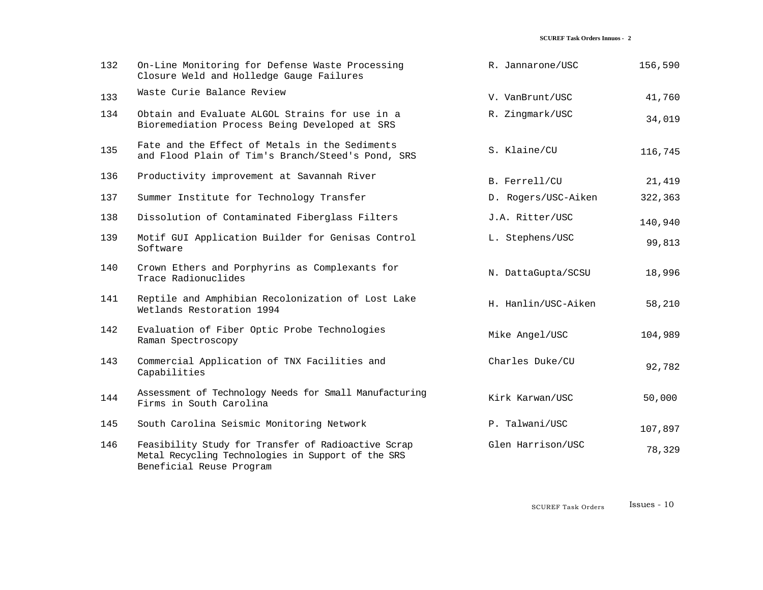| 132 | On-Line Monitoring for Defense Waste Processing<br>Closure Weld and Holledge Gauge Failures                                           | R. Jannarone/USC    | 156,590 |
|-----|---------------------------------------------------------------------------------------------------------------------------------------|---------------------|---------|
| 133 | Waste Curie Balance Review                                                                                                            | V. VanBrunt/USC     | 41,760  |
| 134 | Obtain and Evaluate ALGOL Strains for use in a<br>Bioremediation Process Being Developed at SRS                                       | R. Zingmark/USC     | 34,019  |
| 135 | Fate and the Effect of Metals in the Sediments<br>and Flood Plain of Tim's Branch/Steed's Pond, SRS                                   | S. Klaine/CU        | 116,745 |
| 136 | Productivity improvement at Savannah River                                                                                            | B. Ferrell/CU       | 21,419  |
| 137 | Summer Institute for Technology Transfer                                                                                              | D. Rogers/USC-Aiken | 322,363 |
| 138 | Dissolution of Contaminated Fiberglass Filters                                                                                        | J.A. Ritter/USC     | 140,940 |
| 139 | Motif GUI Application Builder for Genisas Control<br>Software                                                                         | L. Stephens/USC     | 99,813  |
| 140 | Crown Ethers and Porphyrins as Complexants for<br>Trace Radionuclides                                                                 | N. DattaGupta/SCSU  | 18,996  |
| 141 | Reptile and Amphibian Recolonization of Lost Lake<br>Wetlands Restoration 1994                                                        | H. Hanlin/USC-Aiken | 58,210  |
| 142 | Evaluation of Fiber Optic Probe Technologies<br>Raman Spectroscopy                                                                    | Mike Angel/USC      | 104,989 |
| 143 | Commercial Application of TNX Facilities and<br>Capabilities                                                                          | Charles Duke/CU     | 92,782  |
| 144 | Assessment of Technology Needs for Small Manufacturing<br>Firms in South Carolina                                                     | Kirk Karwan/USC     | 50,000  |
| 145 | South Carolina Seismic Monitoring Network                                                                                             | P. Talwani/USC      | 107,897 |
| 146 | Feasibility Study for Transfer of Radioactive Scrap<br>Metal Recycling Technologies in Support of the SRS<br>Beneficial Reuse Program | Glen Harrison/USC   | 78,329  |

SCUREF Task Orders Issues - 10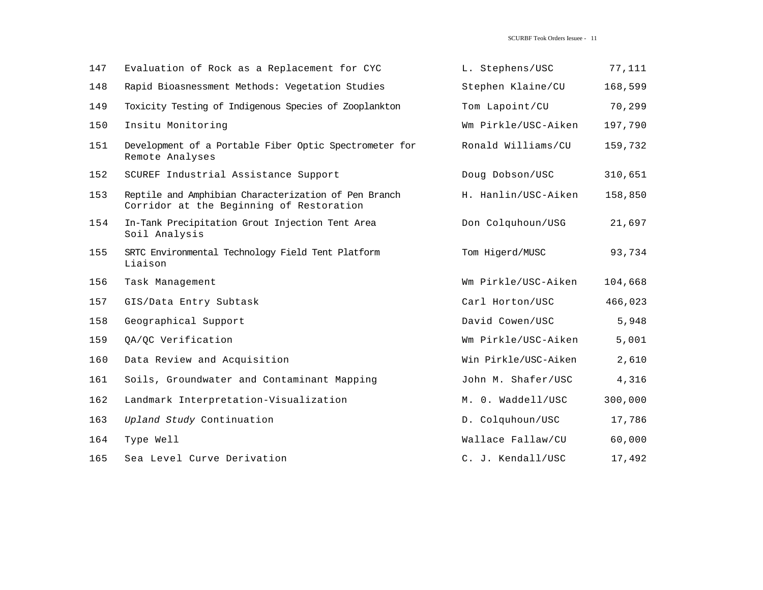| 147 | Evaluation of Rock as a Replacement for CYC                                                      | L. Stephens/USC      | 77,111  |
|-----|--------------------------------------------------------------------------------------------------|----------------------|---------|
| 148 | Rapid Bioasnessment Methods: Vegetation Studies                                                  | Stephen Klaine/CU    | 168,599 |
| 149 | Toxicity Testing of Indigenous Species of Zooplankton                                            | Tom Lapoint/CU       | 70,299  |
| 150 | Insitu Monitoring                                                                                | Wm Pirkle/USC-Aiken  | 197,790 |
| 151 | Development of a Portable Fiber Optic Spectrometer for<br>Remote Analyses                        | Ronald Williams/CU   | 159,732 |
| 152 | SCUREF Industrial Assistance Support                                                             | Doug Dobson/USC      | 310,651 |
| 153 | Reptile and Amphibian Characterization of Pen Branch<br>Corridor at the Beginning of Restoration | H. Hanlin/USC-Aiken  | 158,850 |
| 154 | In-Tank Precipitation Grout Injection Tent Area<br>Soil Analysis                                 | Don Colquhoun/USG    | 21,697  |
| 155 | SRTC Environmental Technology Field Tent Platform<br>Liaison                                     | Tom Higerd/MUSC      | 93,734  |
| 156 | Task Management                                                                                  | Wm Pirkle/USC-Aiken  | 104,668 |
| 157 | GIS/Data Entry Subtask                                                                           | Carl Horton/USC      | 466,023 |
| 158 | Geographical Support                                                                             | David Cowen/USC      | 5,948   |
| 159 | QA/QC Verification                                                                               | Wm Pirkle/USC-Aiken  | 5,001   |
| 160 | Data Review and Acquisition                                                                      | Win Pirkle/USC-Aiken | 2,610   |
| 161 | Soils, Groundwater and Contaminant Mapping                                                       | John M. Shafer/USC   | 4,316   |
| 162 | Landmark Interpretation-Visualization                                                            | M. O. Waddell/USC    | 300,000 |
| 163 | Upland Study Continuation                                                                        | D. Colquhoun/USC     | 17,786  |
| 164 | Type Well                                                                                        | Wallace Fallaw/CU    | 60,000  |
| 165 | Sea Level Curve Derivation                                                                       | C. J. Kendall/USC    | 17,492  |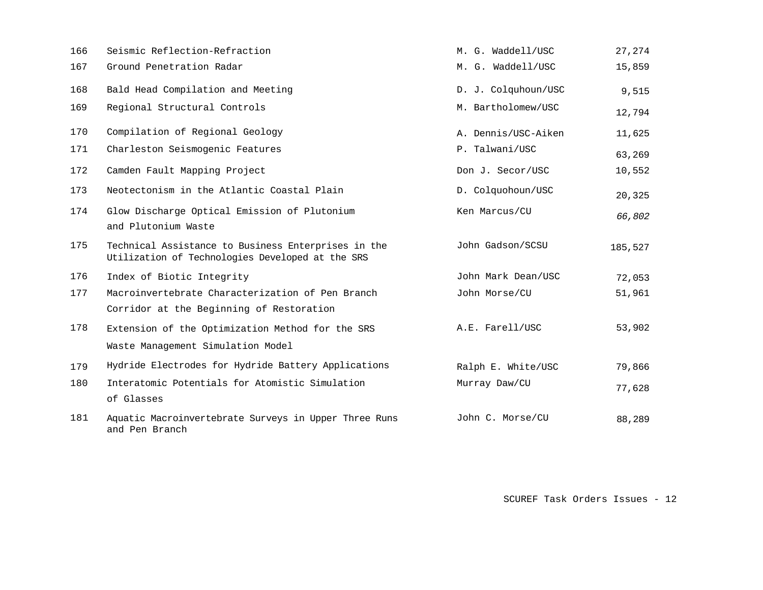| 166 | Seismic Reflection-Refraction                                                                           | M. G. Waddell/USC   | 27,274  |
|-----|---------------------------------------------------------------------------------------------------------|---------------------|---------|
| 167 | Ground Penetration Radar                                                                                | M. G. Waddell/USC   | 15,859  |
| 168 | Bald Head Compilation and Meeting                                                                       | D. J. Colquhoun/USC | 9,515   |
| 169 | Regional Structural Controls                                                                            | M. Bartholomew/USC  | 12,794  |
| 170 | Compilation of Regional Geology                                                                         | A. Dennis/USC-Aiken | 11,625  |
| 171 | Charleston Seismogenic Features                                                                         | P. Talwani/USC      | 63,269  |
| 172 | Camden Fault Mapping Project                                                                            | Don J. Secor/USC    | 10,552  |
| 173 | Neotectonism in the Atlantic Coastal Plain                                                              | D. Colquohoun/USC   | 20,325  |
| 174 | Glow Discharge Optical Emission of Plutonium<br>and Plutonium Waste                                     | Ken Marcus/CU       | 66,802  |
| 175 | Technical Assistance to Business Enterprises in the<br>Utilization of Technologies Developed at the SRS | John Gadson/SCSU    | 185,527 |
| 176 | Index of Biotic Integrity                                                                               | John Mark Dean/USC  | 72,053  |
| 177 | Macroinvertebrate Characterization of Pen Branch                                                        | John Morse/CU       | 51,961  |
|     | Corridor at the Beginning of Restoration                                                                |                     |         |
| 178 | Extension of the Optimization Method for the SRS                                                        | A.E. Farell/USC     | 53,902  |
|     | Waste Management Simulation Model                                                                       |                     |         |
| 179 | Hydride Electrodes for Hydride Battery Applications                                                     | Ralph E. White/USC  | 79,866  |
| 180 | Interatomic Potentials for Atomistic Simulation<br>of Glasses                                           | Murray Daw/CU       | 77,628  |
| 181 | Aquatic Macroinvertebrate Surveys in Upper Three Runs<br>and Pen Branch                                 | John C. Morse/CU    | 88,289  |

SCUREF Task Orders Issues - 12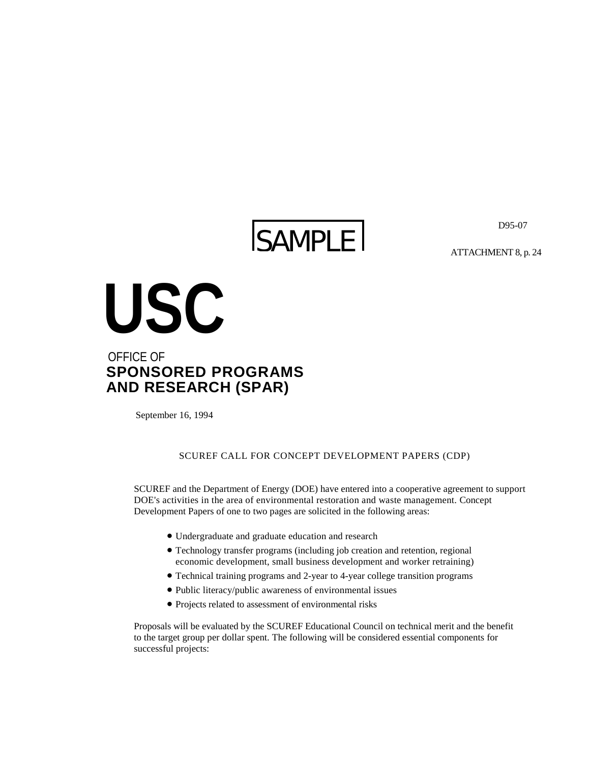D95-07

# SAMPLE

ATTACHMENT 8, p. 24

# **USC**

# OFFICE OF **SPONSORED PROGRAMS AND RESEARCH (SPAR)**

September 16, 1994

#### SCUREF CALL FOR CONCEPT DEVELOPMENT PAPERS (CDP)

SCUREF and the Department of Energy (DOE) have entered into a cooperative agreement to support DOE's activities in the area of environmental restoration and waste management. Concept Development Papers of one to two pages are solicited in the following areas:

- Undergraduate and graduate education and research
- Technology transfer programs (including job creation and retention, regional economic development, small business development and worker retraining)
- Technical training programs and 2-year to 4-year college transition programs
- Public literacy/public awareness of environmental issues
- Projects related to assessment of environmental risks

Proposals will be evaluated by the SCUREF Educational Council on technical merit and the benefit to the target group per dollar spent. The following will be considered essential components for successful projects: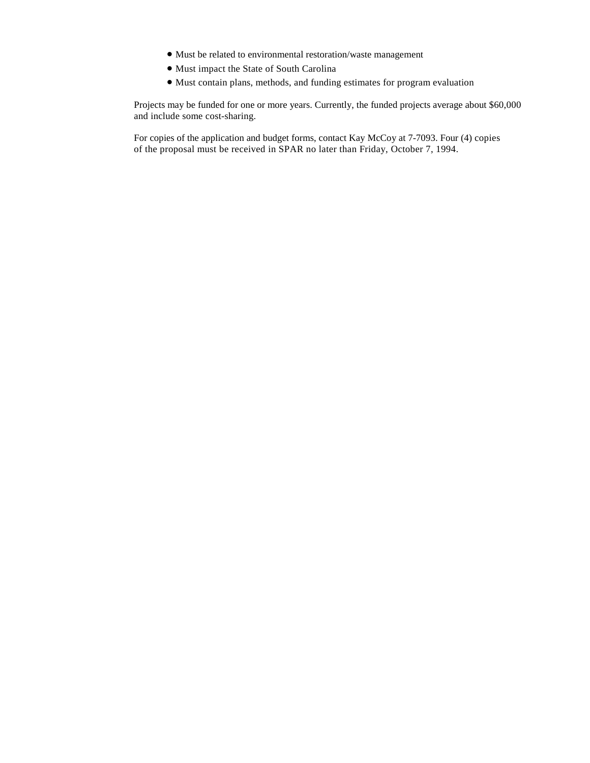- Must be related to environmental restoration/waste management
- Must impact the State of South Carolina
- Must contain plans, methods, and funding estimates for program evaluation

Projects may be funded for one or more years. Currently, the funded projects average about \$60,000 and include some cost-sharing.

For copies of the application and budget forms, contact Kay McCoy at 7-7093. Four (4) copies of the proposal must be received in SPAR no later than Friday, October 7, 1994.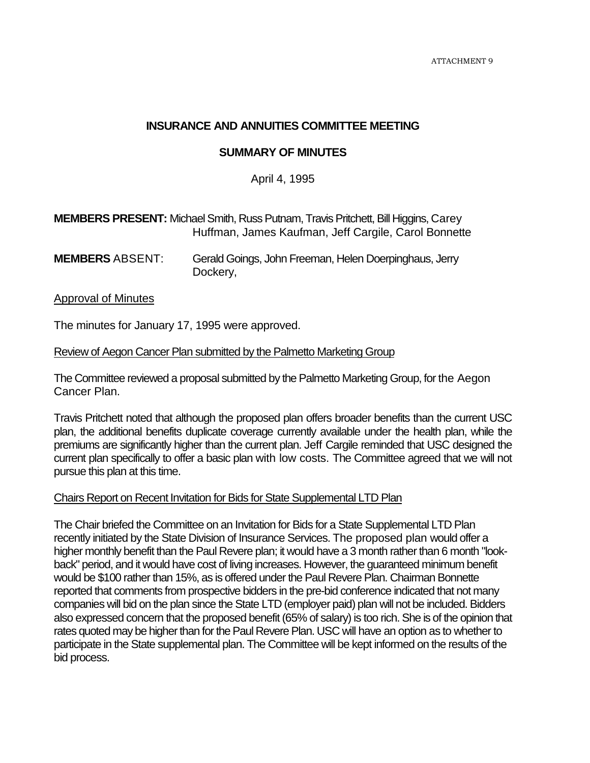#### **INSURANCE AND ANNUITIES COMMITTEE MEETING**

#### **SUMMARY OF MINUTES**

April 4, 1995

| <b>MEMBERS PRESENT:</b> Michael Smith, Russ Putnam, Travis Pritchett, Bill Higgins, Carey |  |
|-------------------------------------------------------------------------------------------|--|
| Huffman, James Kaufman, Jeff Cargile, Carol Bonnette                                      |  |

**MEMBERS** ABSENT: Gerald Goings, John Freeman, Helen Doerpinghaus, Jerry Dockery,

Approval of Minutes

The minutes for January 17, 1995 were approved.

#### Review of Aegon Cancer Plan submitted by the Palmetto Marketing Group

The Committee reviewed a proposal submitted by the Palmetto Marketing Group, for the Aegon Cancer Plan.

Travis Pritchett noted that although the proposed plan offers broader benefits than the current USC plan, the additional benefits duplicate coverage currently available under the health plan, while the premiums are significantly higher than the current plan. Jeff Cargile reminded that USC designed the current plan specifically to offer a basic plan with low costs. The Committee agreed that we will not pursue this plan at this time.

#### Chairs Report on Recent Invitation for Bids for State Supplemental LTD Plan

The Chair briefed the Committee on an Invitation for Bids for a State Supplemental LTD Plan recently initiated by the State Division of Insurance Services. The proposed plan would offer a higher monthly benefit than the Paul Revere plan; it would have a 3 month rather than 6 month "lookback" period, and it would have cost of living increases. However, the guaranteed minimum benefit would be \$100 rather than 15%, as is offered under the Paul Revere Plan. Chairman Bonnette reported that comments from prospective bidders in the pre-bid conference indicated that not many companies will bid on the plan since the State LTD (employer paid) plan will not be included. Bidders also expressed concern that the proposed benefit (65% of salary) is too rich. She is of the opinion that rates quoted may be higher than for the Paul Revere Plan. USC will have an option as to whether to participate in the State supplemental plan. The Committee will be kept informed on the results of the bid process.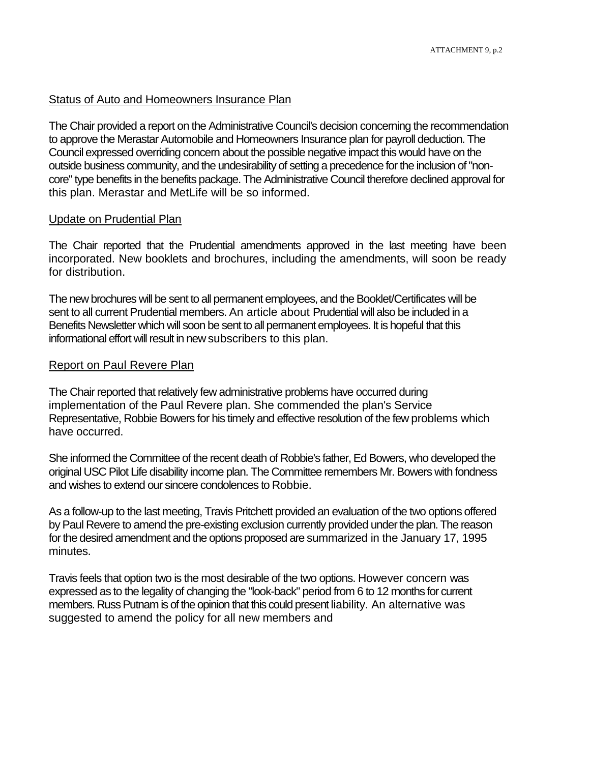#### Status of Auto and Homeowners Insurance Plan

The Chair provided a report on the Administrative Council's decision concerning the recommendation to approve the Merastar Automobile and Homeowners Insurance plan for payroll deduction. The Council expressed overriding concern about the possible negative impact this would have on the outside business community, and the undesirability of setting a precedence for the inclusion of "noncore" type benefits in the benefits package. The Administrative Council therefore declined approval for this plan. Merastar and MetLife will be so informed.

#### Update on Prudential Plan

The Chair reported that the Prudential amendments approved in the last meeting have been incorporated. New booklets and brochures, including the amendments, will soon be ready for distribution.

The new brochures will be sent to all permanent employees, and the Booklet/Certificates will be sent to all current Prudential members. An article about Prudential will also be included in a Benefits Newsletter which will soon be sent to all permanent employees. It is hopeful that this informational effort will result in new subscribers to this plan.

#### Report on Paul Revere Plan

The Chair reported that relatively few administrative problems have occurred during implementation of the Paul Revere plan. She commended the plan's Service Representative, Robbie Bowers for his timely and effective resolution of the few problems which have occurred.

She informed the Committee of the recent death of Robbie's father, Ed Bowers, who developed the original USC Pilot Life disability income plan. The Committee remembers Mr. Bowers with fondness and wishes to extend our sincere condolences to Robbie.

As a follow-up to the last meeting, Travis Pritchett provided an evaluation of the two options offered by Paul Revere to amend the pre-existing exclusion currently provided under the plan. The reason for the desired amendment and the options proposed are summarized in the January 17, 1995 minutes.

Travis feels that option two is the most desirable of the two options. However concern was expressed as to the legality of changing the "look-back" period from 6 to 12 months for current members. Russ Putnam is of the opinion that this could present liability. An alternative was suggested to amend the policy for all new members and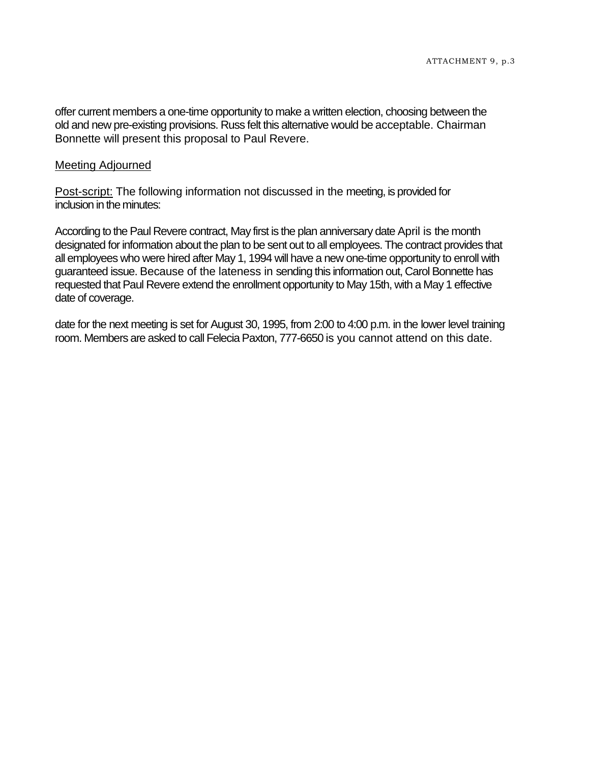offer current members a one-time opportunity to make a written election, choosing between the old and new pre-existing provisions. Russ felt this alternative would be acceptable. Chairman Bonnette will present this proposal to Paul Revere.

#### Meeting Adjourned

Post-script: The following information not discussed in the meeting, is provided for inclusion in the minutes:

According to the Paul Revere contract, May first is the plan anniversary date April is the month designated for information about the plan to be sent out to all employees. The contract provides that all employees who were hired after May 1, 1994 will have a new one-time opportunity to enroll with guaranteed issue. Because of the lateness in sending this information out, Carol Bonnette has requested that Paul Revere extend the enrollment opportunity to May 15th, with a May 1 effective date of coverage.

date for the next meeting is set for August 30, 1995, from 2:00 to 4:00 p.m. in the lower level training room. Members are asked to call Felecia Paxton, 777-6650 is you cannot attend on this date.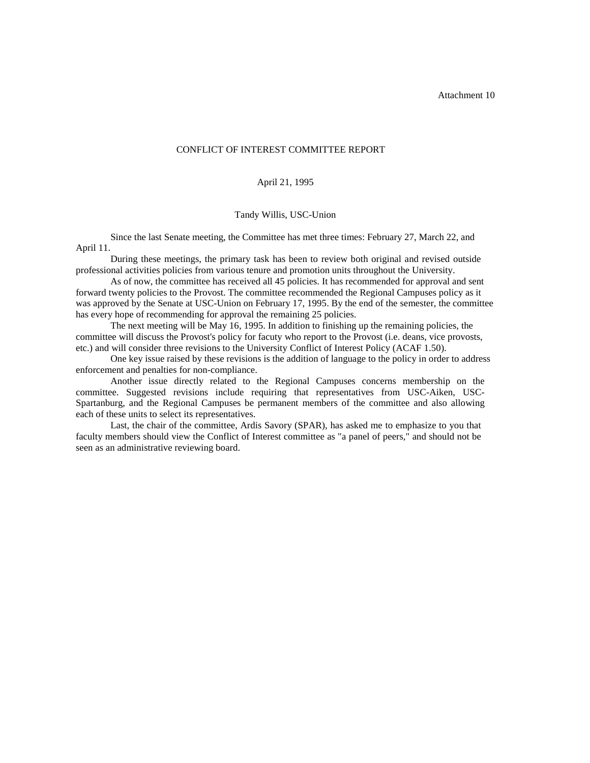Attachment 10

#### CONFLICT OF INTEREST COMMITTEE REPORT

#### April 21, 1995

#### Tandy Willis, USC-Union

Since the last Senate meeting, the Committee has met three times: February 27, March 22, and April 11.

During these meetings, the primary task has been to review both original and revised outside professional activities policies from various tenure and promotion units throughout the University.

As of now, the committee has received all 45 policies. It has recommended for approval and sent forward twenty policies to the Provost. The committee recommended the Regional Campuses policy as it was approved by the Senate at USC-Union on February 17, 1995. By the end of the semester, the committee has every hope of recommending for approval the remaining 25 policies.

The next meeting will be May 16, 1995. In addition to finishing up the remaining policies, the committee will discuss the Provost's policy for facuty who report to the Provost (i.e. deans, vice provosts, etc.) and will consider three revisions to the University Conflict of Interest Policy (ACAF 1.50).

One key issue raised by these revisions is the addition of language to the policy in order to address enforcement and penalties for non-compliance.

Another issue directly related to the Regional Campuses concerns membership on the committee. Suggested revisions include requiring that representatives from USC-Aiken, USC-Spartanburg, and the Regional Campuses be permanent members of the committee and also allowing each of these units to select its representatives.

Last, the chair of the committee, Ardis Savory (SPAR), has asked me to emphasize to you that faculty members should view the Conflict of Interest committee as "a panel of peers," and should not be seen as an administrative reviewing board.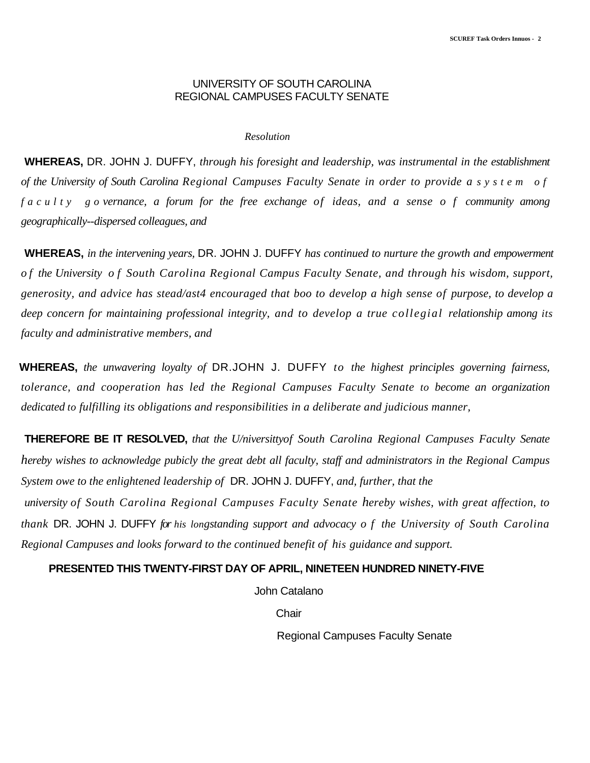#### UNIVERSITY OF SOUTH CAROLINA REGIONAL CAMPUSES FACULTY SENATE

#### *Resolution*

**WHEREAS,** DR. JOHN J. DUFFY, *through his foresight and leadership, was instrumental in the establishment of the University of South Carolina Regional Campuses Faculty Senate in order to provide a system of faculty g o vernance, a forum for the free exchange of ideas, and a sense o f community among geographically--dispersed colleagues, and*

**WHEREAS,** *in the intervening years,* DR. JOHN J. DUFFY *has continued to nurture the growth and empowerment o f the University o f South Carolina Regional Campus Faculty Senate, and through his wisdom, support, generosity, and advice has stead/ast4 encouraged that boo to develop a high sense of purpose, to develop a deep concern for maintaining professional integrity, and to develop a true collegial relationship among its faculty and administrative members, and*

 **WHEREAS,** *the unwavering loyalty of* DR.JOHN J. DUFFY *to the highest principles governing fairness, tolerance, and cooperation has led the Regional Campuses Faculty Senate to become an organization dedicated to fulfilling its obligations and responsibilities in a deliberate and judicious manner,*

**THEREFORE BE IT RESOLVED,** *that the U/niversittyof South Carolina Regional Campuses Faculty Senate hereby wishes to acknowledge pubicly the great debt all faculty, staff and administrators in the Regional Campus System owe to the enlightened leadership of* DR. JOHN J. DUFFY, *and, further, that the*

*university of South Carolina Regional Campuses Faculty Senate hereby wishes, with great affection, to thank* DR. JOHN J. DUFFY *for his longstanding support and advocacy o f the University of South Carolina Regional Campuses and looks forward to the continued benefit of his guidance and support.*

#### **PRESENTED THIS TWENTY-FIRST DAY OF APRIL, NINETEEN HUNDRED NINETY-FIVE**

John Catalano

**Chair** 

Regional Campuses Faculty Senate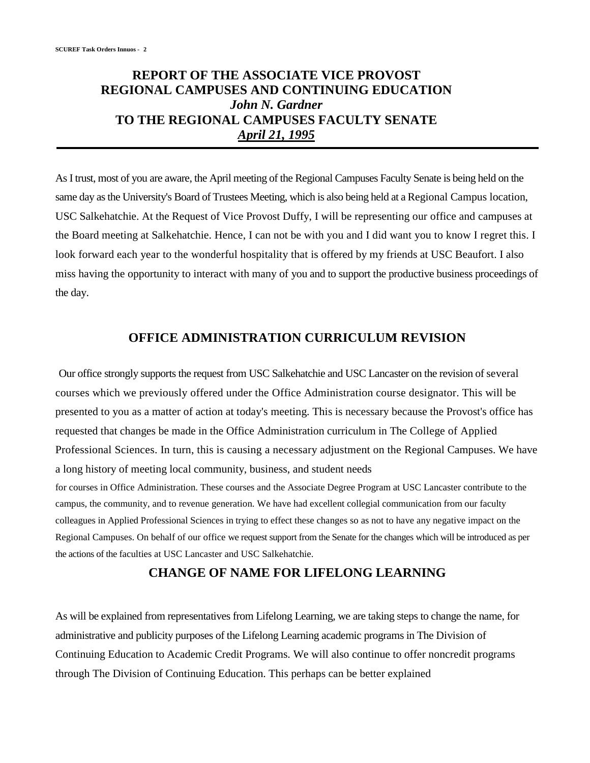# **REPORT OF THE ASSOCIATE VICE PROVOST REGIONAL CAMPUSES AND CONTINUING EDUCATION** *John N. Gardner* **TO THE REGIONAL CAMPUSES FACULTY SENATE** *April 21, 1995*

As I trust, most of you are aware, the April meeting of the Regional Campuses Faculty Senate is being held on the same day as the University's Board of Trustees Meeting, which is also being held at a Regional Campus location, USC Salkehatchie. At the Request of Vice Provost Duffy, I will be representing our office and campuses at the Board meeting at Salkehatchie. Hence, I can not be with you and I did want you to know I regret this. I look forward each year to the wonderful hospitality that is offered by my friends at USC Beaufort. I also miss having the opportunity to interact with many of you and to support the productive business proceedings of the day.

# **OFFICE ADMINISTRATION CURRICULUM REVISION**

Our office strongly supports the request from USC Salkehatchie and USC Lancaster on the revision of several courses which we previously offered under the Office Administration course designator. This will be presented to you as a matter of action at today's meeting. This is necessary because the Provost's office has requested that changes be made in the Office Administration curriculum in The College of Applied Professional Sciences. In turn, this is causing a necessary adjustment on the Regional Campuses. We have a long history of meeting local community, business, and student needs

for courses in Office Administration. These courses and the Associate Degree Program at USC Lancaster contribute to the campus, the community, and to revenue generation. We have had excellent collegial communication from our faculty colleagues in Applied Professional Sciences in trying to effect these changes so as not to have any negative impact on the Regional Campuses. On behalf of our office we request support from the Senate for the changes which will be introduced as per the actions of the faculties at USC Lancaster and USC Salkehatchie.

# **CHANGE OF NAME FOR LIFELONG LEARNING**

As will be explained from representatives from Lifelong Learning, we are taking steps to change the name, for administrative and publicity purposes of the Lifelong Learning academic programs in The Division of Continuing Education to Academic Credit Programs. We will also continue to offer noncredit programs through The Division of Continuing Education. This perhaps can be better explained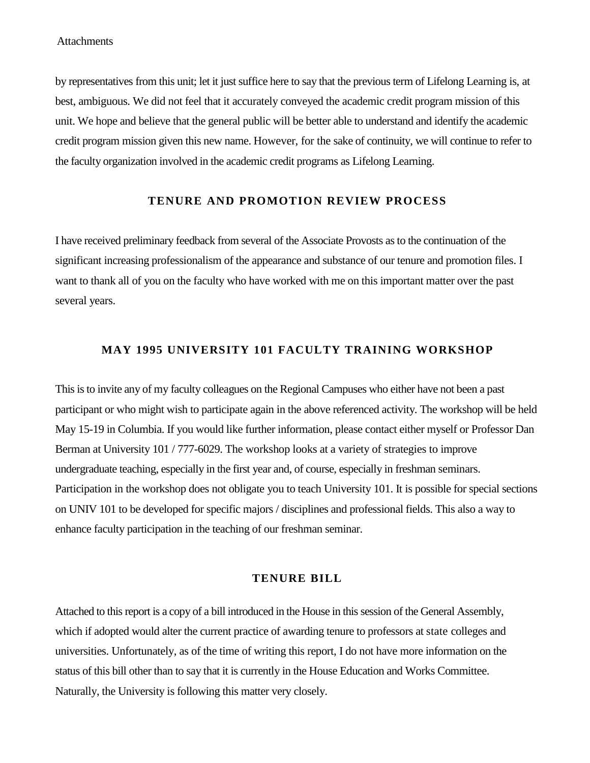by representatives from this unit; let it just suffice here to say that the previous term of Lifelong Learning is, at best, ambiguous. We did not feel that it accurately conveyed the academic credit program mission of this unit. We hope and believe that the general public will be better able to understand and identify the academic credit program mission given this new name. However, for the sake of continuity, we will continue to refer to the faculty organization involved in the academic credit programs as Lifelong Learning.

#### **TENURE AND PROMOTION REVIEW PROCESS**

I have received preliminary feedback from several of the Associate Provosts as to the continuation of the significant increasing professionalism of the appearance and substance of our tenure and promotion files. I want to thank all of you on the faculty who have worked with me on this important matter over the past several years.

# **MAY 1995 UNIVERSITY 101 FACULTY TRAINING WORKSHOP**

This is to invite any of my faculty colleagues on the Regional Campuses who either have not been a past participant or who might wish to participate again in the above referenced activity. The workshop will be held May 15-19 in Columbia. If you would like further information, please contact either myself or Professor Dan Berman at University 101 / 777-6029. The workshop looks at a variety of strategies to improve undergraduate teaching, especially in the first year and, of course, especially in freshman seminars. Participation in the workshop does not obligate you to teach University 101. It is possible for special sections on UNIV 101 to be developed for specific majors / disciplines and professional fields. This also a way to enhance faculty participation in the teaching of our freshman seminar.

#### **TENURE BILL**

Attached to this report is a copy of a bill introduced in the House in this session of the General Assembly, which if adopted would alter the current practice of awarding tenure to professors at state colleges and universities. Unfortunately, as of the time of writing this report, I do not have more information on the status of this bill other than to say that it is currently in the House Education and Works Committee. Naturally, the University is following this matter very closely.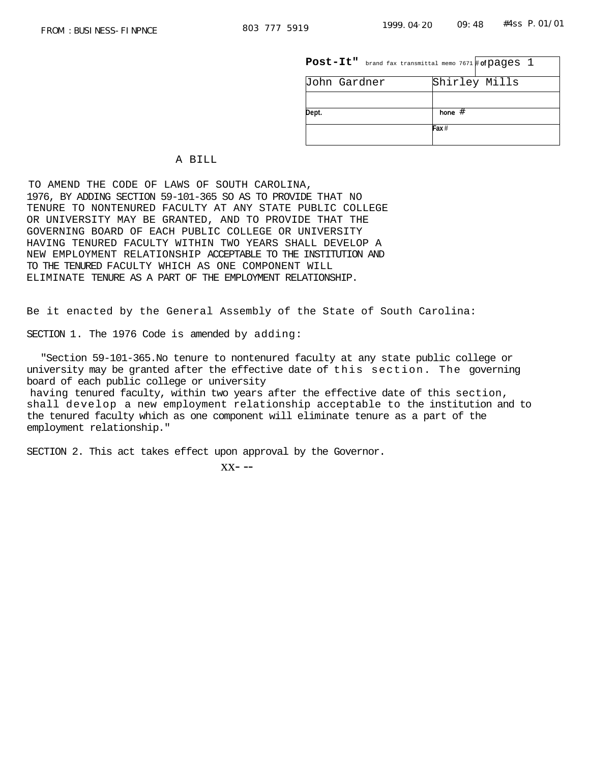**Post-It"** brand fax transmittal memo 7671 # **of** pages 1 John Gardner Shirley Mills **Dept.** hone #

**Fax** #

### A BILL

TO AMEND THE CODE OF LAWS OF SOUTH CAROLINA, 1976, BY ADDING SECTION 59-101-365 SO AS TO PROVIDE THAT NO TENURE TO NONTENURED FACULTY AT ANY STATE PUBLIC COLLEGE OR UNIVERSITY MAY BE GRANTED, AND TO PROVIDE THAT THE GOVERNING BOARD OF EACH PUBLIC COLLEGE OR UNIVERSITY HAVING TENURED FACULTY WITHIN TWO YEARS SHALL DEVELOP A NEW EMPLOYMENT RELATIONSHIP ACCEPTABLE TO THE INSTITUTION AND TO THE TENURED FACULTY WHICH AS ONE COMPONENT WILL ELIMINATE TENURE AS A PART OF THE EMPLOYMENT RELATIONSHIP.

Be it enacted by the General Assembly of the State of South Carolina:

SECTION 1. The 1976 Code is amended by adding:

"Section 59-101-365.No tenure to nontenured faculty at any state public college or university may be granted after the effective date of this section. The governing board of each public college or university

having tenured faculty, within two years after the effective date of this section, shall develop a new employment relationship acceptable to the institution and to the tenured faculty which as one component will eliminate tenure as a part of the employment relationship."

SECTION 2. This act takes effect upon approval by the Governor.

xx- --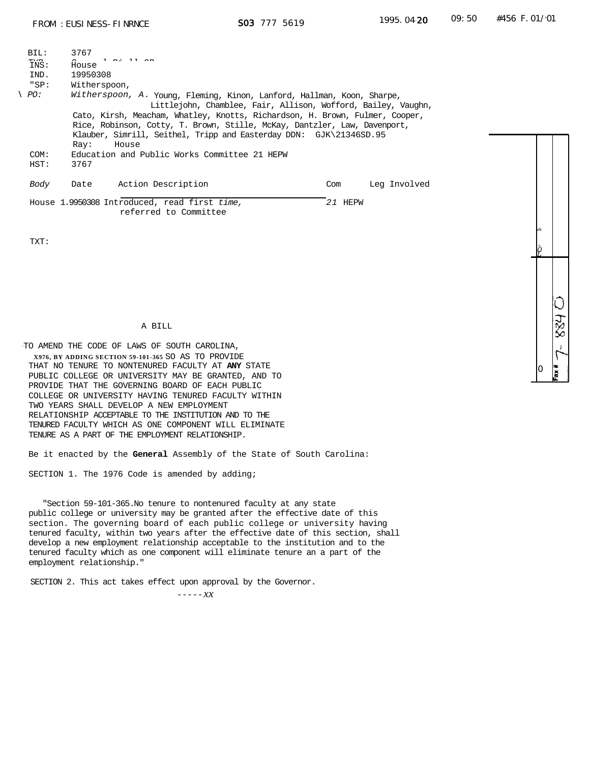vk  $\mathfrak o$ *0 L*

0

| BIL:              | 3767                                                                                                                                                                                                                                             |
|-------------------|--------------------------------------------------------------------------------------------------------------------------------------------------------------------------------------------------------------------------------------------------|
| INS:              | House                                                                                                                                                                                                                                            |
| IND.              | 19950308                                                                                                                                                                                                                                         |
| "SP:              | Witherspoon,                                                                                                                                                                                                                                     |
| $\overline{PQ}$ : | Witherspoon, A. Young, Fleming, Kinon, Lanford, Hallman, Koon, Sharpe,<br>Littlejohn, Chamblee, Fair, Allison, Wofford, Bailey, Vaughn,                                                                                                          |
|                   | Cato, Kirsh, Meacham, Whatley, Knotts, Richardson, H. Brown, Fulmer, Cooper,<br>Rice, Robinson, Cotty, T. Brown, Stille, McKay, Dantzler, Law, Davenport,<br>Klauber, Simrill, Seithel, Tripp and Easterday DDN: GJK\21346SD.95<br>House<br>Ray: |
| COM:              | Education and Public Works Committee 21 HEPW                                                                                                                                                                                                     |
| HST:              | 3767                                                                                                                                                                                                                                             |
| Body              | Action Description<br>Date<br>Leg Involved<br>Com                                                                                                                                                                                                |
|                   | House 1.9950308 Introduced, read first time,<br>21 HEPW<br>referred to Committee                                                                                                                                                                 |

TXT:

#### A BILL

--TO AMEND THE CODE OF LAWS OF SOUTH CAROLINA, **X976, BY ADDING SECTION 59-101-365** SO AS TO PROVIDE THAT NO TENURE TO NONTENURED FACULTY AT **ANY** STATE PUBLIC COLLEGE OR UNIVERSITY MAY BE GRANTED, AND TO PROVIDE THAT THE GOVERNING BOARD OF EACH PUBLIC COLLEGE OR UNIVERSITY HAVING TENURED FACULTY WITHIN TWO YEARS SHALL DEVELOP A NEW EMPLOYMENT RELATIONSHIP ACCEPTABLE TO THE INSTITUTION AND TO THE TENURED FACULTY WHICH AS ONE COMPONENT WILL ELIMINATE TENURE AS A PART OF THE EMPLOYMENT RELATIONSHIP.

Be it enacted by the **General** Assembly of the State of South Carolina:

SECTION 1. The 1976 Code is amended by adding;

"Section 59-101-365.No tenure to nontenured faculty at any state public college or university may be granted after the effective date of this section. The governing board of each public college or university having tenured faculty, within two years after the effective date of this section, shall develop a new employment relationship acceptable to the institution and to the tenured faculty which as one component will eliminate tenure an a part of the employment relationship."

SECTION 2. This act takes effect upon approval by the Governor.

-----*xx*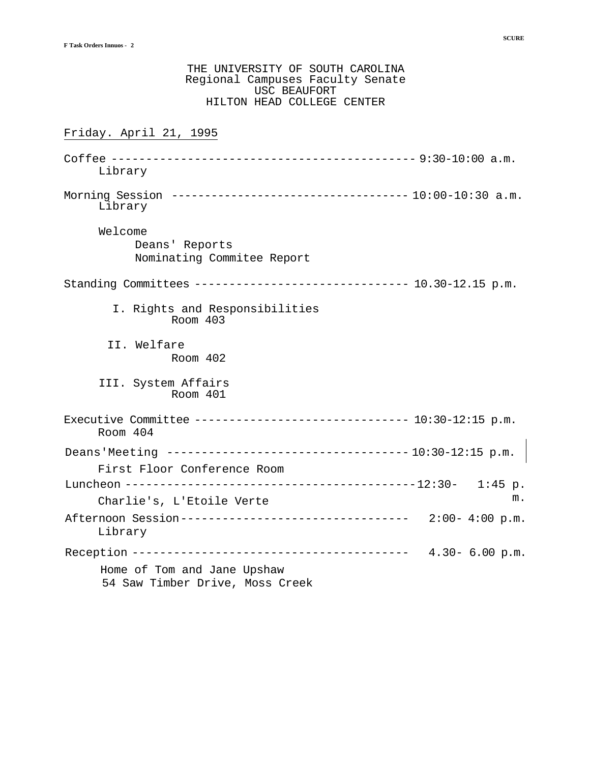# Friday. April 21, 1995 Coffee -------------------------------------------- 9:30-10:00 a.m. Library Morning Session ------------------------------------ 10:00-10:30 a.m. Library Welcome Deans' Reports Nominating Commitee Report Standing Committees ------------------------------- 10.30-12.15 p.m. I. Rights and Responsibilities Room 403 II. Welfare Room 402 III. System Affairs Room 401 Executive Committee ------------------------------- 10:30-12:15 p.m. Room 404 Deans'Meeting ----------------------------------- 10:30-12:15 p.m. First Floor Conference Room Luncheon ------------------------------------------12:30- 1:45 p. m. Charlie's, L'Etoile Verte Afternoon Session--------------------------------- 2:00- 4:00 p.m. Library Reception ---------------------------------------- 4.30- 6.00 p.m. Home of Tom and Jane Upshaw 54 Saw Timber Drive, Moss Creek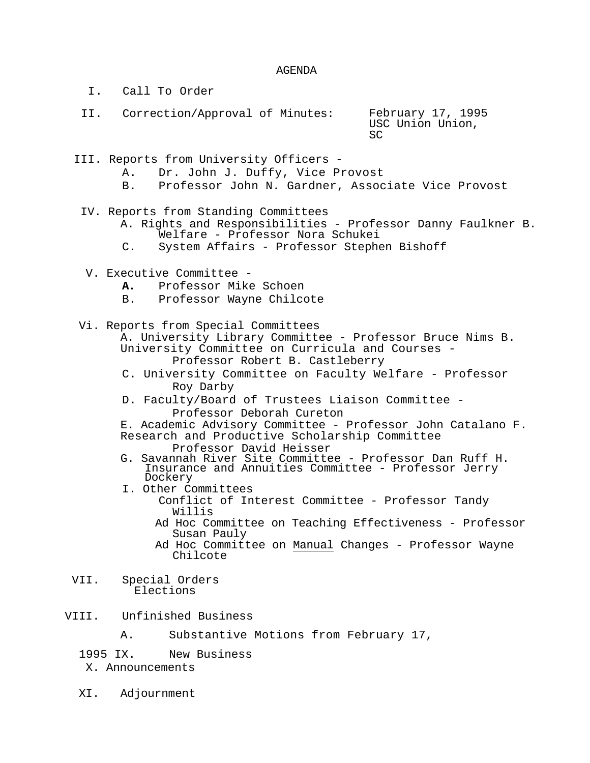### AGENDA

- I. Call To Order
- II. Correction/Approval of Minutes: February 17, 1995

USC Union Union, SC

- III. Reports from University Officers
	- A. Dr. John J. Duffy, Vice Provost<br>B. Professor John N. Gardner, Assoc
	- Professor John N. Gardner, Associate Vice Provost
	- IV. Reports from Standing Committees
		- A. Rights and Responsibilities Professor Danny Faulkner B. Welfare - Professor Nora Schukei
		- C. System Affairs Professor Stephen Bishoff
	- V. Executive Committee
		- **A.** Professor Mike Schoen
		- B. Professor Wayne Chilcote
- Vi. Reports from Special Committees

A. University Library Committee - Professor Bruce Nims B. University Committee on Curricula and Courses - Professor Robert B. Castleberry

- C. University Committee on Faculty Welfare Professor Roy Darby
- D. Faculty/Board of Trustees Liaison Committee Professor Deborah Cureton

E. Academic Advisory Committee - Professor John Catalano F. Research and Productive Scholarship Committee

- Professor David Heisser
- G. Savannah River Site Committee Professor Dan Ruff H. Insurance and Annuities Committee - Professor Jerry Dockery
- I. Other Committees
	- Conflict of Interest Committee Professor Tandy Willis
	- Ad Hoc Committee on Teaching Effectiveness Professor Susan Pauly
	- Ad Hoc Committee on Manual Changes Professor Wayne Chilcote
- VII. Special Orders Elections
- VIII. Unfinished Business
	- A. Substantive Motions from February 17,
	- 1995 IX. New Business
	- X. Announcements
	- XI. Adjournment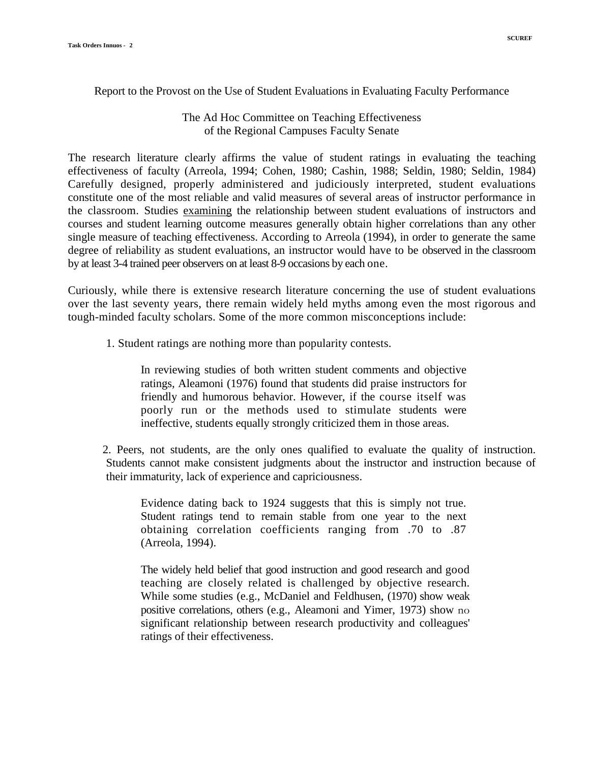Report to the Provost on the Use of Student Evaluations in Evaluating Faculty Performance

## The Ad Hoc Committee on Teaching Effectiveness of the Regional Campuses Faculty Senate

The research literature clearly affirms the value of student ratings in evaluating the teaching effectiveness of faculty (Arreola, 1994; Cohen, 1980; Cashin, 1988; Seldin, 1980; Seldin, 1984) Carefully designed, properly administered and judiciously interpreted, student evaluations constitute one of the most reliable and valid measures of several areas of instructor performance in the classroom. Studies examining the relationship between student evaluations of instructors and courses and student learning outcome measures generally obtain higher correlations than any other single measure of teaching effectiveness. According to Arreola (1994), in order to generate the same degree of reliability as student evaluations, an instructor would have to be observed in the classroom by at least 3-4 trained peer observers on at least 8-9 occasions by each one.

Curiously, while there is extensive research literature concerning the use of student evaluations over the last seventy years, there remain widely held myths among even the most rigorous and tough-minded faculty scholars. Some of the more common misconceptions include:

1. Student ratings are nothing more than popularity contests.

In reviewing studies of both written student comments and objective ratings, Aleamoni (1976) found that students did praise instructors for friendly and humorous behavior. However, if the course itself was poorly run or the methods used to stimulate students were ineffective, students equally strongly criticized them in those areas.

2. Peers, not students, are the only ones qualified to evaluate the quality of instruction. Students cannot make consistent judgments about the instructor and instruction because of their immaturity, lack of experience and capriciousness.

Evidence dating back to 1924 suggests that this is simply not true. Student ratings tend to remain stable from one year to the next obtaining correlation coefficients ranging from .70 to .87 (Arreola, 1994).

The widely held belief that good instruction and good research and good teaching are closely related is challenged by objective research. While some studies (e.g., McDaniel and Feldhusen, (1970) show weak positive correlations, others (e.g., Aleamoni and Yimer, 1973) show no significant relationship between research productivity and colleagues' ratings of their effectiveness.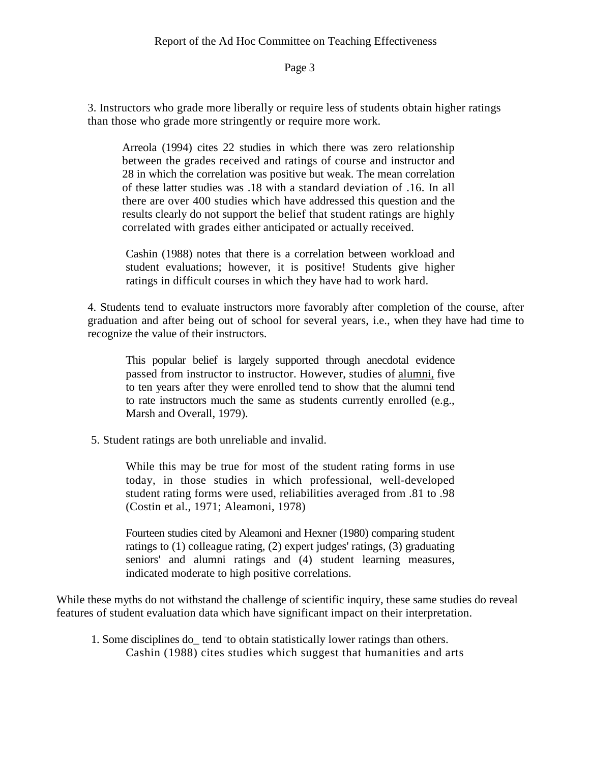## Page 3

3. Instructors who grade more liberally or require less of students obtain higher ratings than those who grade more stringently or require more work.

Arreola (1994) cites 22 studies in which there was zero relationship between the grades received and ratings of course and instructor and 28 in which the correlation was positive but weak. The mean correlation of these latter studies was .18 with a standard deviation of .16. In all there are over 400 studies which have addressed this question and the results clearly do not support the belief that student ratings are highly correlated with grades either anticipated or actually received.

Cashin (1988) notes that there is a correlation between workload and student evaluations; however, it is positive! Students give higher ratings in difficult courses in which they have had to work hard.

4. Students tend to evaluate instructors more favorably after completion of the course, after graduation and after being out of school for several years, i.e., when they have had time to recognize the value of their instructors.

This popular belief is largely supported through anecdotal evidence passed from instructor to instructor. However, studies of alumni, five to ten years after they were enrolled tend to show that the alumni tend to rate instructors much the same as students currently enrolled (e.g., Marsh and Overall, 1979).

5. Student ratings are both unreliable and invalid.

While this may be true for most of the student rating forms in use today, in those studies in which professional, well-developed student rating forms were used, reliabilities averaged from .81 to .98 (Costin et al., 1971; Aleamoni, 1978)

Fourteen studies cited by Aleamoni and Hexner (1980) comparing student ratings to (1) colleague rating, (2) expert judges' ratings, (3) graduating seniors' and alumni ratings and (4) student learning measures, indicated moderate to high positive correlations.

While these myths do not withstand the challenge of scientific inquiry, these same studies do reveal features of student evaluation data which have significant impact on their interpretation.

1. Some disciplines do\_ tend - to obtain statistically lower ratings than others. Cashin (1988) cites studies which suggest that humanities and arts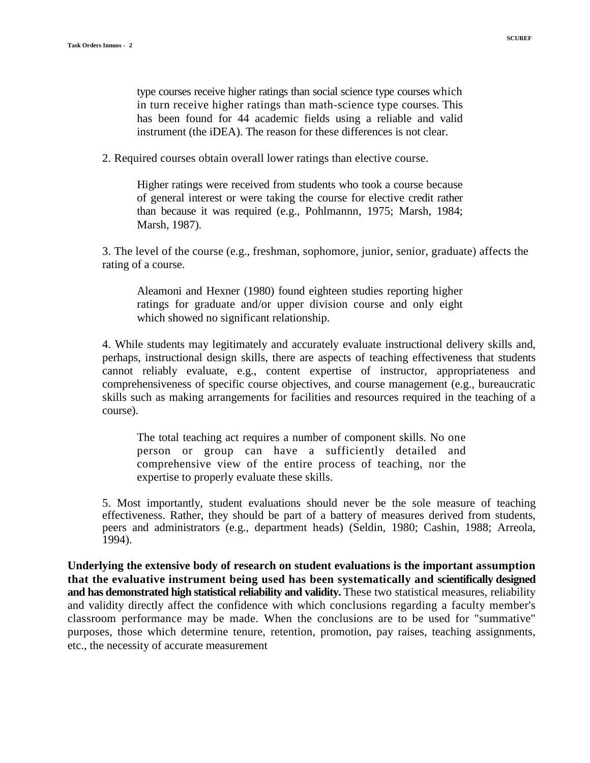type courses receive higher ratings than social science type courses which in turn receive higher ratings than math-science type courses. This has been found for 44 academic fields using a reliable and valid instrument (the iDEA). The reason for these differences is not clear.

2. Required courses obtain overall lower ratings than elective course.

Higher ratings were received from students who took a course because of general interest or were taking the course for elective credit rather than because it was required (e.g., Pohlmannn, 1975; Marsh, 1984; Marsh, 1987).

3. The level of the course (e.g., freshman, sophomore, junior, senior, graduate) affects the rating of a course.

Aleamoni and Hexner (1980) found eighteen studies reporting higher ratings for graduate and/or upper division course and only eight which showed no significant relationship.

4. While students may legitimately and accurately evaluate instructional delivery skills and, perhaps, instructional design skills, there are aspects of teaching effectiveness that students cannot reliably evaluate, e.g., content expertise of instructor, appropriateness and comprehensiveness of specific course objectives, and course management (e.g., bureaucratic skills such as making arrangements for facilities and resources required in the teaching of a course).

The total teaching act requires a number of component skills. No one person or group can have a sufficiently detailed and comprehensive view of the entire process of teaching, nor the expertise to properly evaluate these skills.

5. Most importantly, student evaluations should never be the sole measure of teaching effectiveness. Rather, they should be part of a battery of measures derived from students, peers and administrators (e.g., department heads) (Seldin, 1980; Cashin, 1988; Arreola, 1994).

**Underlying the extensive body of research on student evaluations is the important assumption that the evaluative instrument being used has been systematically and scientifically designed and has demonstrated high statistical reliability and validity.** These two statistical measures, reliability and validity directly affect the confidence with which conclusions regarding a faculty member's classroom performance may be made. When the conclusions are to be used for "summative" purposes, those which determine tenure, retention, promotion, pay raises, teaching assignments, etc., the necessity of accurate measurement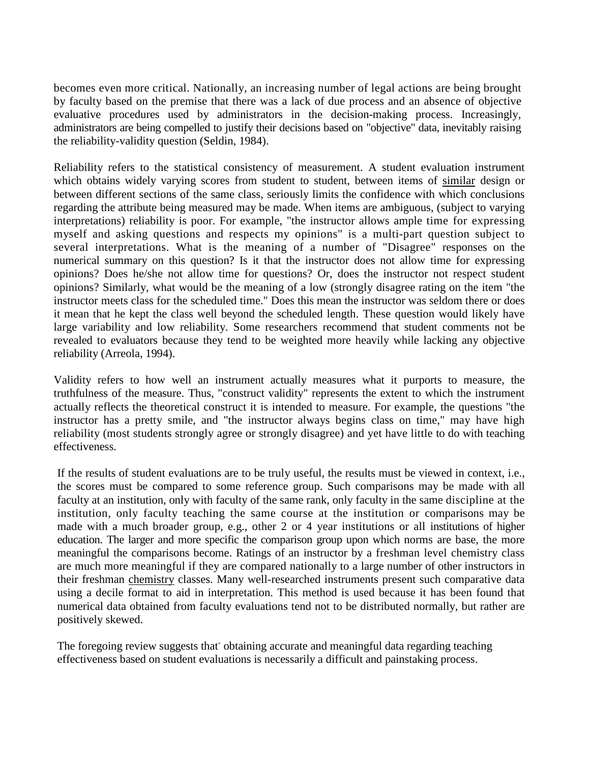becomes even more critical. Nationally, an increasing number of legal actions are being brought by faculty based on the premise that there was a lack of due process and an absence of objective evaluative procedures used by administrators in the decision-making process. Increasingly, administrators are being compelled to justify their decisions based on "objective" data, inevitably raising the reliability-validity question (Seldin, 1984).

Reliability refers to the statistical consistency of measurement. A student evaluation instrument which obtains widely varying scores from student to student, between items of similar design or between different sections of the same class, seriously limits the confidence with which conclusions regarding the attribute being measured may be made. When items are ambiguous, (subject to varying interpretations) reliability is poor. For example, "the instructor allows ample time for expressing myself and asking questions and respects my opinions" is a multi-part question subject to several interpretations. What is the meaning of a number of "Disagree" responses on the numerical summary on this question? Is it that the instructor does not allow time for expressing opinions? Does he/she not allow time for questions? Or, does the instructor not respect student opinions? Similarly, what would be the meaning of a low (strongly disagree rating on the item "the instructor meets class for the scheduled time." Does this mean the instructor was seldom there or does it mean that he kept the class well beyond the scheduled length. These question would likely have large variability and low reliability. Some researchers recommend that student comments not be revealed to evaluators because they tend to be weighted more heavily while lacking any objective reliability (Arreola, 1994).

Validity refers to how well an instrument actually measures what it purports to measure, the truthfulness of the measure. Thus, "construct validity" represents the extent to which the instrument actually reflects the theoretical construct it is intended to measure. For example, the questions "the instructor has a pretty smile, and "the instructor always begins class on time," may have high reliability (most students strongly agree or strongly disagree) and yet have little to do with teaching effectiveness.

If the results of student evaluations are to be truly useful, the results must be viewed in context, i.e., the scores must be compared to some reference group. Such comparisons may be made with all faculty at an institution, only with faculty of the same rank, only faculty in the same discipline at the institution, only faculty teaching the same course at the institution or comparisons may be made with a much broader group, e.g., other 2 or 4 year institutions or all institutions of higher education. The larger and more specific the comparison group upon which norms are base, the more meaningful the comparisons become. Ratings of an instructor by a freshman level chemistry class are much more meaningful if they are compared nationally to a large number of other instructors in their freshman chemistry classes. Many well-researched instruments present such comparative data using a decile format to aid in interpretation. This method is used because it has been found that numerical data obtained from faculty evaluations tend not to be distributed normally, but rather are positively skewed.

The foregoing review suggests that obtaining accurate and meaningful data regarding teaching effectiveness based on student evaluations is necessarily a difficult and painstaking process.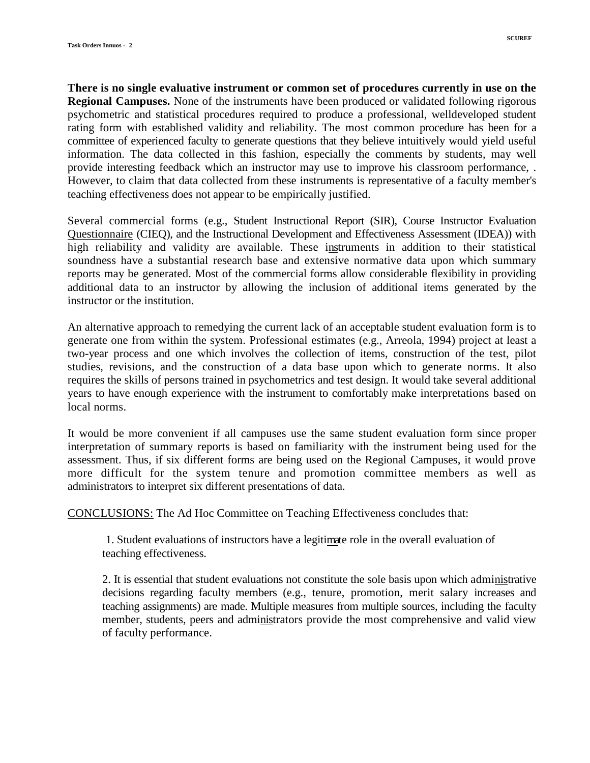**There is no single evaluative instrument or common set of procedures currently in use on the Regional Campuses.** None of the instruments have been produced or validated following rigorous psychometric and statistical procedures required to produce a professional, welldeveloped student rating form with established validity and reliability. The most common procedure has been for a committee of experienced faculty to generate questions that they believe intuitively would yield useful information. The data collected in this fashion, especially the comments by students, may well provide interesting feedback which an instructor may use to improve his classroom performance, . However, to claim that data collected from these instruments is representative of a faculty member's teaching effectiveness does not appear to be empirically justified.

Several commercial forms (e.g., Student Instructional Report (SIR), Course Instructor Evaluation Questionnaire (CIEQ), and the Instructional Development and Effectiveness Assessment (IDEA)) with high reliability and validity are available. These instruments in addition to their statistical soundness have a substantial research base and extensive normative data upon which summary reports may be generated. Most of the commercial forms allow considerable flexibility in providing additional data to an instructor by allowing the inclusion of additional items generated by the instructor or the institution.

An alternative approach to remedying the current lack of an acceptable student evaluation form is to generate one from within the system. Professional estimates (e.g., Arreola, 1994) project at least a two-year process and one which involves the collection of items, construction of the test, pilot studies, revisions, and the construction of a data base upon which to generate norms. It also requires the skills of persons trained in psychometrics and test design. It would take several additional years to have enough experience with the instrument to comfortably make interpretations based on local norms.

It would be more convenient if all campuses use the same student evaluation form since proper interpretation of summary reports is based on familiarity with the instrument being used for the assessment. Thus, if six different forms are being used on the Regional Campuses, it would prove more difficult for the system tenure and promotion committee members as well as administrators to interpret six different presentations of data.

CONCLUSIONS: The Ad Hoc Committee on Teaching Effectiveness concludes that:

1. Student evaluations of instructors have a legitimate role in the overall evaluation of teaching effectiveness.

2. It is essential that student evaluations not constitute the sole basis upon which administrative decisions regarding faculty members (e.g., tenure, promotion, merit salary increases and teaching assignments) are made. Multiple measures from multiple sources, including the faculty member, students, peers and administrators provide the most comprehensive and valid view of faculty performance.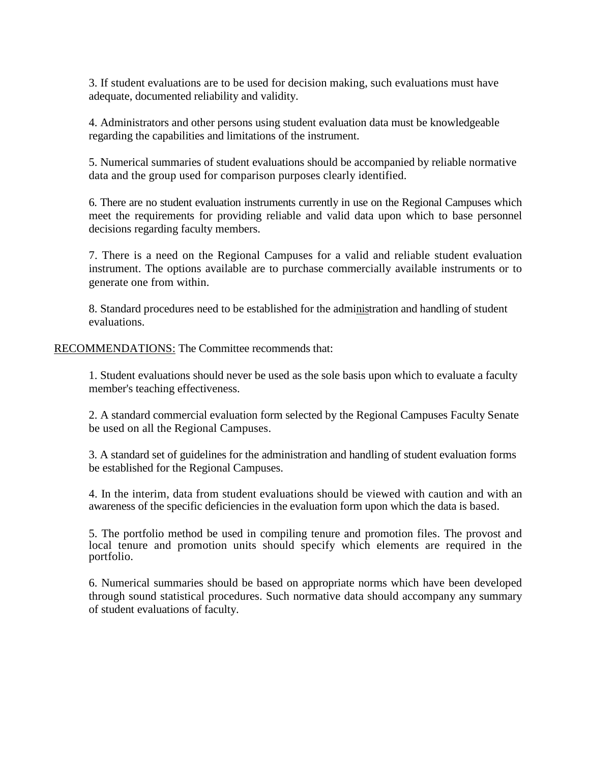3. If student evaluations are to be used for decision making, such evaluations must have adequate, documented reliability and validity.

4. Administrators and other persons using student evaluation data must be knowledgeable regarding the capabilities and limitations of the instrument.

5. Numerical summaries of student evaluations should be accompanied by reliable normative data and the group used for comparison purposes clearly identified.

6. There are no student evaluation instruments currently in use on the Regional Campuses which meet the requirements for providing reliable and valid data upon which to base personnel decisions regarding faculty members.

7. There is a need on the Regional Campuses for a valid and reliable student evaluation instrument. The options available are to purchase commercially available instruments or to generate one from within.

8. Standard procedures need to be established for the administration and handling of student evaluations.

RECOMMENDATIONS: The Committee recommends that:

1. Student evaluations should never be used as the sole basis upon which to evaluate a faculty member's teaching effectiveness.

2. A standard commercial evaluation form selected by the Regional Campuses Faculty Senate be used on all the Regional Campuses.

3. A standard set of guidelines for the administration and handling of student evaluation forms be established for the Regional Campuses.

4. In the interim, data from student evaluations should be viewed with caution and with an awareness of the specific deficiencies in the evaluation form upon which the data is based.

5. The portfolio method be used in compiling tenure and promotion files. The provost and local tenure and promotion units should specify which elements are required in the portfolio.

6. Numerical summaries should be based on appropriate norms which have been developed through sound statistical procedures. Such normative data should accompany any summary of student evaluations of faculty.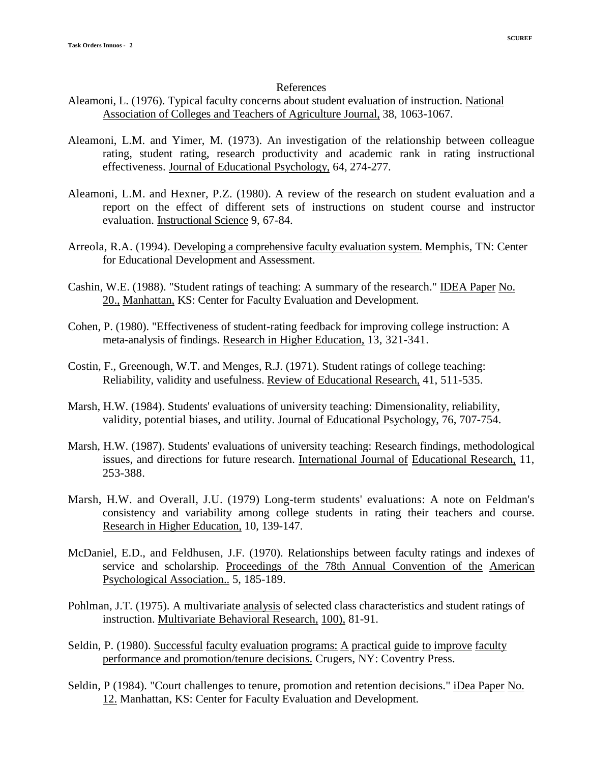## References

- Aleamoni, L. (1976). Typical faculty concerns about student evaluation of instruction. National Association of Colleges and Teachers of Agriculture Journal, 38, 1063-1067.
- Aleamoni, L.M. and Yimer, M. (1973). An investigation of the relationship between colleague rating, student rating, research productivity and academic rank in rating instructional effectiveness. Journal of Educational Psychology, 64, 274-277.
- Aleamoni, L.M. and Hexner, P.Z. (1980). A review of the research on student evaluation and a report on the effect of different sets of instructions on student course and instructor evaluation. Instructional Science 9, 67-84.
- Arreola, R.A. (1994). Developing a comprehensive faculty evaluation system. Memphis, TN: Center for Educational Development and Assessment.
- Cashin, W.E. (1988). "Student ratings of teaching: A summary of the research." IDEA Paper No. 20., Manhattan, KS: Center for Faculty Evaluation and Development.
- Cohen, P. (1980). "Effectiveness of student-rating feedback for improving college instruction: A meta-analysis of findings. Research in Higher Education, 13, 321-341.
- Costin, F., Greenough, W.T. and Menges, R.J. (1971). Student ratings of college teaching: Reliability, validity and usefulness. Review of Educational Research, 41, 511-535.
- Marsh, H.W. (1984). Students' evaluations of university teaching: Dimensionality, reliability, validity, potential biases, and utility. Journal of Educational Psychology, 76, 707-754.
- Marsh, H.W. (1987). Students' evaluations of university teaching: Research findings, methodological issues, and directions for future research. International Journal of Educational Research, 11, 253-388.
- Marsh, H.W. and Overall, J.U. (1979) Long-term students' evaluations: A note on Feldman's consistency and variability among college students in rating their teachers and course. Research in Higher Education, 10, 139-147.
- McDaniel, E.D., and Feldhusen, J.F. (1970). Relationships between faculty ratings and indexes of service and scholarship. Proceedings of the 78th Annual Convention of the American Psychological Association.. 5, 185-189.
- Pohlman, J.T. (1975). A multivariate analysis of selected class characteristics and student ratings of instruction. Multivariate Behavioral Research, 100), 81-91.
- Seldin, P. (1980). Successful faculty evaluation programs: A practical guide to improve faculty performance and promotion/tenure decisions. Crugers, NY: Coventry Press.
- Seldin, P (1984). "Court challenges to tenure, promotion and retention decisions." iDea Paper No. 12. Manhattan, KS: Center for Faculty Evaluation and Development.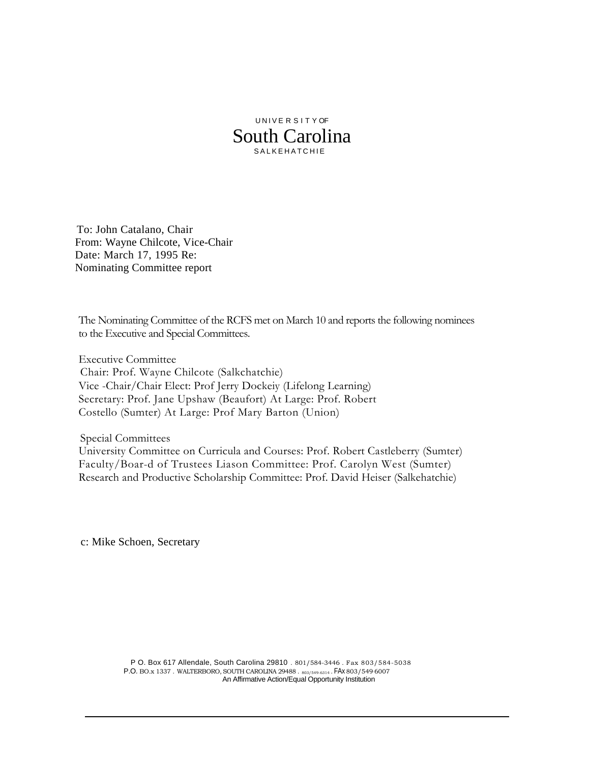

To: John Catalano, Chair From: Wayne Chilcote, Vice-Chair Date: March 17, 1995 Re: Nominating Committee report

The Nominating Committee of the RCFS met on March 10 and reports the following nominees to the Executive and Special Committees.

Executive Committee Chair: Prof. Wayne Chilcote (Salkchatchie) Vice -Chair/Chair Elect: Prof Jerry Dockeiy (Lifelong Learning) Secretary: Prof. Jane Upshaw (Beaufort) At Large: Prof. Robert Costello (Sumter) At Large: Prof Mary Barton (Union)

Special Committees University Committee on Curricula and Courses: Prof. Robert Castleberry (Sumter) Faculty/Boar-d of Trustees Liason Committee: Prof. Carolyn West (Sumter) Research and Productive Scholarship Committee: Prof. David Heiser (Salkehatchie)

c: Mike Schoen, Secretary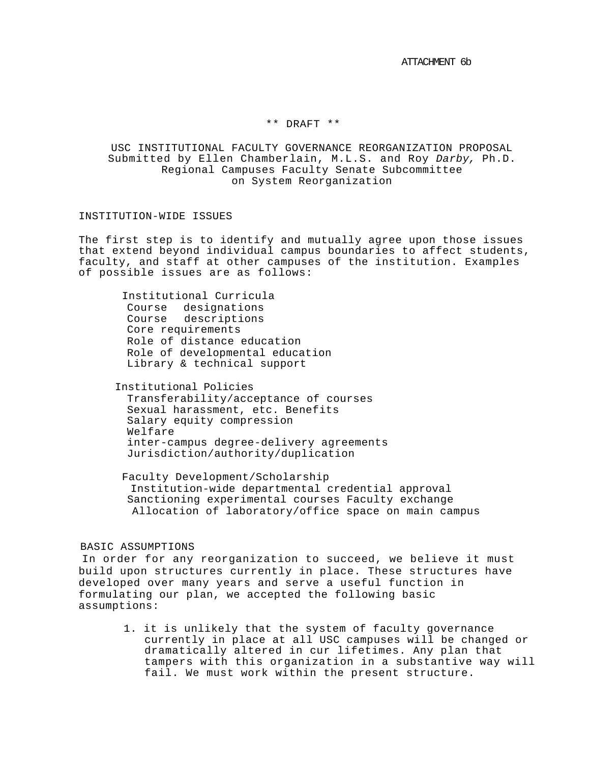ATTACHMENT 6b

#### \*\* DRAFT \*\*

USC INSTITUTIONAL FACULTY GOVERNANCE REORGANIZATION PROPOSAL Submitted by Ellen Chamberlain, M.L.S. and Roy *Darby,* Ph.D. Regional Campuses Faculty Senate Subcommittee on System Reorganization

#### INSTITUTION-WIDE ISSUES

The first step is to identify and mutually agree upon those issues that extend beyond individual campus boundaries to affect students, faculty, and staff at other campuses of the institution. Examples of possible issues are as follows:

Institutional Curricula Course designations Course descriptions Core requirements Role of distance education Role of developmental education Library & technical support

Institutional Policies Transferability/acceptance of courses Sexual harassment, etc. Benefits Salary equity compression Welfare inter-campus degree-delivery agreements Jurisdiction/authority/duplication

Faculty Development/Scholarship Institution-wide departmental credential approval Sanctioning experimental courses Faculty exchange Allocation of laboratory/office space on main campus

#### BASIC ASSUMPTIONS

In order for any reorganization to succeed, we believe it must build upon structures currently in place. These structures have developed over many years and serve a useful [function in](http://function.in/) formulating our plan, we accepted the following basic assumptions:

> 1. it is unlikely that the system of faculty governance currently in place at all USC campuses will be changed or dramatically altered in cur lifetimes. Any plan that tampers with this organization in a substantive way will fail. We must work within the present structure.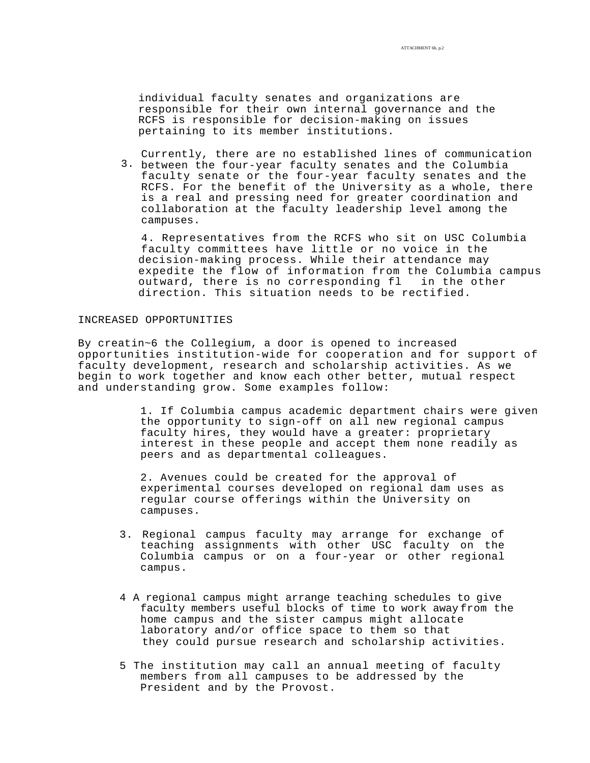individual faculty senates and organizations are responsible for their own internal governance and the RCFS is responsible for decision-making on issues pertaining to its member institutions.

Currently, there are no established lines of communication 3. between the four-year faculty senates and the Columbia faculty senate or the four-year faculty senates and the RCFS. For the benefit of the University as a whole, there is a real and pressing need for greater coordination and collaboration at the faculty leadership level among the campuses.

4. Representatives from the RCFS who sit on USC Columbia faculty committees have little or no voice in the decision-making process. While their attendance may expedite the flow of information from the Columbia campus<br>outward, there is no corresponding fl in the other outward, there is no corresponding fl direction. This situation needs to be rectified.

#### INCREASED OPPORTUNITIES

By creatin~6 the Collegium, a door is opened to increased opportunities institution-wide for cooperation and for support of faculty development, research and scholarship activities. As we begin to work together and know each other better, mutual respect and understanding grow. Some examples follow:

> 1. If Columbia campus academic department chairs were given the opportunity to sign-off on all new regional campus faculty hires, they would have a greater: proprietary interest in these people and accept them none readily as peers and as departmental colleagues.

2. Avenues could be created for the approval of experimental courses developed on regional dam uses as regular course offerings within the University on campuses.

- 3. Regional campus faculty may arrange for exchange of teaching assignments with other USC faculty on the Columbia campus or on a four-year or other regional campus.
- 4 A regional campus might arrange teaching schedules to give faculty members useful blocks of time to work away from the home campus and the sister campus might allocate laboratory and/or office space to them so that they could pursue research and scholarship activities.
- 5 The institution may call an annual meeting of faculty members from all campuses to be addressed by the President and by the Provost.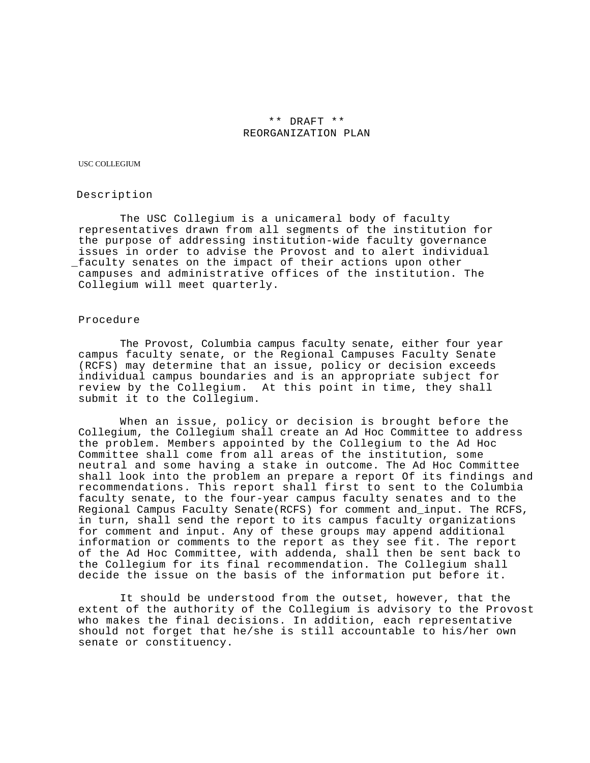## \*\* DRAFT \*\* REORGANIZATION PLAN

USC COLLEGIUM

Description

The USC Collegium is a unicameral body of faculty representatives drawn from all segments of the institution for the purpose of addressing institution-wide faculty governance issues in order to advise the Provost and to alert individual \_faculty senates on the impact of their actions upon other campuses and administrative offices of the institution. The Collegium will meet quarterly.

#### Procedure

The Provost, Columbia campus faculty senate, either four year campus faculty senate, or the Regional Campuses Faculty Senate (RCFS) may determine that an issue, policy or decision exceeds individual campus boundaries and is an appropriate subject for review by the Collegium. At this point in time, they shall submit it to the Collegium.

When an issue, policy or decision is brought before the Collegium, the Collegium shall create an Ad Hoc Committee to address the problem. Members appointed by the Collegium to the Ad Hoc Committee shall come from all areas of the institution, some neutral and some having a stake in outcome. The Ad Hoc Committee shall look into the problem an prepare a report Of its findings and recommendations. This report shall first to sent to the Columbia faculty senate, to the four-year campus faculty senates and to the Regional Campus Faculty Senate(RCFS) for comment and\_input. The RCFS, in turn, shall send the report to its campus faculty organizations for comment and input. Any of these groups may append additional information or comments to the report as they see fit. The report of the Ad Hoc Committee, with addenda, shall then be sent back to the Collegium for its final recommendation. The Collegium shall decide the issue on the basis of the information put before it.

It should be understood from the outset, however, that the extent of the authority of the Collegium is advisory to the Provost who makes the final decisions. In addition, each representative should not forget that he/she is still accountable to his/her own senate or constituency.